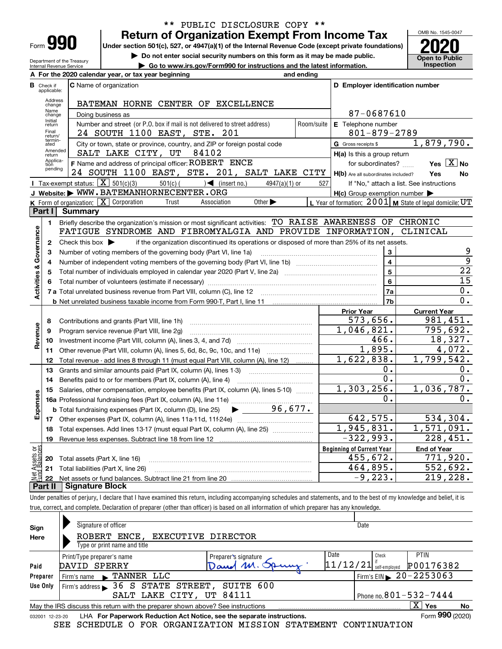| -orm |  |  |
|------|--|--|

Department of the Treasury Internal Revenue Service

#### **Return of Organization Exempt From Income Tax** \*\* PUBLIC DISCLOSURE COPY \*\*

**Under section 501(c), 527, or 4947(a)(1) of the Internal Revenue Code (except private foundations) 2020**

**| Do not enter social security numbers on this form as it may be made public.**

**| Go to www.irs.gov/Form990 for instructions and the latest information. Inspection**



|                         |                                                         | A For the 2020 calendar year, or tax year beginning                                                                                     | and ending     |                                                     |                                                           |  |  |  |
|-------------------------|---------------------------------------------------------|-----------------------------------------------------------------------------------------------------------------------------------------|----------------|-----------------------------------------------------|-----------------------------------------------------------|--|--|--|
|                         | <b>B</b> Check if applicable:                           | <b>C</b> Name of organization                                                                                                           |                | D Employer identification number                    |                                                           |  |  |  |
|                         | Address<br>BATEMAN HORNE CENTER OF EXCELLENCE<br>change |                                                                                                                                         |                |                                                     |                                                           |  |  |  |
|                         | Name<br>change                                          | Doing business as                                                                                                                       |                | 87-0687610                                          |                                                           |  |  |  |
|                         | Initial<br>return                                       | Number and street (or P.O. box if mail is not delivered to street address)                                                              | Room/suite     | E Telephone number                                  |                                                           |  |  |  |
|                         | Final<br>return/                                        | $801 - 879 - 2789$                                                                                                                      |                |                                                     |                                                           |  |  |  |
|                         | termin-<br>ated                                         | City or town, state or province, country, and ZIP or foreign postal code                                                                |                | G Gross receipts \$                                 | 1,879,790.                                                |  |  |  |
|                         | Amended<br>return                                       | SALT LAKE CITY, UT<br>84102                                                                                                             |                | $H(a)$ is this a group return                       |                                                           |  |  |  |
|                         | Applica-<br>tion<br>pending                             | F Name and address of principal officer: ROBERT ENCE                                                                                    |                | for subordinates?                                   | Yes $X$ No                                                |  |  |  |
|                         |                                                         | 24 SOUTH 1100 EAST, STE. 201, SALT LAKE CITY                                                                                            |                | H(b) Are all subordinates included?                 | Yes<br>No                                                 |  |  |  |
|                         |                                                         | Tax-exempt status: $\boxed{\mathbf{X}}$ 501(c)(3)<br>$501(c)$ $\left( \right)$ (insert no.)<br>$4947(a)(1)$ or                          | 527            |                                                     | If "No," attach a list. See instructions                  |  |  |  |
|                         |                                                         | J Website: WWW.BATEMANHORNECENTER.ORG                                                                                                   |                | $H(c)$ Group exemption number $\blacktriangleright$ |                                                           |  |  |  |
|                         |                                                         | K Form of organization: $\boxed{\mathbf{X}}$ Corporation<br>Trust<br>Other $\blacktriangleright$<br>Association                         |                |                                                     | L Year of formation: $2001$ M State of legal domicile: UT |  |  |  |
|                         | Part I                                                  | <b>Summary</b>                                                                                                                          |                |                                                     |                                                           |  |  |  |
|                         | 1                                                       | Briefly describe the organization's mission or most significant activities: TO RAISE AWARENESS OF CHRONIC                               |                |                                                     |                                                           |  |  |  |
| Activities & Governance |                                                         | FATIGUE SYNDROME AND FIBROMYALGIA AND PROVIDE INFORMATION,                                                                              |                |                                                     | CLINICAL                                                  |  |  |  |
|                         | 2                                                       | Check this box $\blacktriangleright$<br>if the organization discontinued its operations or disposed of more than 25% of its net assets. |                |                                                     | 9                                                         |  |  |  |
|                         | з                                                       | Number of voting members of the governing body (Part VI, line 1a)                                                                       |                | 3<br>$\overline{\mathbf{4}}$                        | $\overline{9}$                                            |  |  |  |
|                         | 4                                                       |                                                                                                                                         | $\overline{5}$ | $\overline{22}$                                     |                                                           |  |  |  |
|                         | 5                                                       |                                                                                                                                         |                | $\bf{6}$                                            | 15                                                        |  |  |  |
|                         | 6                                                       | 7 a Total unrelated business revenue from Part VIII, column (C), line 12                                                                |                | 7a                                                  | 0.                                                        |  |  |  |
|                         |                                                         |                                                                                                                                         |                | 7b                                                  | 0.                                                        |  |  |  |
|                         |                                                         |                                                                                                                                         |                | <b>Prior Year</b>                                   | <b>Current Year</b>                                       |  |  |  |
|                         | 8                                                       | Contributions and grants (Part VIII, line 1h)                                                                                           |                | 573,656.                                            | 981,451.                                                  |  |  |  |
|                         | 9                                                       | Program service revenue (Part VIII, line 2g)                                                                                            |                | 1,046,821.                                          | 795,692.                                                  |  |  |  |
| Revenue                 | 10                                                      |                                                                                                                                         |                | 466.                                                | 18,327.                                                   |  |  |  |
|                         | 11                                                      | Other revenue (Part VIII, column (A), lines 5, 6d, 8c, 9c, 10c, and 11e)                                                                |                | 1,895.                                              | 4,072.                                                    |  |  |  |
|                         | 12                                                      | Total revenue - add lines 8 through 11 (must equal Part VIII, column (A), line 12)                                                      |                | 1,622,838.                                          | 1,799,542.                                                |  |  |  |
|                         | 13                                                      | Grants and similar amounts paid (Part IX, column (A), lines 1-3)                                                                        |                | 0.                                                  | 0.                                                        |  |  |  |
|                         | 14                                                      | Benefits paid to or for members (Part IX, column (A), line 4)                                                                           |                | 0.                                                  | 0.                                                        |  |  |  |
|                         | 15                                                      | Salaries, other compensation, employee benefits (Part IX, column (A), lines 5-10)                                                       |                | 1,303,256.                                          | 1,036,787.                                                |  |  |  |
| Expenses                |                                                         | 16a Professional fundraising fees (Part IX, column (A), line 11e)                                                                       |                | 0.                                                  | 0.                                                        |  |  |  |
|                         |                                                         | 96,677.<br><b>b</b> Total fundraising expenses (Part IX, column (D), line 25)                                                           |                |                                                     |                                                           |  |  |  |
|                         |                                                         |                                                                                                                                         |                | 642,575.                                            | 534,304.                                                  |  |  |  |
|                         | 18                                                      | Total expenses. Add lines 13-17 (must equal Part IX, column (A), line 25)                                                               |                | 1,945,831.                                          | 1,571,091.                                                |  |  |  |
|                         | 19                                                      |                                                                                                                                         |                | $-322,993.$                                         | 228,451.                                                  |  |  |  |
| ag                      |                                                         |                                                                                                                                         |                | <b>Beginning of Current Year</b>                    | <b>End of Year</b>                                        |  |  |  |
| Assets<br>1 Balanc      |                                                         | 20 Total assets (Part X, line 16)                                                                                                       |                | 455,672.                                            | 771,920.                                                  |  |  |  |
| Net<br>-und             |                                                         | 21 Total liabilities (Part X, line 26)                                                                                                  |                | 464,895.                                            | 552,692.                                                  |  |  |  |
|                         |                                                         | Dart II   Cianature Block                                                                                                               |                | $-9, 223.$                                          | $\overline{219}$ , 228.                                   |  |  |  |

**Part II Signature Block**

Under penalties of perjury, I declare that I have examined this return, including accompanying schedules and statements, and to the best of my knowledge and belief, it is true, correct, and complete. Declaration of preparer (other than officer) is based on all information of which preparer has any knowledge.

| Sign            | Signature of officer                                                                               |                      | Date                       |                                |  |  |  |  |
|-----------------|----------------------------------------------------------------------------------------------------|----------------------|----------------------------|--------------------------------|--|--|--|--|
| Here            | ROBERT ENCE, EXECUTIVE DIRECTOR                                                                    |                      |                            |                                |  |  |  |  |
|                 | Type or print name and title                                                                       |                      |                            |                                |  |  |  |  |
|                 | Print/Type preparer's name                                                                         | Preparer's signature | Date<br>Check              | <b>PTIN</b>                    |  |  |  |  |
| Paid            | DAVID SPERRY                                                                                       | Dand M               | 11/12/21 <br>self-emploved | P00176382                      |  |  |  |  |
| Preparer        | Firm's name FRANNER LLC                                                                            |                      |                            | Firm's EIN $\geq 20 - 2253063$ |  |  |  |  |
| Use Only        | Firm's address > 36 S STATE STREET, SUITE 600                                                      |                      |                            |                                |  |  |  |  |
|                 | SALT LAKE CITY, UT 84111                                                                           |                      |                            | Phone no. $801 - 532 - 7444$   |  |  |  |  |
|                 | ΧI<br>Yes<br>May the IRS discuss this return with the preparer shown above? See instructions<br>No |                      |                            |                                |  |  |  |  |
| 032001 12-23-20 | LHA For Paperwork Reduction Act Notice, see the separate instructions.                             |                      |                            | Form 990 (2020)                |  |  |  |  |
|                 | SCHEDULE O FOR ORGANIZATION MISSION STATEMENT CONTINUATION<br>SEE                                  |                      |                            |                                |  |  |  |  |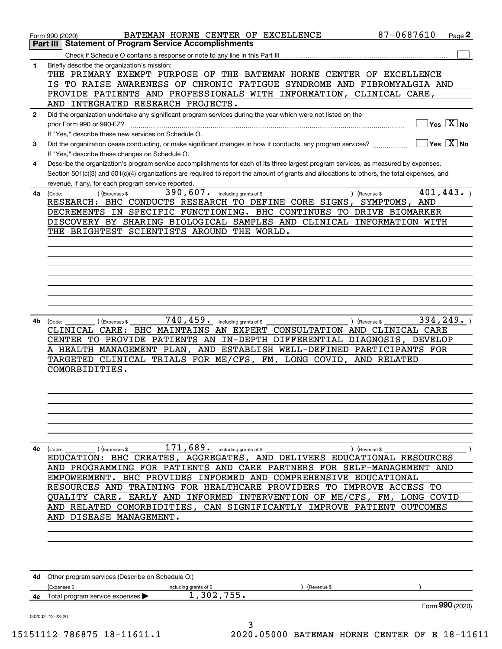|              | 87-0687610<br>BATEMAN HORNE CENTER OF EXCELLENCE<br>Page 2<br>Form 990 (2020)                                                                            |
|--------------|----------------------------------------------------------------------------------------------------------------------------------------------------------|
|              | <b>Statement of Program Service Accomplishments</b><br>Part III                                                                                          |
|              | Check if Schedule O contains a response or note to any line in this Part III                                                                             |
| 1            | Briefly describe the organization's mission:<br>THE PRIMARY EXEMPT PURPOSE OF THE BATEMAN HORNE CENTER OF EXCELLENCE                                     |
|              | IS TO RAISE AWARENESS OF CHRONIC FATIGUE SYNDROME AND FIBROMYALGIA AND                                                                                   |
|              | PROVIDE PATIENTS AND PROFESSIONALS WITH INFORMATION, CLINICAL CARE,                                                                                      |
|              | AND INTEGRATED RESEARCH PROJECTS.                                                                                                                        |
| $\mathbf{2}$ | Did the organization undertake any significant program services during the year which were not listed on the<br>$Yes \quad X$ No                         |
|              | prior Form 990 or 990-EZ?<br>If "Yes," describe these new services on Schedule O.                                                                        |
| 3            | $\sqrt{}$ Yes $\sqrt{}$ X $\sqrt{}$ No<br>Did the organization cease conducting, or make significant changes in how it conducts, any program services?   |
|              | If "Yes," describe these changes on Schedule O.                                                                                                          |
| 4            | Describe the organization's program service accomplishments for each of its three largest program services, as measured by expenses.                     |
|              | Section 501(c)(3) and 501(c)(4) organizations are required to report the amount of grants and allocations to others, the total expenses, and             |
|              | revenue, if any, for each program service reported.                                                                                                      |
| 4a           | 401, 443.<br>$390, 607$ . including grants of \$<br>) (Revenue \$<br>) (Expenses \$<br>(Code:                                                            |
|              | RESEARCH: BHC CONDUCTS RESEARCH TO DEFINE CORE SIGNS,<br>SYMPTOMS,<br>AND                                                                                |
|              | DECREMENTS IN SPECIFIC FUNCTIONING. BHC CONTINUES TO DRIVE BIOMARKER                                                                                     |
|              | DISCOVERY BY SHARING BIOLOGICAL SAMPLES AND CLINICAL INFORMATION WITH                                                                                    |
|              | THE BRIGHTEST SCIENTISTS AROUND THE WORLD.                                                                                                               |
|              |                                                                                                                                                          |
|              |                                                                                                                                                          |
|              |                                                                                                                                                          |
|              |                                                                                                                                                          |
|              |                                                                                                                                                          |
|              |                                                                                                                                                          |
|              |                                                                                                                                                          |
|              | 740, 459. including grants of \$<br>394, 249.                                                                                                            |
| 4b           | ) (Revenue \$<br>(Code:<br>(Expenses \$<br>CLINICAL CARE: BHC MAINTAINS AN EXPERT CONSULTATION AND CLINICAL CARE                                         |
|              | CENTER TO PROVIDE PATIENTS AN IN-DEPTH DIFFERENTIAL DIAGNOSIS, DEVELOP                                                                                   |
|              | A HEALTH MANAGEMENT PLAN, AND ESTABLISH WELL-DEFINED PARTICIPANTS FOR                                                                                    |
|              | TARGETED CLINICAL TRIALS FOR ME/CFS, FM, LONG COVID, AND RELATED                                                                                         |
|              | COMORBIDITIES.                                                                                                                                           |
|              |                                                                                                                                                          |
|              |                                                                                                                                                          |
|              |                                                                                                                                                          |
|              |                                                                                                                                                          |
|              |                                                                                                                                                          |
|              |                                                                                                                                                          |
|              |                                                                                                                                                          |
| 4c           | $\left(\text{Code:} \right)$ $\left(\text{Expenses $}\right)$<br>) (Revenue \$<br>EDUCATION: BHC CREATES, AGGREGATES, AND DELIVERS EDUCATIONAL RESOURCES |
|              | AND PROGRAMMING FOR PATIENTS AND CARE PARTNERS FOR SELF-MANAGEMENT AND                                                                                   |
|              | BHC PROVIDES INFORMED AND COMPREHENSIVE EDUCATIONAL<br>EMPOWERMENT.                                                                                      |
|              | RESOURCES AND TRAINING FOR HEALTHCARE PROVIDERS<br>TO IMPROVE ACCESS<br>TО                                                                               |
|              | QUALITY CARE. EARLY AND INFORMED INTERVENTION OF ME/CFS, FM, LONG COVID                                                                                  |
|              | AND RELATED COMORBIDITIES, CAN SIGNIFICANTLY IMPROVE PATIENT OUTCOMES                                                                                    |
|              | AND DISEASE MANAGEMENT.                                                                                                                                  |
|              |                                                                                                                                                          |
|              |                                                                                                                                                          |
|              |                                                                                                                                                          |
|              |                                                                                                                                                          |
|              |                                                                                                                                                          |
|              | 4d Other program services (Describe on Schedule O.)                                                                                                      |
|              | including grants of \$<br>(Expenses \$<br>Revenue \$                                                                                                     |
|              | 1,302,755.<br><b>4e</b> Total program service expenses $\blacktriangleright$                                                                             |
|              | Form 990 (2020)                                                                                                                                          |
|              | 032002 12-23-20<br>3                                                                                                                                     |
|              | E1119 70607E 10 11611 1<br>2020 OEOOO RAMEMAN HORNE CENTER<br>$\Omega$ $\Gamma$ 10 11                                                                    |

15151112 786875 18-11611.1 2020.05000 BATEMAN HORNE CENTER OF E 18-11611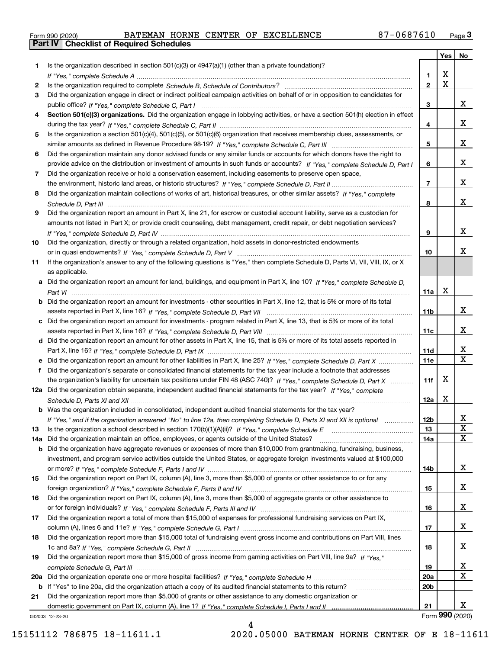|  | Form 990 (2020) |
|--|-----------------|

|     |                                                                                                                                  |                 | <b>Yes</b>              | No                      |
|-----|----------------------------------------------------------------------------------------------------------------------------------|-----------------|-------------------------|-------------------------|
| 1   | Is the organization described in section $501(c)(3)$ or $4947(a)(1)$ (other than a private foundation)?                          |                 |                         |                         |
|     |                                                                                                                                  | 1.              | X                       |                         |
| 2   |                                                                                                                                  | $\overline{2}$  | $\overline{\mathbf{x}}$ |                         |
| 3   | Did the organization engage in direct or indirect political campaign activities on behalf of or in opposition to candidates for  |                 |                         |                         |
|     |                                                                                                                                  | 3               |                         | x                       |
| 4   | Section 501(c)(3) organizations. Did the organization engage in lobbying activities, or have a section 501(h) election in effect |                 |                         | x                       |
|     |                                                                                                                                  | 4               |                         |                         |
| 5   | Is the organization a section 501(c)(4), 501(c)(5), or 501(c)(6) organization that receives membership dues, assessments, or     | 5               |                         | x                       |
| 6   | Did the organization maintain any donor advised funds or any similar funds or accounts for which donors have the right to        |                 |                         |                         |
|     | provide advice on the distribution or investment of amounts in such funds or accounts? If "Yes," complete Schedule D, Part I     | 6               |                         | x                       |
| 7   | Did the organization receive or hold a conservation easement, including easements to preserve open space,                        |                 |                         |                         |
|     |                                                                                                                                  | $\overline{7}$  |                         | x                       |
| 8   | Did the organization maintain collections of works of art, historical treasures, or other similar assets? If "Yes," complete     |                 |                         |                         |
|     |                                                                                                                                  | 8               |                         | х                       |
| 9   | Did the organization report an amount in Part X, line 21, for escrow or custodial account liability, serve as a custodian for    |                 |                         |                         |
|     | amounts not listed in Part X; or provide credit counseling, debt management, credit repair, or debt negotiation services?        |                 |                         |                         |
|     |                                                                                                                                  | 9               |                         | x                       |
| 10  | Did the organization, directly or through a related organization, hold assets in donor-restricted endowments                     |                 |                         |                         |
|     |                                                                                                                                  | 10              |                         | x                       |
| 11  | If the organization's answer to any of the following questions is "Yes," then complete Schedule D, Parts VI, VII, VIII, IX, or X |                 |                         |                         |
|     | as applicable.                                                                                                                   |                 |                         |                         |
|     | a Did the organization report an amount for land, buildings, and equipment in Part X, line 10? If "Yes," complete Schedule D,    |                 |                         |                         |
|     |                                                                                                                                  | 11a             | X                       |                         |
|     | Did the organization report an amount for investments - other securities in Part X, line 12, that is 5% or more of its total     |                 |                         |                         |
|     |                                                                                                                                  | 11 <sub>b</sub> |                         | x                       |
|     | Did the organization report an amount for investments - program related in Part X, line 13, that is 5% or more of its total      | 11c             |                         | x                       |
| d   | Did the organization report an amount for other assets in Part X, line 15, that is 5% or more of its total assets reported in    |                 |                         |                         |
|     |                                                                                                                                  | 11d             |                         | х                       |
|     | Did the organization report an amount for other liabilities in Part X, line 25? If "Yes," complete Schedule D, Part X            | 11e             |                         | $\overline{\mathbf{x}}$ |
|     | Did the organization's separate or consolidated financial statements for the tax year include a footnote that addresses          |                 |                         |                         |
|     | the organization's liability for uncertain tax positions under FIN 48 (ASC 740)? If "Yes," complete Schedule D, Part X           | 11f             | X                       |                         |
|     | 12a Did the organization obtain separate, independent audited financial statements for the tax year? If "Yes," complete          |                 |                         |                         |
|     |                                                                                                                                  | 12a             | X                       |                         |
|     | <b>b</b> Was the organization included in consolidated, independent audited financial statements for the tax year?               |                 |                         |                         |
|     | If "Yes," and if the organization answered "No" to line 12a, then completing Schedule D, Parts XI and XII is optional            | 12b             |                         | ᅀ                       |
| 13  |                                                                                                                                  | 13              |                         | $\mathbf X$             |
| 14a | Did the organization maintain an office, employees, or agents outside of the United States?                                      | 14a             |                         | X                       |
| b   | Did the organization have aggregate revenues or expenses of more than \$10,000 from grantmaking, fundraising, business,          |                 |                         |                         |
|     | investment, and program service activities outside the United States, or aggregate foreign investments valued at \$100,000       |                 |                         |                         |
|     |                                                                                                                                  | 14b             |                         | x                       |
| 15  | Did the organization report on Part IX, column (A), line 3, more than \$5,000 of grants or other assistance to or for any        |                 |                         | x                       |
| 16  | Did the organization report on Part IX, column (A), line 3, more than \$5,000 of aggregate grants or other assistance to         | 15              |                         |                         |
|     |                                                                                                                                  | 16              |                         | x                       |
| 17  | Did the organization report a total of more than \$15,000 of expenses for professional fundraising services on Part IX,          |                 |                         |                         |
|     |                                                                                                                                  | 17              |                         | x                       |
| 18  | Did the organization report more than \$15,000 total of fundraising event gross income and contributions on Part VIII, lines     |                 |                         |                         |
|     |                                                                                                                                  | 18              |                         | x                       |
| 19  | Did the organization report more than \$15,000 of gross income from gaming activities on Part VIII, line 9a? If "Yes."           |                 |                         |                         |
|     |                                                                                                                                  | 19              |                         | x                       |
| 20a |                                                                                                                                  | 20a             |                         | X                       |
| b   | If "Yes" to line 20a, did the organization attach a copy of its audited financial statements to this return?                     | 20 <sub>b</sub> |                         |                         |
| 21  | Did the organization report more than \$5,000 of grants or other assistance to any domestic organization or                      |                 |                         |                         |
|     |                                                                                                                                  | 21              |                         | x                       |
|     | 032003 12-23-20                                                                                                                  |                 |                         | Form 990 (2020)         |

032003 12-23-20

4 15151112 786875 18-11611.1 2020.05000 BATEMAN HORNE CENTER OF E 18-11611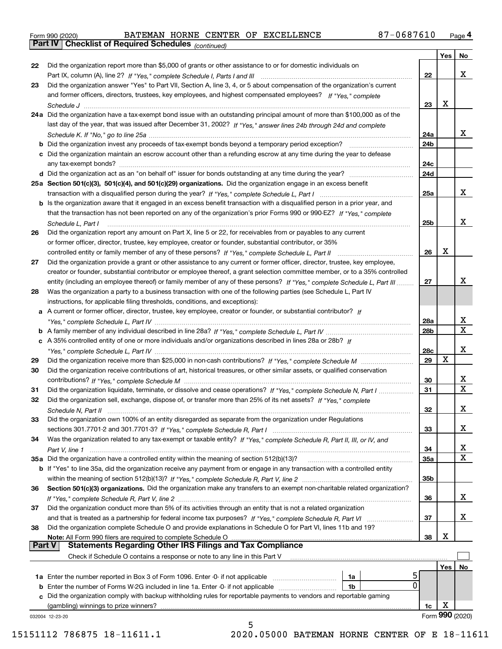|  | Form 990 (2020) |
|--|-----------------|
|  |                 |

*(continued)*

|        |                                                                                                                              |            | Yes | No              |
|--------|------------------------------------------------------------------------------------------------------------------------------|------------|-----|-----------------|
| 22     | Did the organization report more than \$5,000 of grants or other assistance to or for domestic individuals on                |            |     |                 |
|        |                                                                                                                              | 22         |     | х               |
| 23     | Did the organization answer "Yes" to Part VII, Section A, line 3, 4, or 5 about compensation of the organization's current   |            |     |                 |
|        | and former officers, directors, trustees, key employees, and highest compensated employees? If "Yes," complete               |            |     |                 |
|        |                                                                                                                              | 23         | X   |                 |
|        | 24a Did the organization have a tax-exempt bond issue with an outstanding principal amount of more than \$100,000 as of the  |            |     |                 |
|        | last day of the year, that was issued after December 31, 2002? If "Yes," answer lines 24b through 24d and complete           |            |     |                 |
|        |                                                                                                                              | 24a        |     | х               |
|        | <b>b</b> Did the organization invest any proceeds of tax-exempt bonds beyond a temporary period exception?                   | 24b        |     |                 |
|        | c Did the organization maintain an escrow account other than a refunding escrow at any time during the year to defease       |            |     |                 |
|        |                                                                                                                              | 24c        |     |                 |
|        |                                                                                                                              | 24d        |     |                 |
|        | 25a Section 501(c)(3), 501(c)(4), and 501(c)(29) organizations. Did the organization engage in an excess benefit             |            |     |                 |
|        |                                                                                                                              | 25a        |     | x               |
|        | b Is the organization aware that it engaged in an excess benefit transaction with a disqualified person in a prior year, and |            |     |                 |
|        | that the transaction has not been reported on any of the organization's prior Forms 990 or 990-EZ? If "Yes," complete        |            |     |                 |
|        | Schedule L. Part I                                                                                                           | 25b        |     | х               |
| 26     | Did the organization report any amount on Part X, line 5 or 22, for receivables from or payables to any current              |            |     |                 |
|        | or former officer, director, trustee, key employee, creator or founder, substantial contributor, or 35%                      |            |     |                 |
|        |                                                                                                                              | 26         | X   |                 |
| 27     | Did the organization provide a grant or other assistance to any current or former officer, director, trustee, key employee,  |            |     |                 |
|        | creator or founder, substantial contributor or employee thereof, a grant selection committee member, or to a 35% controlled  |            |     |                 |
|        | entity (including an employee thereof) or family member of any of these persons? If "Yes," complete Schedule L, Part III     | 27         |     | x               |
| 28     | Was the organization a party to a business transaction with one of the following parties (see Schedule L, Part IV            |            |     |                 |
|        | instructions, for applicable filing thresholds, conditions, and exceptions):                                                 |            |     |                 |
|        | a A current or former officer, director, trustee, key employee, creator or founder, or substantial contributor? If           |            |     |                 |
|        |                                                                                                                              | 28a        |     | x               |
|        |                                                                                                                              | 28b        |     | $\mathbf X$     |
|        | c A 35% controlled entity of one or more individuals and/or organizations described in lines 28a or 28b? If                  |            |     |                 |
|        |                                                                                                                              | 28c        |     | х               |
| 29     |                                                                                                                              | 29         | х   |                 |
| 30     | Did the organization receive contributions of art, historical treasures, or other similar assets, or qualified conservation  |            |     |                 |
|        |                                                                                                                              | 30         |     | х               |
| 31     | Did the organization liquidate, terminate, or dissolve and cease operations? If "Yes," complete Schedule N, Part I           | 31         |     | $\mathbf X$     |
| 32     | Did the organization sell, exchange, dispose of, or transfer more than 25% of its net assets? If "Yes," complete             |            |     |                 |
|        | Schedule N, Part II                                                                                                          | 32         |     | х               |
| 33     | Did the organization own 100% of an entity disregarded as separate from the organization under Regulations                   |            |     |                 |
|        |                                                                                                                              | 33         |     | х               |
| 34     | Was the organization related to any tax-exempt or taxable entity? If "Yes," complete Schedule R, Part II, III, or IV, and    |            |     |                 |
|        |                                                                                                                              | 34         |     | x               |
|        | 35a Did the organization have a controlled entity within the meaning of section 512(b)(13)?                                  | <b>35a</b> |     | X               |
|        | b If "Yes" to line 35a, did the organization receive any payment from or engage in any transaction with a controlled entity  |            |     |                 |
|        |                                                                                                                              | 35b        |     |                 |
| 36     | Section 501(c)(3) organizations. Did the organization make any transfers to an exempt non-charitable related organization?   |            |     |                 |
|        |                                                                                                                              | 36         |     | x               |
| 37     | Did the organization conduct more than 5% of its activities through an entity that is not a related organization             |            |     |                 |
|        | and that is treated as a partnership for federal income tax purposes? If "Yes," complete Schedule R, Part VI                 | 37         |     | x               |
| 38     | Did the organization complete Schedule O and provide explanations in Schedule O for Part VI, lines 11b and 19?               |            |     |                 |
|        | Note: All Form 990 filers are required to complete Schedule O                                                                | 38         | X   |                 |
| Part V | <b>Statements Regarding Other IRS Filings and Tax Compliance</b>                                                             |            |     |                 |
|        | Check if Schedule O contains a response or note to any line in this Part V                                                   |            |     |                 |
|        |                                                                                                                              |            | Yes | No              |
|        | 1a Enter the number reported in Box 3 of Form 1096. Enter -0- if not applicable<br>1a                                        |            |     |                 |
|        | 0<br>1b                                                                                                                      |            |     |                 |
| c      | Did the organization comply with backup withholding rules for reportable payments to vendors and reportable gaming           |            |     |                 |
|        | (gambling) winnings to prize winners?                                                                                        | 1c         | X   |                 |
|        | 032004 12-23-20<br>5                                                                                                         |            |     | Form 990 (2020) |
|        |                                                                                                                              |            |     |                 |

 <sup>15151112 786875 18-11611.1 2020.05000</sup> BATEMAN HORNE CENTER OF E 18-11611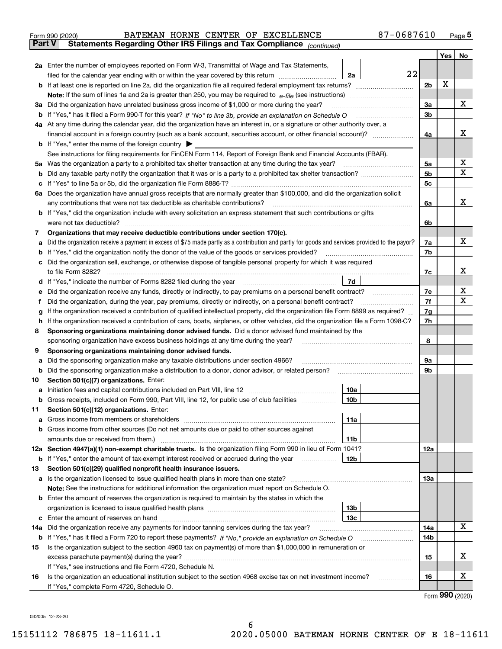| Form 990 (2020) |  |  | BATEMAN HORNE CENTER OF EXCELLENCE                                                             | 87-0687610 | Page $5$ |
|-----------------|--|--|------------------------------------------------------------------------------------------------|------------|----------|
|                 |  |  | <b>Part V</b> Statements Regarding Other IRS Filings and Tax Compliance <sub>(continued)</sub> |            |          |

| Part V | Statements Regarding Other IRS Fillings and Tax Compilance $_{(continued)}$                                                                                                                                  |    |                |     |             |  |  |  |
|--------|--------------------------------------------------------------------------------------------------------------------------------------------------------------------------------------------------------------|----|----------------|-----|-------------|--|--|--|
|        |                                                                                                                                                                                                              |    |                | Yes | No          |  |  |  |
|        | 2a Enter the number of employees reported on Form W-3, Transmittal of Wage and Tax Statements,                                                                                                               |    |                |     |             |  |  |  |
|        | filed for the calendar year ending with or within the year covered by this return <i>manumumumum</i><br>2a                                                                                                   | 22 |                |     |             |  |  |  |
|        |                                                                                                                                                                                                              |    | 2 <sub>b</sub> | х   |             |  |  |  |
|        |                                                                                                                                                                                                              |    |                |     |             |  |  |  |
|        | 3a Did the organization have unrelated business gross income of \$1,000 or more during the year?                                                                                                             |    | За             |     | х           |  |  |  |
|        |                                                                                                                                                                                                              |    | 3b             |     |             |  |  |  |
|        | 4a At any time during the calendar year, did the organization have an interest in, or a signature or other authority over, a                                                                                 |    |                |     |             |  |  |  |
|        |                                                                                                                                                                                                              |    | 4a             |     | х           |  |  |  |
|        | <b>b</b> If "Yes," enter the name of the foreign country                                                                                                                                                     |    |                |     |             |  |  |  |
|        | See instructions for filing requirements for FinCEN Form 114, Report of Foreign Bank and Financial Accounts (FBAR).                                                                                          |    | 5a             |     | х           |  |  |  |
|        | 5a Was the organization a party to a prohibited tax shelter transaction at any time during the tax year?                                                                                                     |    |                |     |             |  |  |  |
|        |                                                                                                                                                                                                              |    | 5b             |     | $\mathbf X$ |  |  |  |
| c      |                                                                                                                                                                                                              |    | 5 <sub>c</sub> |     |             |  |  |  |
|        | 6a Does the organization have annual gross receipts that are normally greater than \$100,000, and did the organization solicit                                                                               |    |                |     | х           |  |  |  |
|        | any contributions that were not tax deductible as charitable contributions?<br><b>b</b> If "Yes," did the organization include with every solicitation an express statement that such contributions or gifts |    | 6a             |     |             |  |  |  |
|        | were not tax deductible?                                                                                                                                                                                     |    | 6b             |     |             |  |  |  |
| 7      | Organizations that may receive deductible contributions under section 170(c).                                                                                                                                |    |                |     |             |  |  |  |
| а      | Did the organization receive a payment in excess of \$75 made partly as a contribution and partly for goods and services provided to the payor?                                                              |    | 7a             |     | х           |  |  |  |
|        | <b>b</b> If "Yes," did the organization notify the donor of the value of the goods or services provided?                                                                                                     |    | 7b             |     |             |  |  |  |
|        | c Did the organization sell, exchange, or otherwise dispose of tangible personal property for which it was required                                                                                          |    |                |     |             |  |  |  |
|        | to file Form 8282?                                                                                                                                                                                           |    | 7с             |     | х           |  |  |  |
|        | 7d<br>d If "Yes," indicate the number of Forms 8282 filed during the year                                                                                                                                    |    |                |     |             |  |  |  |
| е      | Did the organization receive any funds, directly or indirectly, to pay premiums on a personal benefit contract?                                                                                              |    | 7e             |     | х           |  |  |  |
| f      | Did the organization, during the year, pay premiums, directly or indirectly, on a personal benefit contract?                                                                                                 |    |                |     |             |  |  |  |
| g      | If the organization received a contribution of qualified intellectual property, did the organization file Form 8899 as required?                                                                             |    |                |     |             |  |  |  |
| h.     | If the organization received a contribution of cars, boats, airplanes, or other vehicles, did the organization file a Form 1098-C?                                                                           |    |                |     |             |  |  |  |
| 8      | Sponsoring organizations maintaining donor advised funds. Did a donor advised fund maintained by the                                                                                                         |    |                |     |             |  |  |  |
|        | sponsoring organization have excess business holdings at any time during the year?                                                                                                                           |    |                |     |             |  |  |  |
| 9      | Sponsoring organizations maintaining donor advised funds.                                                                                                                                                    |    |                |     |             |  |  |  |
| а      | Did the sponsoring organization make any taxable distributions under section 4966?                                                                                                                           |    | 9а             |     |             |  |  |  |
|        | <b>b</b> Did the sponsoring organization make a distribution to a donor, donor advisor, or related person?                                                                                                   |    | 9b             |     |             |  |  |  |
| 10     | Section 501(c)(7) organizations. Enter:                                                                                                                                                                      |    |                |     |             |  |  |  |
| а      | 10a<br>Initiation fees and capital contributions included on Part VIII, line 12 <i>manorana controllering</i>                                                                                                |    |                |     |             |  |  |  |
|        | b Gross receipts, included on Form 990, Part VIII, line 12, for public use of club facilities<br>10b                                                                                                         |    |                |     |             |  |  |  |
| 11.    | Section 501(c)(12) organizations. Enter:                                                                                                                                                                     |    |                |     |             |  |  |  |
|        | 11a                                                                                                                                                                                                          |    |                |     |             |  |  |  |
|        | <b>b</b> Gross income from other sources (Do not net amounts due or paid to other sources against                                                                                                            |    |                |     |             |  |  |  |
|        | 11b                                                                                                                                                                                                          |    |                |     |             |  |  |  |
|        | 12a Section 4947(a)(1) non-exempt charitable trusts. Is the organization filing Form 990 in lieu of Form 1041?                                                                                               |    | 12a            |     |             |  |  |  |
|        | 12b<br><b>b</b> If "Yes," enter the amount of tax-exempt interest received or accrued during the year                                                                                                        |    |                |     |             |  |  |  |
| 13     | Section 501(c)(29) qualified nonprofit health insurance issuers.                                                                                                                                             |    |                |     |             |  |  |  |
|        | a Is the organization licensed to issue qualified health plans in more than one state?<br>Note: See the instructions for additional information the organization must report on Schedule O.                  |    | 13a            |     |             |  |  |  |
|        | <b>b</b> Enter the amount of reserves the organization is required to maintain by the states in which the                                                                                                    |    |                |     |             |  |  |  |
|        | 13 <sub>b</sub>                                                                                                                                                                                              |    |                |     |             |  |  |  |
|        | 13 <sub>c</sub>                                                                                                                                                                                              |    |                |     |             |  |  |  |
|        | 14a Did the organization receive any payments for indoor tanning services during the tax year?                                                                                                               |    | 14a            |     | х           |  |  |  |
|        |                                                                                                                                                                                                              |    | 14b            |     |             |  |  |  |
| 15     | Is the organization subject to the section 4960 tax on payment(s) of more than \$1,000,000 in remuneration or                                                                                                |    |                |     |             |  |  |  |
|        |                                                                                                                                                                                                              |    | 15             |     | х           |  |  |  |
|        | If "Yes," see instructions and file Form 4720, Schedule N.                                                                                                                                                   |    |                |     |             |  |  |  |
| 16     | Is the organization an educational institution subject to the section 4968 excise tax on net investment income?                                                                                              |    | 16             |     | х           |  |  |  |
|        | If "Yes," complete Form 4720, Schedule O.                                                                                                                                                                    |    |                |     |             |  |  |  |
|        |                                                                                                                                                                                                              |    |                |     |             |  |  |  |

6

Form (2020) **990**

032005 12-23-20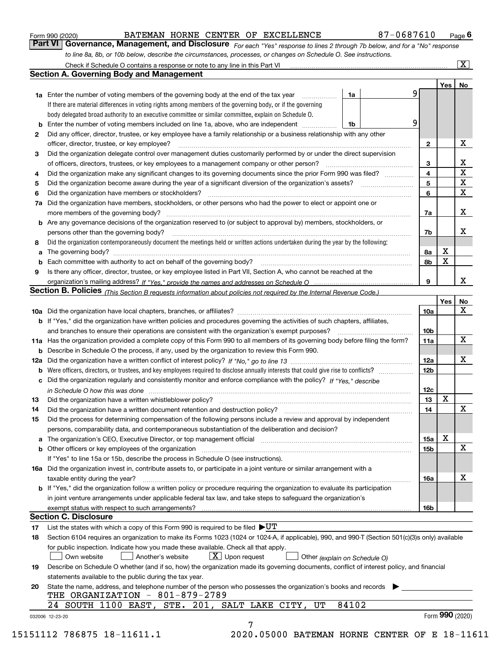|  | Form 990 (2020) |  |
|--|-----------------|--|
|  |                 |  |

| Form 990 (2020) |                                                                                                                               |  | BATEMAN HORNE CENTER OF EXCELLENCE | 87-0687610 | $P_{\text{aqe}}$ 6 |
|-----------------|-------------------------------------------------------------------------------------------------------------------------------|--|------------------------------------|------------|--------------------|
|                 | Part VI   Governance, Management, and Disclosure For each "Yes" response to lines 2 through 7b below, and for a "No" response |  |                                    |            |                    |
|                 | to line 8a, 8b, or 10b below, describe the circumstances, processes, or changes on Schedule O. See instructions.              |  |                                    |            |                    |

|    |                                                                                                                                                                                                                         |       |                         | Yes         |                 | No                      |
|----|-------------------------------------------------------------------------------------------------------------------------------------------------------------------------------------------------------------------------|-------|-------------------------|-------------|-----------------|-------------------------|
|    | <b>1a</b> Enter the number of voting members of the governing body at the end of the tax year <i>manumum</i>                                                                                                            | 1a    | 9                       |             |                 |                         |
|    | If there are material differences in voting rights among members of the governing body, or if the governing                                                                                                             |       |                         |             |                 |                         |
|    | body delegated broad authority to an executive committee or similar committee, explain on Schedule O.                                                                                                                   |       |                         |             |                 |                         |
|    |                                                                                                                                                                                                                         | 1b    | 9                       |             |                 |                         |
| 2  | Did any officer, director, trustee, or key employee have a family relationship or a business relationship with any other                                                                                                |       |                         |             |                 |                         |
|    | officer, director, trustee, or key employee?                                                                                                                                                                            |       | $\mathbf{2}$            |             |                 | X                       |
| 3  | Did the organization delegate control over management duties customarily performed by or under the direct supervision                                                                                                   |       |                         |             |                 |                         |
|    |                                                                                                                                                                                                                         |       | 3                       |             |                 | X                       |
| 4  | Did the organization make any significant changes to its governing documents since the prior Form 990 was filed?                                                                                                        |       | $\overline{\mathbf{4}}$ |             |                 | $\overline{\mathbf{x}}$ |
| 5  |                                                                                                                                                                                                                         |       | 5                       |             |                 | $\mathbf X$             |
| 6  | Did the organization have members or stockholders?                                                                                                                                                                      |       | 6                       |             |                 | $\mathbf X$             |
|    | 7a Did the organization have members, stockholders, or other persons who had the power to elect or appoint one or                                                                                                       |       |                         |             |                 |                         |
|    |                                                                                                                                                                                                                         |       | 7a                      |             |                 | X                       |
|    | <b>b</b> Are any governance decisions of the organization reserved to (or subject to approval by) members, stockholders, or                                                                                             |       |                         |             |                 |                         |
|    | persons other than the governing body?                                                                                                                                                                                  |       | 7b                      |             |                 | X                       |
| 8  | Did the organization contemporaneously document the meetings held or written actions undertaken during the vear by the following:                                                                                       |       |                         |             |                 |                         |
| a  |                                                                                                                                                                                                                         |       | 8a                      | X           |                 |                         |
|    |                                                                                                                                                                                                                         |       | 8b                      | X           |                 |                         |
| 9  | Is there any officer, director, trustee, or key employee listed in Part VII, Section A, who cannot be reached at the                                                                                                    |       |                         |             |                 |                         |
|    |                                                                                                                                                                                                                         |       | 9                       |             |                 | х                       |
|    | Section B. Policies (This Section B requests information about policies not required by the Internal Revenue Code.)                                                                                                     |       |                         |             |                 |                         |
|    |                                                                                                                                                                                                                         |       |                         | Yes         |                 | No                      |
|    |                                                                                                                                                                                                                         |       | 10a                     |             |                 | X                       |
|    | <b>b</b> If "Yes," did the organization have written policies and procedures governing the activities of such chapters, affiliates,                                                                                     |       |                         |             |                 |                         |
|    |                                                                                                                                                                                                                         |       | 10 <sub>b</sub>         |             |                 |                         |
|    | 11a Has the organization provided a complete copy of this Form 990 to all members of its governing body before filing the form?                                                                                         |       | 11a                     |             |                 | X                       |
|    | <b>b</b> Describe in Schedule O the process, if any, used by the organization to review this Form 990.                                                                                                                  |       |                         |             |                 |                         |
|    |                                                                                                                                                                                                                         |       | <b>12a</b>              |             |                 | X                       |
| b  |                                                                                                                                                                                                                         |       | 12b                     |             |                 |                         |
|    | c Did the organization regularly and consistently monitor and enforce compliance with the policy? If "Yes," describe                                                                                                    |       |                         |             |                 |                         |
|    |                                                                                                                                                                                                                         |       | 12c                     |             |                 |                         |
| 13 | in Schedule O how this was done measured and contained a state of the state of the state of the state of the s                                                                                                          |       | 13                      | $\mathbf X$ |                 |                         |
| 14 | Did the organization have a written document retention and destruction policy? manufactured and the organization have a written document retention and destruction policy?                                              |       | 14                      |             |                 | $\mathbf X$             |
|    |                                                                                                                                                                                                                         |       |                         |             |                 |                         |
| 15 | Did the process for determining compensation of the following persons include a review and approval by independent<br>persons, comparability data, and contemporaneous substantiation of the deliberation and decision? |       |                         |             |                 |                         |
|    |                                                                                                                                                                                                                         |       |                         | X           |                 |                         |
|    |                                                                                                                                                                                                                         |       | 15a                     |             |                 | $\mathbf X$             |
|    | <b>b</b> Other officers or key employees of the organization                                                                                                                                                            |       | 15 <sub>b</sub>         |             |                 |                         |
|    | If "Yes" to line 15a or 15b, describe the process in Schedule O (see instructions).                                                                                                                                     |       |                         |             |                 |                         |
|    | 16a Did the organization invest in, contribute assets to, or participate in a joint venture or similar arrangement with a                                                                                               |       |                         |             |                 | X                       |
|    | taxable entity during the year?                                                                                                                                                                                         |       | 16a                     |             |                 |                         |
|    | b If "Yes," did the organization follow a written policy or procedure requiring the organization to evaluate its participation                                                                                          |       |                         |             |                 |                         |
|    | in joint venture arrangements under applicable federal tax law, and take steps to safequard the organization's                                                                                                          |       |                         |             |                 |                         |
|    | exempt status with respect to such arrangements?                                                                                                                                                                        |       | 16b                     |             |                 |                         |
|    | <b>Section C. Disclosure</b>                                                                                                                                                                                            |       |                         |             |                 |                         |
| 17 | List the states with which a copy of this Form 990 is required to be filed $\blacktriangleright\texttt{UT}$                                                                                                             |       |                         |             |                 |                         |
| 18 | Section 6104 requires an organization to make its Forms 1023 (1024 or 1024-A, if applicable), 990, and 990-T (Section 501(c)(3)s only) available                                                                        |       |                         |             |                 |                         |
|    | for public inspection. Indicate how you made these available. Check all that apply.                                                                                                                                     |       |                         |             |                 |                         |
|    | $X$ Upon request<br>Own website<br>Another's website<br>Other (explain on Schedule O)                                                                                                                                   |       |                         |             |                 |                         |
| 19 | Describe on Schedule O whether (and if so, how) the organization made its governing documents, conflict of interest policy, and financial                                                                               |       |                         |             |                 |                         |
|    | statements available to the public during the tax year.                                                                                                                                                                 |       |                         |             |                 |                         |
| 20 | State the name, address, and telephone number of the person who possesses the organization's books and records                                                                                                          |       |                         |             |                 |                         |
|    | THE ORGANIZATION - 801-879-2789                                                                                                                                                                                         |       |                         |             |                 |                         |
|    | 24 SOUTH 1100 EAST, STE. 201, SALT LAKE CITY,<br>UT                                                                                                                                                                     | 84102 |                         |             |                 |                         |
|    |                                                                                                                                                                                                                         |       |                         |             | Form 990 (2020) |                         |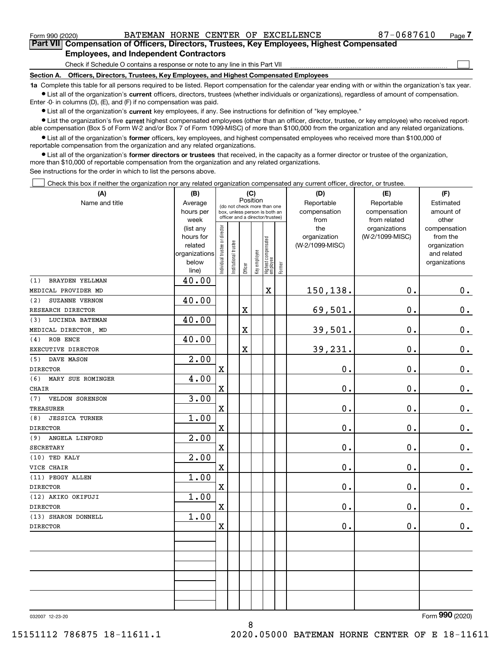$\mathcal{L}^{\text{max}}$ 

**7Part VII Compensation of Officers, Directors, Trustees, Key Employees, Highest Compensated Employees, and Independent Contractors**

Check if Schedule O contains a response or note to any line in this Part VII

**Section A. Officers, Directors, Trustees, Key Employees, and Highest Compensated Employees**

**1a**  Complete this table for all persons required to be listed. Report compensation for the calendar year ending with or within the organization's tax year. **•** List all of the organization's current officers, directors, trustees (whether individuals or organizations), regardless of amount of compensation.

Enter -0- in columns (D), (E), and (F) if no compensation was paid.

 $\bullet$  List all of the organization's  $\,$ current key employees, if any. See instructions for definition of "key employee."

**•** List the organization's five current highest compensated employees (other than an officer, director, trustee, or key employee) who received reportable compensation (Box 5 of Form W-2 and/or Box 7 of Form 1099-MISC) of more than \$100,000 from the organization and any related organizations.

**•** List all of the organization's former officers, key employees, and highest compensated employees who received more than \$100,000 of reportable compensation from the organization and any related organizations.

**former directors or trustees**  ¥ List all of the organization's that received, in the capacity as a former director or trustee of the organization, more than \$10,000 of reportable compensation from the organization and any related organizations.

See instructions for the order in which to list the persons above.

Check this box if neither the organization nor any related organization compensated any current officer, director, or trustee.  $\mathcal{L}^{\text{max}}$ 

| (A)                          | (B)                    | (C)                           |                                                                                                             |         |              |                                   | (D)       | (E)                 | (F)                              |                          |
|------------------------------|------------------------|-------------------------------|-------------------------------------------------------------------------------------------------------------|---------|--------------|-----------------------------------|-----------|---------------------|----------------------------------|--------------------------|
| Name and title               | Average                |                               | Position<br>(do not check more than one<br>box, unless person is both an<br>officer and a director/trustee) |         | Reportable   | Reportable                        | Estimated |                     |                                  |                          |
|                              | hours per              |                               |                                                                                                             |         | compensation | compensation                      | amount of |                     |                                  |                          |
|                              | week                   |                               |                                                                                                             |         |              |                                   |           | from                | from related                     | other                    |
|                              | (list any<br>hours for |                               |                                                                                                             |         |              |                                   |           | the<br>organization | organizations<br>(W-2/1099-MISC) | compensation<br>from the |
|                              | related                |                               |                                                                                                             |         |              |                                   |           | (W-2/1099-MISC)     |                                  | organization             |
|                              | organizations          |                               |                                                                                                             |         |              |                                   |           |                     |                                  | and related              |
|                              | below                  | ndividual trustee or director | nstitutional trustee                                                                                        |         | Key employee |                                   |           |                     |                                  | organizations            |
|                              | line)                  |                               |                                                                                                             | Officer |              | Highest compensated<br>  employee | Former    |                     |                                  |                          |
| BRAYDEN YELLMAN<br>(1)       | 40.00                  |                               |                                                                                                             |         |              |                                   |           |                     |                                  |                          |
| MEDICAL PROVIDER MD          |                        |                               |                                                                                                             |         |              | $\mathbf X$                       |           | 150,138.            | 0.                               | $0_{.}$                  |
| SUZANNE VERNON<br>(2)        | 40.00                  |                               |                                                                                                             |         |              |                                   |           |                     |                                  |                          |
| RESEARCH DIRECTOR            |                        |                               |                                                                                                             | X       |              |                                   |           | 69,501.             | 0.                               | $\mathbf 0$ .            |
| LUCINDA BATEMAN<br>(3)       | 40.00                  |                               |                                                                                                             |         |              |                                   |           |                     |                                  |                          |
| MEDICAL DIRECTOR, MD         |                        |                               |                                                                                                             | X       |              |                                   |           | 39,501.             | 0.                               | $\mathbf 0$ .            |
| ROB ENCE<br>(4)              | 40.00                  |                               |                                                                                                             |         |              |                                   |           |                     |                                  |                          |
| EXECUTIVE DIRECTOR           |                        |                               |                                                                                                             | X       |              |                                   |           | 39,231.             | 0.                               | 0.                       |
| DAVE MASON<br>(5)            | $\overline{2.00}$      |                               |                                                                                                             |         |              |                                   |           |                     |                                  |                          |
| <b>DIRECTOR</b>              |                        | $\mathbf x$                   |                                                                                                             |         |              |                                   |           | 0.                  | 0.                               | $\mathbf 0$ .            |
| (6)<br>MARY SUE ROMINGER     | 4.00                   |                               |                                                                                                             |         |              |                                   |           |                     |                                  |                          |
| <b>CHAIR</b>                 |                        | $\mathbf X$                   |                                                                                                             |         |              |                                   |           | 0.                  | 0.                               | $\mathbf 0$ .            |
| VELDON SORENSON<br>(7)       | 3.00                   |                               |                                                                                                             |         |              |                                   |           |                     |                                  |                          |
| <b>TREASURER</b>             |                        | $\mathbf x$                   |                                                                                                             |         |              |                                   |           | 0.                  | 0.                               | $0_{\cdot}$              |
| <b>JESSICA TURNER</b><br>(8) | 1.00                   |                               |                                                                                                             |         |              |                                   |           |                     |                                  |                          |
| <b>DIRECTOR</b>              |                        | $\mathbf X$                   |                                                                                                             |         |              |                                   |           | 0.                  | 0.                               | $\mathbf 0$ .            |
| ANGELA LINFORD<br>(9)        | 2.00                   |                               |                                                                                                             |         |              |                                   |           |                     |                                  |                          |
| <b>SECRETARY</b>             |                        | $\mathbf X$                   |                                                                                                             |         |              |                                   |           | 0.                  | 0.                               | $\mathbf 0$ .            |
| (10) TED KALY                | 2.00                   |                               |                                                                                                             |         |              |                                   |           |                     |                                  |                          |
| VICE CHAIR                   |                        | $\mathbf X$                   |                                                                                                             |         |              |                                   |           | $\mathbf 0$ .       | $0$ .                            | $\mathbf 0$ .            |
| (11) PEGGY ALLEN             | 1.00                   |                               |                                                                                                             |         |              |                                   |           |                     |                                  |                          |
| <b>DIRECTOR</b>              |                        | $\mathbf X$                   |                                                                                                             |         |              |                                   |           | 0.                  | 0.                               | $\mathbf 0$ .            |
| (12) AKIKO OKIFUJI           | 1.00                   |                               |                                                                                                             |         |              |                                   |           |                     |                                  |                          |
| <b>DIRECTOR</b>              |                        | $\mathbf X$                   |                                                                                                             |         |              |                                   |           | 0.                  | 0.                               | $\mathbf 0$ .            |
| (13) SHARON DONNELL          | 1.00                   |                               |                                                                                                             |         |              |                                   |           |                     |                                  |                          |
| <b>DIRECTOR</b>              |                        | $\mathbf X$                   |                                                                                                             |         |              |                                   |           | 0.                  | 0.                               | $0_{.}$                  |
|                              |                        |                               |                                                                                                             |         |              |                                   |           |                     |                                  |                          |
|                              |                        |                               |                                                                                                             |         |              |                                   |           |                     |                                  |                          |
|                              |                        |                               |                                                                                                             |         |              |                                   |           |                     |                                  |                          |
|                              |                        |                               |                                                                                                             |         |              |                                   |           |                     |                                  |                          |
|                              |                        |                               |                                                                                                             |         |              |                                   |           |                     |                                  |                          |
|                              |                        |                               |                                                                                                             |         |              |                                   |           |                     |                                  |                          |
|                              |                        |                               |                                                                                                             |         |              |                                   |           |                     |                                  |                          |
|                              |                        |                               |                                                                                                             |         |              |                                   |           |                     |                                  |                          |

8

032007 12-23-20

Form (2020) **990**

15151112 786875 18-11611.1 2020.05000 BATEMAN HORNE CENTER OF E 18-11611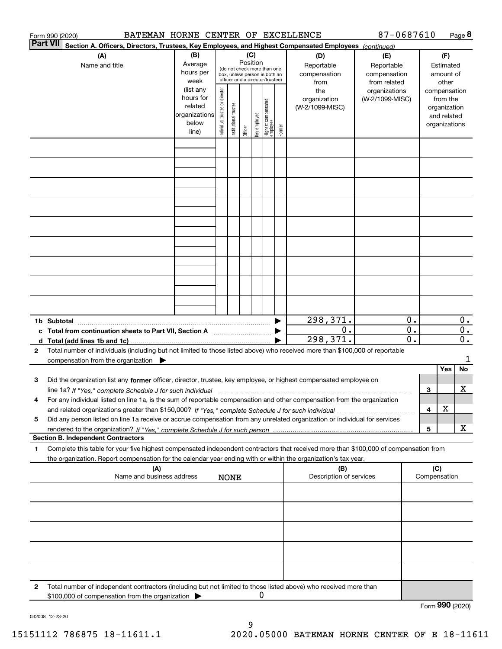|                 | BATEMAN HORNE CENTER OF EXCELLENCE<br>Form 990 (2020)                                                                                             |                          |                                |                       |          |              |                                                              |        |                         | 87-0687610      |                  |     |                              | Page 8           |
|-----------------|---------------------------------------------------------------------------------------------------------------------------------------------------|--------------------------|--------------------------------|-----------------------|----------|--------------|--------------------------------------------------------------|--------|-------------------------|-----------------|------------------|-----|------------------------------|------------------|
| <b>Part VII</b> | Section A. Officers, Directors, Trustees, Key Employees, and Highest Compensated Employees (continued)                                            |                          |                                |                       |          |              |                                                              |        |                         |                 |                  |     |                              |                  |
|                 | (A)                                                                                                                                               | (B)                      |                                |                       | (C)      |              |                                                              |        | (D)                     | (E)             |                  |     | (F)                          |                  |
|                 | Name and title                                                                                                                                    | Average                  |                                |                       | Position |              |                                                              |        | Reportable              | Reportable      |                  |     | Estimated                    |                  |
|                 |                                                                                                                                                   | hours per                |                                |                       |          |              | (do not check more than one<br>box, unless person is both an |        | compensation            | compensation    |                  |     | amount of                    |                  |
|                 |                                                                                                                                                   | week                     |                                |                       |          |              | officer and a director/trustee)                              |        | from                    | from related    |                  |     | other                        |                  |
|                 |                                                                                                                                                   | (list any                |                                |                       |          |              |                                                              |        | the                     | organizations   |                  |     | compensation                 |                  |
|                 |                                                                                                                                                   | hours for                |                                |                       |          |              |                                                              |        | organization            | (W-2/1099-MISC) |                  |     | from the                     |                  |
|                 |                                                                                                                                                   | related<br>organizations |                                |                       |          |              |                                                              |        | (W-2/1099-MISC)         |                 |                  |     | organization                 |                  |
|                 |                                                                                                                                                   | below                    |                                |                       |          |              |                                                              |        |                         |                 |                  |     | and related<br>organizations |                  |
|                 |                                                                                                                                                   | line)                    | Individual trustee or director | Institutional trustee | Officer  | Key employee | Highest compensated<br> employee                             | Former |                         |                 |                  |     |                              |                  |
|                 |                                                                                                                                                   |                          |                                |                       |          |              |                                                              |        |                         |                 |                  |     |                              |                  |
|                 |                                                                                                                                                   |                          |                                |                       |          |              |                                                              |        |                         |                 |                  |     |                              |                  |
|                 |                                                                                                                                                   |                          |                                |                       |          |              |                                                              |        |                         |                 |                  |     |                              |                  |
|                 |                                                                                                                                                   |                          |                                |                       |          |              |                                                              |        |                         |                 |                  |     |                              |                  |
|                 |                                                                                                                                                   |                          |                                |                       |          |              |                                                              |        |                         |                 |                  |     |                              |                  |
|                 |                                                                                                                                                   |                          |                                |                       |          |              |                                                              |        |                         |                 |                  |     |                              |                  |
|                 |                                                                                                                                                   |                          |                                |                       |          |              |                                                              |        |                         |                 |                  |     |                              |                  |
|                 |                                                                                                                                                   |                          |                                |                       |          |              |                                                              |        |                         |                 |                  |     |                              |                  |
|                 |                                                                                                                                                   |                          |                                |                       |          |              |                                                              |        |                         |                 |                  |     |                              |                  |
|                 |                                                                                                                                                   |                          |                                |                       |          |              |                                                              |        |                         |                 |                  |     |                              |                  |
|                 |                                                                                                                                                   |                          |                                |                       |          |              |                                                              |        |                         |                 |                  |     |                              |                  |
|                 |                                                                                                                                                   |                          |                                |                       |          |              |                                                              |        |                         |                 |                  |     |                              |                  |
|                 |                                                                                                                                                   |                          |                                |                       |          |              |                                                              |        |                         |                 |                  |     |                              |                  |
|                 |                                                                                                                                                   |                          |                                |                       |          |              |                                                              |        |                         |                 |                  |     |                              |                  |
|                 |                                                                                                                                                   |                          |                                |                       |          |              |                                                              |        |                         |                 |                  |     |                              |                  |
|                 |                                                                                                                                                   |                          |                                |                       |          |              |                                                              |        |                         |                 |                  |     |                              |                  |
|                 |                                                                                                                                                   |                          |                                |                       |          |              |                                                              |        |                         |                 |                  |     |                              |                  |
|                 |                                                                                                                                                   |                          |                                |                       |          |              |                                                              |        |                         |                 |                  |     |                              |                  |
|                 |                                                                                                                                                   |                          |                                |                       |          |              |                                                              |        | $\overline{298,371.}$   |                 | 0.               |     |                              | 0.               |
|                 | c Total from continuation sheets to Part VII, Section A manufactured by                                                                           |                          |                                |                       |          |              |                                                              |        | 0.                      |                 | $\overline{0}$ . |     |                              | $\overline{0}$ . |
|                 |                                                                                                                                                   |                          |                                |                       |          |              |                                                              |        | 298,371.                |                 | 0.               |     |                              | $\overline{0}$ . |
| 2               | Total number of individuals (including but not limited to those listed above) who received more than \$100,000 of reportable                      |                          |                                |                       |          |              |                                                              |        |                         |                 |                  |     |                              |                  |
|                 | compensation from the organization $\blacktriangleright$                                                                                          |                          |                                |                       |          |              |                                                              |        |                         |                 |                  |     |                              | 1                |
|                 |                                                                                                                                                   |                          |                                |                       |          |              |                                                              |        |                         |                 |                  |     | Yes                          | No               |
| 3               | Did the organization list any former officer, director, trustee, key employee, or highest compensated employee on                                 |                          |                                |                       |          |              |                                                              |        |                         |                 |                  |     |                              |                  |
|                 | line 1a? If "Yes," complete Schedule J for such individual material content content to the content of the complete Schedule J for such individual |                          |                                |                       |          |              |                                                              |        |                         |                 |                  | З   |                              | х                |
|                 | For any individual listed on line 1a, is the sum of reportable compensation and other compensation from the organization                          |                          |                                |                       |          |              |                                                              |        |                         |                 |                  |     |                              |                  |
|                 |                                                                                                                                                   |                          |                                |                       |          |              |                                                              |        |                         |                 |                  | 4   | х                            |                  |
| 5               | Did any person listed on line 1a receive or accrue compensation from any unrelated organization or individual for services                        |                          |                                |                       |          |              |                                                              |        |                         |                 |                  |     |                              |                  |
|                 |                                                                                                                                                   |                          |                                |                       |          |              |                                                              |        |                         |                 |                  | 5   |                              | x                |
|                 | <b>Section B. Independent Contractors</b>                                                                                                         |                          |                                |                       |          |              |                                                              |        |                         |                 |                  |     |                              |                  |
| 1               | Complete this table for your five highest compensated independent contractors that received more than \$100,000 of compensation from              |                          |                                |                       |          |              |                                                              |        |                         |                 |                  |     |                              |                  |
|                 | the organization. Report compensation for the calendar year ending with or within the organization's tax year.                                    |                          |                                |                       |          |              |                                                              |        |                         |                 |                  |     |                              |                  |
|                 | (A)                                                                                                                                               |                          |                                |                       |          |              |                                                              |        | (B)                     |                 |                  | (C) |                              |                  |
|                 | Name and business address                                                                                                                         |                          |                                | <b>NONE</b>           |          |              |                                                              |        | Description of services |                 |                  |     | Compensation                 |                  |
|                 |                                                                                                                                                   |                          |                                |                       |          |              |                                                              |        |                         |                 |                  |     |                              |                  |
|                 |                                                                                                                                                   |                          |                                |                       |          |              |                                                              |        |                         |                 |                  |     |                              |                  |
|                 |                                                                                                                                                   |                          |                                |                       |          |              |                                                              |        |                         |                 |                  |     |                              |                  |
|                 |                                                                                                                                                   |                          |                                |                       |          |              |                                                              |        |                         |                 |                  |     |                              |                  |
|                 |                                                                                                                                                   |                          |                                |                       |          |              |                                                              |        |                         |                 |                  |     |                              |                  |
|                 |                                                                                                                                                   |                          |                                |                       |          |              |                                                              |        |                         |                 |                  |     |                              |                  |
|                 |                                                                                                                                                   |                          |                                |                       |          |              |                                                              |        |                         |                 |                  |     |                              |                  |
|                 |                                                                                                                                                   |                          |                                |                       |          |              |                                                              |        |                         |                 |                  |     |                              |                  |
|                 |                                                                                                                                                   |                          |                                |                       |          |              |                                                              |        |                         |                 |                  |     |                              |                  |
|                 |                                                                                                                                                   |                          |                                |                       |          |              |                                                              |        |                         |                 |                  |     |                              |                  |
| 2               | Total number of independent contractors (including but not limited to those listed above) who received more than                                  |                          |                                |                       |          |              |                                                              |        |                         |                 |                  |     |                              |                  |
|                 | \$100,000 of compensation from the organization                                                                                                   |                          |                                |                       |          | 0            |                                                              |        |                         |                 |                  |     |                              |                  |
|                 |                                                                                                                                                   |                          |                                |                       |          |              |                                                              |        |                         |                 |                  |     | Form 990 (2020)              |                  |

032008 12-23-20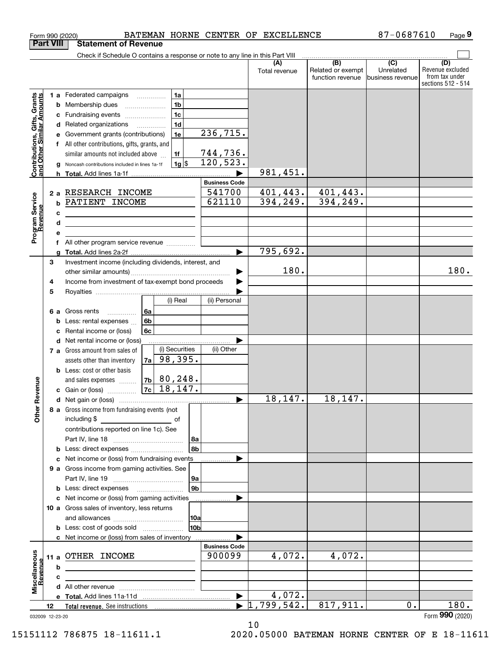|                                                           | Form 990 (2020)  | BATEMAN HORNE CENTER OF EXCELLENCE                                            |                                |               |                                                           | 87-0687610                                        | Page 9                                                          |
|-----------------------------------------------------------|------------------|-------------------------------------------------------------------------------|--------------------------------|---------------|-----------------------------------------------------------|---------------------------------------------------|-----------------------------------------------------------------|
|                                                           | <b>Part VIII</b> | <b>Statement of Revenue</b>                                                   |                                |               |                                                           |                                                   |                                                                 |
|                                                           |                  | Check if Schedule O contains a response or note to any line in this Part VIII |                                |               |                                                           |                                                   |                                                                 |
|                                                           |                  |                                                                               |                                | Total revenue | $\overline{(B)}$<br>Related or exempt<br>function revenue | $\overline{(C)}$<br>Unrelated<br>business revenue | (D)<br>Revenue excluded<br>from tax under<br>sections 512 - 514 |
|                                                           |                  | 1a<br><b>1 a</b> Federated campaigns                                          |                                |               |                                                           |                                                   |                                                                 |
|                                                           | b                | 1 <sub>b</sub><br>Membership dues                                             |                                |               |                                                           |                                                   |                                                                 |
|                                                           | с                | 1 <sub>c</sub><br>Fundraising events                                          |                                |               |                                                           |                                                   |                                                                 |
|                                                           | d                | 1 <sub>d</sub><br>Related organizations<br>$\overline{\phantom{a}}$           |                                |               |                                                           |                                                   |                                                                 |
| Contributions, Gifts, Grants<br>and Other Similar Amounts |                  | 1e<br>Government grants (contributions)                                       | 236, 715.                      |               |                                                           |                                                   |                                                                 |
|                                                           |                  | All other contributions, gifts, grants, and                                   |                                |               |                                                           |                                                   |                                                                 |
|                                                           |                  | similar amounts not included above<br>1f                                      | $\frac{744,736}{120,523}$ .    |               |                                                           |                                                   |                                                                 |
|                                                           |                  | 1g <br>Noncash contributions included in lines 1a-1f                          |                                |               |                                                           |                                                   |                                                                 |
|                                                           |                  |                                                                               | <b>Business Code</b>           | 981,451.      |                                                           |                                                   |                                                                 |
|                                                           |                  | 2 a RESEARCH INCOME                                                           | 541700                         | 401, 443.     | 401,443.                                                  |                                                   |                                                                 |
| Program Service<br>Revenue                                | b                | PATIENT INCOME                                                                | 621110                         | 394, 249.     | 394, 249.                                                 |                                                   |                                                                 |
|                                                           | c                |                                                                               |                                |               |                                                           |                                                   |                                                                 |
|                                                           | d                |                                                                               |                                |               |                                                           |                                                   |                                                                 |
|                                                           | е                |                                                                               |                                |               |                                                           |                                                   |                                                                 |
|                                                           |                  | All other program service revenue                                             |                                |               |                                                           |                                                   |                                                                 |
|                                                           |                  |                                                                               | $\blacktriangleright$          | 795,692.      |                                                           |                                                   |                                                                 |
|                                                           | 3                | Investment income (including dividends, interest, and                         |                                |               |                                                           |                                                   |                                                                 |
|                                                           |                  |                                                                               |                                | 180.          |                                                           |                                                   | 180.                                                            |
|                                                           | 4                | Income from investment of tax-exempt bond proceeds                            |                                |               |                                                           |                                                   |                                                                 |
|                                                           | 5                | (i) Real                                                                      | (ii) Personal                  |               |                                                           |                                                   |                                                                 |
|                                                           |                  |                                                                               |                                |               |                                                           |                                                   |                                                                 |
|                                                           | 6а<br>b          | Gross rents<br>l 6a<br>6 <sub>b</sub><br>Less: rental expenses                |                                |               |                                                           |                                                   |                                                                 |
|                                                           | с                | Rental income or (loss)<br>6c                                                 |                                |               |                                                           |                                                   |                                                                 |
|                                                           | d                | Net rental income or (loss)                                                   |                                |               |                                                           |                                                   |                                                                 |
|                                                           |                  | (i) Securities<br>7 a Gross amount from sales of                              | (ii) Other                     |               |                                                           |                                                   |                                                                 |
|                                                           |                  | 98, 395.<br>7a  <br>assets other than inventory                               |                                |               |                                                           |                                                   |                                                                 |
|                                                           |                  | <b>b</b> Less: cost or other basis                                            |                                |               |                                                           |                                                   |                                                                 |
|                                                           |                  | $7b$ 80, 248.<br>and sales expenses                                           |                                |               |                                                           |                                                   |                                                                 |
| evenue                                                    |                  | 18, 147.<br>7c<br>c Gain or (loss)                                            |                                |               |                                                           |                                                   |                                                                 |
|                                                           |                  |                                                                               |                                | 18,147.       | 18, 147.                                                  |                                                   |                                                                 |
| Other R                                                   |                  | 8 a Gross income from fundraising events (not                                 |                                |               |                                                           |                                                   |                                                                 |
|                                                           |                  | including $$$<br>of                                                           |                                |               |                                                           |                                                   |                                                                 |
|                                                           |                  | contributions reported on line 1c). See<br>8a                                 |                                |               |                                                           |                                                   |                                                                 |
|                                                           |                  | 8b                                                                            |                                |               |                                                           |                                                   |                                                                 |
|                                                           | с                | Net income or (loss) from fundraising events                                  |                                |               |                                                           |                                                   |                                                                 |
|                                                           |                  | 9 a Gross income from gaming activities. See                                  |                                |               |                                                           |                                                   |                                                                 |
|                                                           |                  | 9a                                                                            |                                |               |                                                           |                                                   |                                                                 |
|                                                           |                  | 9 <sub>b</sub><br><b>b</b> Less: direct expenses <b>manually</b>              |                                |               |                                                           |                                                   |                                                                 |
|                                                           | с                | Net income or (loss) from gaming activities                                   |                                |               |                                                           |                                                   |                                                                 |
|                                                           |                  | 10 a Gross sales of inventory, less returns                                   |                                |               |                                                           |                                                   |                                                                 |
|                                                           |                  | 10a                                                                           |                                |               |                                                           |                                                   |                                                                 |
|                                                           |                  | 10b<br><b>b</b> Less: cost of goods sold                                      |                                |               |                                                           |                                                   |                                                                 |
|                                                           |                  | c Net income or (loss) from sales of inventory                                |                                |               |                                                           |                                                   |                                                                 |
|                                                           |                  | OTHER INCOME                                                                  | <b>Business Code</b><br>900099 | 4,072.        | $\overline{4,072}$ .                                      |                                                   |                                                                 |
|                                                           | 11 a<br>b        |                                                                               |                                |               |                                                           |                                                   |                                                                 |
| evenue                                                    | c                |                                                                               |                                |               |                                                           |                                                   |                                                                 |
| Miscellaneous                                             |                  |                                                                               |                                |               |                                                           |                                                   |                                                                 |
|                                                           |                  |                                                                               | $\blacktriangleright$          | 4,072.        |                                                           |                                                   |                                                                 |
|                                                           | 12               |                                                                               |                                | ,799,542.     | 817,911.                                                  | $0$ .                                             | 180.                                                            |
|                                                           | 032009 12-23-20  |                                                                               |                                |               |                                                           |                                                   | Form 990 (2020)                                                 |

10

032009 12-23-20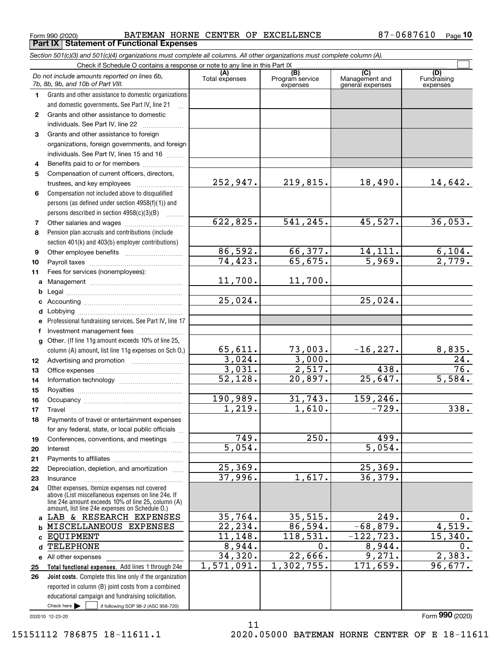$_{\rm Form}$  990 (2020) BATEMAN HORNE CENTER OF EXCELLENCE 87-0687610  $_{\rm Page}$ **Part IX Statement of Functional Expenses**

|                  | Section 501(c)(3) and 501(c)(4) organizations must complete all columns. All other organizations must complete column (A).                                                                                 |                       |                                    |                                           |                                |
|------------------|------------------------------------------------------------------------------------------------------------------------------------------------------------------------------------------------------------|-----------------------|------------------------------------|-------------------------------------------|--------------------------------|
|                  | Check if Schedule O contains a response or note to any line in this Part IX                                                                                                                                |                       |                                    |                                           |                                |
|                  | Do not include amounts reported on lines 6b,<br>7b, 8b, 9b, and 10b of Part VIII.                                                                                                                          | (A)<br>Total expenses | (B)<br>Program service<br>expenses | (C)<br>Management and<br>general expenses | (D)<br>Fundraising<br>expenses |
| 1.               | Grants and other assistance to domestic organizations                                                                                                                                                      |                       |                                    |                                           |                                |
|                  | and domestic governments. See Part IV, line 21                                                                                                                                                             |                       |                                    |                                           |                                |
| $\mathbf{2}$     | Grants and other assistance to domestic                                                                                                                                                                    |                       |                                    |                                           |                                |
|                  | individuals. See Part IV, line 22                                                                                                                                                                          |                       |                                    |                                           |                                |
| 3                | Grants and other assistance to foreign                                                                                                                                                                     |                       |                                    |                                           |                                |
|                  | organizations, foreign governments, and foreign                                                                                                                                                            |                       |                                    |                                           |                                |
|                  | individuals. See Part IV, lines 15 and 16                                                                                                                                                                  |                       |                                    |                                           |                                |
| 4                | Benefits paid to or for members                                                                                                                                                                            |                       |                                    |                                           |                                |
| 5                | Compensation of current officers, directors,                                                                                                                                                               |                       |                                    |                                           |                                |
|                  | trustees, and key employees                                                                                                                                                                                | 252,947.              | 219,815.                           | 18,490.                                   | 14,642.                        |
| 6                | Compensation not included above to disqualified                                                                                                                                                            |                       |                                    |                                           |                                |
|                  | persons (as defined under section 4958(f)(1)) and                                                                                                                                                          |                       |                                    |                                           |                                |
|                  | persons described in section $4958(c)(3)(B)$                                                                                                                                                               |                       |                                    |                                           |                                |
| 7                |                                                                                                                                                                                                            | 622,825.              | 541,245.                           | 45,527.                                   | 36,053.                        |
| 8                | Pension plan accruals and contributions (include                                                                                                                                                           |                       |                                    |                                           |                                |
|                  | section 401(k) and 403(b) employer contributions)                                                                                                                                                          |                       |                                    |                                           |                                |
| 9                |                                                                                                                                                                                                            | 86,592.               | 66,377.                            | 14, 111.<br>$\overline{5,969}$ .          | 6,104.                         |
| 10               |                                                                                                                                                                                                            | 74, 423.              | 65,675.                            |                                           | $\overline{2,779}$ .           |
| 11               | Fees for services (nonemployees):                                                                                                                                                                          |                       |                                    |                                           |                                |
| a                |                                                                                                                                                                                                            | 11,700.               | 11,700.                            |                                           |                                |
| b                |                                                                                                                                                                                                            | 25,024.               |                                    | 25,024.                                   |                                |
| c                |                                                                                                                                                                                                            |                       |                                    |                                           |                                |
| d                |                                                                                                                                                                                                            |                       |                                    |                                           |                                |
| е                | Professional fundraising services. See Part IV, line 17                                                                                                                                                    |                       |                                    |                                           |                                |
| f                | Investment management fees                                                                                                                                                                                 |                       |                                    |                                           |                                |
| g                | Other. (If line 11g amount exceeds 10% of line 25,<br>column (A) amount, list line 11g expenses on Sch O.)                                                                                                 | 65,611.               | 73,003.                            | $-16,227.$                                |                                |
| 12 <sup>12</sup> |                                                                                                                                                                                                            | 3,024.                | 3,000.                             |                                           | $\frac{8,835.}{24.}$           |
| 13               |                                                                                                                                                                                                            | 3,031.                | 2,517.                             | 438.                                      | 76.                            |
| 14               |                                                                                                                                                                                                            | 52,128.               | 20,897.                            | 25,647.                                   | 5,584.                         |
| 15               |                                                                                                                                                                                                            |                       |                                    |                                           |                                |
| 16               |                                                                                                                                                                                                            | 190,989.              | 31,743.                            | 159,246.                                  |                                |
| 17               |                                                                                                                                                                                                            | 1,219.                | 1,610.                             | $-729.$                                   | 338.                           |
| 18               | Payments of travel or entertainment expenses                                                                                                                                                               |                       |                                    |                                           |                                |
|                  | for any federal, state, or local public officials                                                                                                                                                          |                       |                                    |                                           |                                |
| 19               | Conferences, conventions, and meetings<br>$\sim$ $\sim$                                                                                                                                                    | 749.                  | 250.                               | 499.                                      |                                |
| 20               | Interest                                                                                                                                                                                                   | $\overline{5,054}$ .  |                                    | $\overline{5.054}$ .                      |                                |
| 21               |                                                                                                                                                                                                            |                       |                                    |                                           |                                |
| 22               | Depreciation, depletion, and amortization                                                                                                                                                                  | 25,369.               |                                    | 25, 369.                                  |                                |
| 23               | Insurance                                                                                                                                                                                                  | 37,996.               | 1,617.                             | 36, 379.                                  |                                |
| 24               | Other expenses. Itemize expenses not covered<br>above (List miscellaneous expenses on line 24e. If<br>line 24e amount exceeds 10% of line 25, column (A)<br>amount, list line 24e expenses on Schedule O.) |                       |                                    |                                           |                                |
| a                | LAB & RESEARCH EXPENSES                                                                                                                                                                                    | 35,764.               | 35,515.                            | 249.                                      | 0.                             |
| b                | MISCELLANEOUS EXPENSES                                                                                                                                                                                     | $\overline{22,234}$ . | 86,594.                            | $-68,879.$                                | 4,519.                         |
| c                | <b>EQUIPMENT</b>                                                                                                                                                                                           | 11,148.               | 118,531.                           | $-122, 723.$                              | 15,340.                        |
| d                | <b>TELEPHONE</b>                                                                                                                                                                                           | 8,944.                | 0.                                 | 8,944.                                    | $0$ .                          |
|                  | e All other expenses                                                                                                                                                                                       | 34,320.               | 22,666.                            | 9,271.                                    | 2,383.                         |
| 25               | Total functional expenses. Add lines 1 through 24e                                                                                                                                                         | 1,571,091.            | 1,302,755.                         | 171,659.                                  | 96,677.                        |
| 26               | Joint costs. Complete this line only if the organization                                                                                                                                                   |                       |                                    |                                           |                                |
|                  | reported in column (B) joint costs from a combined                                                                                                                                                         |                       |                                    |                                           |                                |
|                  | educational campaign and fundraising solicitation.                                                                                                                                                         |                       |                                    |                                           |                                |
|                  | Check here $\blacktriangleright$<br>if following SOP 98-2 (ASC 958-720)                                                                                                                                    |                       |                                    |                                           |                                |

11

032010 12-23-20

Form (2020) **990**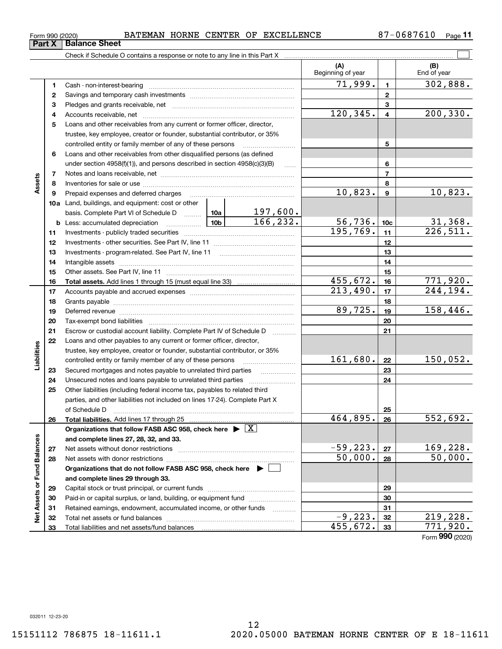$\overline{\phantom{0}}$ 

| Part X |     | <b>Balance Sheet</b>                                                                                                                                                                                                           |                                                                           |           |                          |                 |                    |
|--------|-----|--------------------------------------------------------------------------------------------------------------------------------------------------------------------------------------------------------------------------------|---------------------------------------------------------------------------|-----------|--------------------------|-----------------|--------------------|
|        |     |                                                                                                                                                                                                                                |                                                                           |           |                          |                 |                    |
|        |     |                                                                                                                                                                                                                                |                                                                           |           | (A)<br>Beginning of year |                 | (B)<br>End of year |
|        | 1   |                                                                                                                                                                                                                                |                                                                           |           | 71,999.                  | $\blacksquare$  | 302,888.           |
|        | 2   |                                                                                                                                                                                                                                |                                                                           |           |                          | $\mathbf{2}$    |                    |
|        | З   |                                                                                                                                                                                                                                | Loans and other receivables from any current or former officer, director, |           |                          |                 |                    |
|        | 4   |                                                                                                                                                                                                                                |                                                                           |           |                          |                 | 200, 330.          |
|        | 5   |                                                                                                                                                                                                                                |                                                                           |           |                          |                 |                    |
|        |     | trustee, key employee, creator or founder, substantial contributor, or 35%                                                                                                                                                     |                                                                           |           |                          |                 |                    |
|        |     | controlled entity or family member of any of these persons                                                                                                                                                                     |                                                                           | 5         |                          |                 |                    |
|        | 6   | Loans and other receivables from other disqualified persons (as defined                                                                                                                                                        |                                                                           |           |                          |                 |                    |
|        |     | under section 4958(f)(1)), and persons described in section 4958(c)(3)(B)                                                                                                                                                      |                                                                           | 6         |                          |                 |                    |
|        | 7   |                                                                                                                                                                                                                                |                                                                           |           | $\overline{7}$           |                 |                    |
| Assets | 8   |                                                                                                                                                                                                                                |                                                                           | 8         |                          |                 |                    |
|        | 9   | Prepaid expenses and deferred charges                                                                                                                                                                                          |                                                                           |           | 10,823.                  | 9               | 10,823.            |
|        | 10a | Land, buildings, and equipment: cost or other                                                                                                                                                                                  |                                                                           |           |                          |                 |                    |
|        |     | basis. Complete Part VI of Schedule D  10a                                                                                                                                                                                     |                                                                           | 197,600.  |                          |                 |                    |
|        |     |                                                                                                                                                                                                                                |                                                                           | 166, 232. | 56, 736.                 | 10 <sub>c</sub> | 31,368.            |
|        | 11  |                                                                                                                                                                                                                                |                                                                           |           | 195,769.                 | 11              | 226,511.           |
|        | 12  |                                                                                                                                                                                                                                |                                                                           |           |                          | 12              |                    |
|        | 13  | Investments - program-related. See Part IV, line 11                                                                                                                                                                            |                                                                           |           |                          | 13              |                    |
|        | 14  |                                                                                                                                                                                                                                |                                                                           |           |                          | 14              |                    |
|        | 15  |                                                                                                                                                                                                                                |                                                                           |           |                          | 15              |                    |
|        | 16  |                                                                                                                                                                                                                                |                                                                           |           | 455,672.                 | 16              | 771,920.           |
|        | 17  |                                                                                                                                                                                                                                |                                                                           |           | 213,490.                 | 17              | 244,194.           |
|        | 18  |                                                                                                                                                                                                                                |                                                                           |           |                          | 18              |                    |
|        | 19  | Deferred revenue manual contracts and contracts are contracted and contract and contract are contracted and contract are contracted and contract are contracted and contract are contracted and contract are contracted and co |                                                                           |           | 89,725.                  | 19              | 158,446.           |
|        | 20  |                                                                                                                                                                                                                                |                                                                           |           |                          | 20              |                    |
|        | 21  | Escrow or custodial account liability. Complete Part IV of Schedule D                                                                                                                                                          |                                                                           |           |                          | 21              |                    |
|        |     |                                                                                                                                                                                                                                |                                                                           |           |                          |                 |                    |

|                             | 19 |                                                                                       | 89,725.    | 19 | 158,446.                    |
|-----------------------------|----|---------------------------------------------------------------------------------------|------------|----|-----------------------------|
|                             | 20 | Tax-exempt bond liabilities                                                           |            | 20 |                             |
|                             | 21 | Escrow or custodial account liability. Complete Part IV of Schedule D                 |            | 21 |                             |
|                             | 22 | Loans and other payables to any current or former officer, director,                  |            |    |                             |
|                             |    | trustee, key employee, creator or founder, substantial contributor, or 35%            |            |    |                             |
| Liabilities                 |    | controlled entity or family member of any of these persons                            | 161,680.   | 22 | 150,052.                    |
|                             | 23 | Secured mortgages and notes payable to unrelated third parties                        |            | 23 |                             |
|                             | 24 | Unsecured notes and loans payable to unrelated third parties                          |            | 24 |                             |
|                             | 25 | Other liabilities (including federal income tax, payables to related third            |            |    |                             |
|                             |    | parties, and other liabilities not included on lines 17-24). Complete Part X          |            |    |                             |
|                             |    | of Schedule D                                                                         |            | 25 |                             |
|                             | 26 |                                                                                       | 464,895.   | 26 | 552,692.                    |
|                             |    |                                                                                       |            |    |                             |
|                             |    | Organizations that follow FASB ASC 958, check here $\triangleright \lfloor X \rfloor$ |            |    |                             |
|                             |    | and complete lines 27, 28, 32, and 33.                                                |            |    |                             |
|                             | 27 |                                                                                       | $-59,223.$ | 27 | 169,228.                    |
|                             | 28 |                                                                                       | 50,000.    | 28 | 50,000.                     |
|                             |    | Organizations that do not follow FASB ASC 958, check here ▶ □                         |            |    |                             |
|                             |    | and complete lines 29 through 33.                                                     |            |    |                             |
|                             | 29 |                                                                                       |            | 29 |                             |
|                             | 30 | Paid-in or capital surplus, or land, building, or equipment fund                      |            | 30 |                             |
|                             | 31 | Retained earnings, endowment, accumulated income, or other funds                      |            | 31 |                             |
| Net Assets or Fund Balances | 32 |                                                                                       | $-9,223.$  | 32 | 219,228.                    |
|                             | 33 |                                                                                       | 455,672.   | 33 | 771,920.<br>Form 990 (2020) |

### $_{\rm Form}$  990 (2020) BATEMAN HORNE CENTER OF EXCELLENCE 87-0687610  $_{\rm Page}$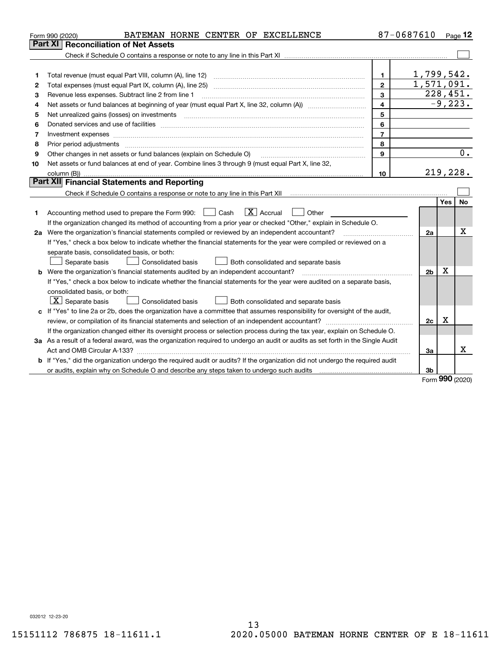|    | BATEMAN HORNE CENTER OF EXCELLENCE<br>Form 990 (2020)                                                                                                                                                                          |                | 87-0687610     |             | Page $12$ |
|----|--------------------------------------------------------------------------------------------------------------------------------------------------------------------------------------------------------------------------------|----------------|----------------|-------------|-----------|
|    | Part XI<br><b>Reconciliation of Net Assets</b>                                                                                                                                                                                 |                |                |             |           |
|    |                                                                                                                                                                                                                                |                |                |             |           |
|    |                                                                                                                                                                                                                                |                |                |             |           |
| 1  |                                                                                                                                                                                                                                | 1.             | 1,799,542.     |             |           |
| 2  |                                                                                                                                                                                                                                | $\mathbf{2}$   | 1,571,091.     |             |           |
| 3  | Revenue less expenses. Subtract line 2 from line 1                                                                                                                                                                             | 3              | 228,451.       |             |           |
| 4  |                                                                                                                                                                                                                                | $\overline{4}$ |                |             | $-9,223.$ |
| 5  | Net unrealized gains (losses) on investments                                                                                                                                                                                   | 5              |                |             |           |
| 6  | Donated services and use of facilities [111] matter contracts and the facilities in the matter of facilities [11] matter contracts and use of facilities [11] matter contracts and the service of the service of the service o | 6              |                |             |           |
| 7  |                                                                                                                                                                                                                                | $\overline{7}$ |                |             |           |
| 8  | Prior period adjustments material contents and content of the content of the content of the content of the content of the content of the content of the content of the content of the content of the content of the content of | 8              |                |             |           |
| 9  | Other changes in net assets or fund balances (explain on Schedule O)                                                                                                                                                           | 9              |                |             | 0.        |
| 10 | Net assets or fund balances at end of year. Combine lines 3 through 9 (must equal Part X, line 32,                                                                                                                             |                |                |             |           |
|    |                                                                                                                                                                                                                                | 10             | 219,228.       |             |           |
|    | Part XII Financial Statements and Reporting                                                                                                                                                                                    |                |                |             |           |
|    |                                                                                                                                                                                                                                |                |                |             |           |
|    |                                                                                                                                                                                                                                |                |                | <b>Yes</b>  | <b>No</b> |
| 1  | $\boxed{\text{X}}$ Accrual<br>Accounting method used to prepare the Form 990: <u>June</u> Cash<br>Other                                                                                                                        |                |                |             |           |
|    | If the organization changed its method of accounting from a prior year or checked "Other," explain in Schedule O.                                                                                                              |                |                |             |           |
|    |                                                                                                                                                                                                                                |                | 2a             |             | х         |
|    | If "Yes," check a box below to indicate whether the financial statements for the year were compiled or reviewed on a                                                                                                           |                |                |             |           |
|    | separate basis, consolidated basis, or both:                                                                                                                                                                                   |                |                |             |           |
|    | Separate basis<br><b>Consolidated basis</b><br>Both consolidated and separate basis                                                                                                                                            |                |                |             |           |
|    | <b>b</b> Were the organization's financial statements audited by an independent accountant?                                                                                                                                    |                | 2 <sub>b</sub> | $\mathbf X$ |           |
|    | If "Yes," check a box below to indicate whether the financial statements for the year were audited on a separate basis,                                                                                                        |                |                |             |           |
|    | consolidated basis, or both:                                                                                                                                                                                                   |                |                |             |           |
|    | $X$ Separate basis<br><b>Consolidated basis</b><br>Both consolidated and separate basis                                                                                                                                        |                |                |             |           |
|    | c If "Yes" to line 2a or 2b, does the organization have a committee that assumes responsibility for oversight of the audit,                                                                                                    |                |                |             |           |
|    |                                                                                                                                                                                                                                |                | 2c             | x           |           |
|    | If the organization changed either its oversight process or selection process during the tax year, explain on Schedule O.                                                                                                      |                |                |             |           |
|    | 3a As a result of a federal award, was the organization required to undergo an audit or audits as set forth in the Single Audit                                                                                                |                |                |             |           |
|    |                                                                                                                                                                                                                                |                | За             |             | х         |
| b  | If "Yes," did the organization undergo the required audit or audits? If the organization did not undergo the required audit                                                                                                    |                |                |             |           |
|    | or audits, explain why on Schedule O and describe any steps taken to undergo such audits [11] content to under                                                                                                                 |                | 3b             | nnn         |           |

Form (2020) **990**

032012 12-23-20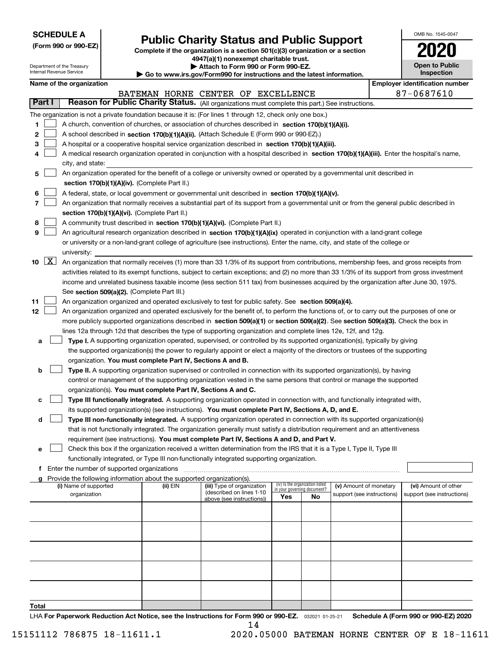| <b>SCHEDULE A</b> |
|-------------------|
|-------------------|

Department of the Treasury Internal Revenue Service

**(Form 990 or 990-EZ)**

## **Public Charity Status and Public Support**

**Complete if the organization is a section 501(c)(3) organization or a section 4947(a)(1) nonexempt charitable trust. | Attach to Form 990 or Form 990-EZ.** 

|  | Go to www.irs.gov/Form990 for instructions and the latest information. |  |  |
|--|------------------------------------------------------------------------|--|--|
|  |                                                                        |  |  |

| OMB No. 1545-0047            |  |
|------------------------------|--|
| 2020                         |  |
| Open to Public<br>Inspection |  |

|  | Name of the organization |
|--|--------------------------|
|--|--------------------------|

|        |                    | Name of the organization                                                                                                                                                                        |          |                                    |                                    |    |                            |  | <b>Employer identification number</b><br>87-0687610 |
|--------|--------------------|-------------------------------------------------------------------------------------------------------------------------------------------------------------------------------------------------|----------|------------------------------------|------------------------------------|----|----------------------------|--|-----------------------------------------------------|
| Part I |                    | Reason for Public Charity Status. (All organizations must complete this part.) See instructions.                                                                                                |          | BATEMAN HORNE CENTER OF EXCELLENCE |                                    |    |                            |  |                                                     |
|        |                    |                                                                                                                                                                                                 |          |                                    |                                    |    |                            |  |                                                     |
|        |                    | The organization is not a private foundation because it is: (For lines 1 through 12, check only one box.)                                                                                       |          |                                    |                                    |    |                            |  |                                                     |
| 1      |                    | A church, convention of churches, or association of churches described in section 170(b)(1)(A)(i).<br>A school described in section 170(b)(1)(A)(ii). (Attach Schedule E (Form 990 or 990-EZ).) |          |                                    |                                    |    |                            |  |                                                     |
| 2      |                    |                                                                                                                                                                                                 |          |                                    |                                    |    |                            |  |                                                     |
| 3      |                    | A hospital or a cooperative hospital service organization described in section $170(b)(1)(A)(iii)$ .                                                                                            |          |                                    |                                    |    |                            |  |                                                     |
| 4      |                    | A medical research organization operated in conjunction with a hospital described in section 170(b)(1)(A)(iii). Enter the hospital's name,                                                      |          |                                    |                                    |    |                            |  |                                                     |
|        |                    | city, and state:                                                                                                                                                                                |          |                                    |                                    |    |                            |  |                                                     |
| 5      |                    | An organization operated for the benefit of a college or university owned or operated by a governmental unit described in                                                                       |          |                                    |                                    |    |                            |  |                                                     |
|        |                    | section 170(b)(1)(A)(iv). (Complete Part II.)                                                                                                                                                   |          |                                    |                                    |    |                            |  |                                                     |
| 6      |                    | A federal, state, or local government or governmental unit described in section 170(b)(1)(A)(v).                                                                                                |          |                                    |                                    |    |                            |  |                                                     |
| 7      |                    | An organization that normally receives a substantial part of its support from a governmental unit or from the general public described in                                                       |          |                                    |                                    |    |                            |  |                                                     |
|        |                    | section 170(b)(1)(A)(vi). (Complete Part II.)                                                                                                                                                   |          |                                    |                                    |    |                            |  |                                                     |
| 8      |                    | A community trust described in section 170(b)(1)(A)(vi). (Complete Part II.)                                                                                                                    |          |                                    |                                    |    |                            |  |                                                     |
| 9      |                    | An agricultural research organization described in section 170(b)(1)(A)(ix) operated in conjunction with a land-grant college                                                                   |          |                                    |                                    |    |                            |  |                                                     |
|        |                    | or university or a non-land-grant college of agriculture (see instructions). Enter the name, city, and state of the college or                                                                  |          |                                    |                                    |    |                            |  |                                                     |
|        |                    | university:                                                                                                                                                                                     |          |                                    |                                    |    |                            |  |                                                     |
| 10     | $\boxed{\text{X}}$ | An organization that normally receives (1) more than 33 1/3% of its support from contributions, membership fees, and gross receipts from                                                        |          |                                    |                                    |    |                            |  |                                                     |
|        |                    | activities related to its exempt functions, subject to certain exceptions; and (2) no more than 33 1/3% of its support from gross investment                                                    |          |                                    |                                    |    |                            |  |                                                     |
|        |                    | income and unrelated business taxable income (less section 511 tax) from businesses acquired by the organization after June 30, 1975.                                                           |          |                                    |                                    |    |                            |  |                                                     |
|        |                    | See section 509(a)(2). (Complete Part III.)                                                                                                                                                     |          |                                    |                                    |    |                            |  |                                                     |
| 11     |                    | An organization organized and operated exclusively to test for public safety. See section 509(a)(4).                                                                                            |          |                                    |                                    |    |                            |  |                                                     |
| 12     |                    | An organization organized and operated exclusively for the benefit of, to perform the functions of, or to carry out the purposes of one or                                                      |          |                                    |                                    |    |                            |  |                                                     |
|        |                    | more publicly supported organizations described in section 509(a)(1) or section 509(a)(2). See section 509(a)(3). Check the box in                                                              |          |                                    |                                    |    |                            |  |                                                     |
|        |                    | lines 12a through 12d that describes the type of supporting organization and complete lines 12e, 12f, and 12g.                                                                                  |          |                                    |                                    |    |                            |  |                                                     |
| а      |                    | Type I. A supporting organization operated, supervised, or controlled by its supported organization(s), typically by giving                                                                     |          |                                    |                                    |    |                            |  |                                                     |
|        |                    | the supported organization(s) the power to regularly appoint or elect a majority of the directors or trustees of the supporting                                                                 |          |                                    |                                    |    |                            |  |                                                     |
|        |                    | organization. You must complete Part IV, Sections A and B.                                                                                                                                      |          |                                    |                                    |    |                            |  |                                                     |
| b      |                    | Type II. A supporting organization supervised or controlled in connection with its supported organization(s), by having                                                                         |          |                                    |                                    |    |                            |  |                                                     |
|        |                    | control or management of the supporting organization vested in the same persons that control or manage the supported                                                                            |          |                                    |                                    |    |                            |  |                                                     |
|        |                    | organization(s). You must complete Part IV, Sections A and C.                                                                                                                                   |          |                                    |                                    |    |                            |  |                                                     |
| с      |                    | Type III functionally integrated. A supporting organization operated in connection with, and functionally integrated with,                                                                      |          |                                    |                                    |    |                            |  |                                                     |
|        |                    | its supported organization(s) (see instructions). You must complete Part IV, Sections A, D, and E.                                                                                              |          |                                    |                                    |    |                            |  |                                                     |
| d      |                    | Type III non-functionally integrated. A supporting organization operated in connection with its supported organization(s)                                                                       |          |                                    |                                    |    |                            |  |                                                     |
|        |                    | that is not functionally integrated. The organization generally must satisfy a distribution requirement and an attentiveness                                                                    |          |                                    |                                    |    |                            |  |                                                     |
|        |                    | requirement (see instructions). You must complete Part IV, Sections A and D, and Part V.                                                                                                        |          |                                    |                                    |    |                            |  |                                                     |
|        |                    | □ Check this box if the organization received a written determination from the IRS that it is a Type I, Type II, Type III                                                                       |          |                                    |                                    |    |                            |  |                                                     |
|        |                    | functionally integrated, or Type III non-functionally integrated supporting organization.                                                                                                       |          |                                    |                                    |    |                            |  |                                                     |
|        |                    | f Enter the number of supported organizations                                                                                                                                                   |          |                                    |                                    |    |                            |  |                                                     |
|        |                    | Provide the following information about the supported organization(s).<br>(i) Name of supported                                                                                                 | (ii) EIN | (iii) Type of organization         | (iv) Is the organization listed    |    | (v) Amount of monetary     |  | (vi) Amount of other                                |
|        |                    | organization                                                                                                                                                                                    |          | (described on lines 1-10           | in your governing document?<br>Yes | No | support (see instructions) |  | support (see instructions)                          |
|        |                    |                                                                                                                                                                                                 |          | above (see instructions))          |                                    |    |                            |  |                                                     |
|        |                    |                                                                                                                                                                                                 |          |                                    |                                    |    |                            |  |                                                     |
|        |                    |                                                                                                                                                                                                 |          |                                    |                                    |    |                            |  |                                                     |
|        |                    |                                                                                                                                                                                                 |          |                                    |                                    |    |                            |  |                                                     |
|        |                    |                                                                                                                                                                                                 |          |                                    |                                    |    |                            |  |                                                     |
|        |                    |                                                                                                                                                                                                 |          |                                    |                                    |    |                            |  |                                                     |
|        |                    |                                                                                                                                                                                                 |          |                                    |                                    |    |                            |  |                                                     |
|        |                    |                                                                                                                                                                                                 |          |                                    |                                    |    |                            |  |                                                     |
|        |                    |                                                                                                                                                                                                 |          |                                    |                                    |    |                            |  |                                                     |
|        |                    |                                                                                                                                                                                                 |          |                                    |                                    |    |                            |  |                                                     |
| Total  |                    |                                                                                                                                                                                                 |          |                                    |                                    |    |                            |  |                                                     |

LHA For Paperwork Reduction Act Notice, see the Instructions for Form 990 or 990-EZ. <sub>032021</sub> o1-25-21 Schedule A (Form 990 or 990-EZ) 2020 14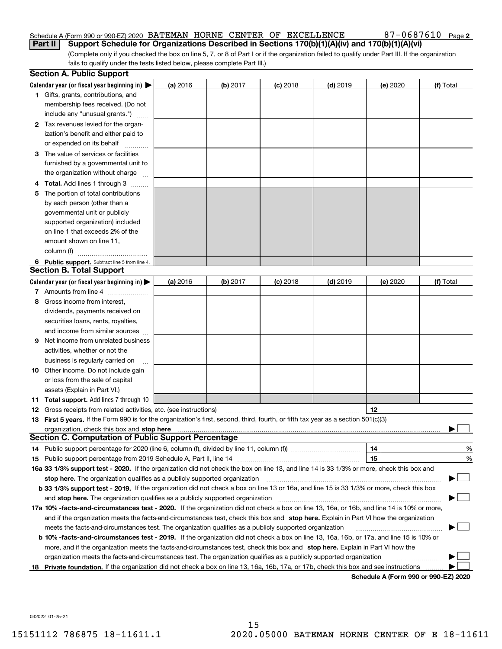#### Schedule A (Form 990 or 990-EZ) 2020 Page BATEMAN HORNE CENTER OF EXCELLENCE 87-0687610 **Part II Support Schedule for Organizations Described in Sections 170(b)(1)(A)(iv) and 170(b)(1)(A)(vi)**

(Complete only if you checked the box on line 5, 7, or 8 of Part I or if the organization failed to qualify under Part III. If the organization fails to qualify under the tests listed below, please complete Part III.)

|    | <b>Section A. Public Support</b>                                                                                                               |          |          |            |            |          |                                      |
|----|------------------------------------------------------------------------------------------------------------------------------------------------|----------|----------|------------|------------|----------|--------------------------------------|
|    | Calendar year (or fiscal year beginning in) $\blacktriangleright$                                                                              | (a) 2016 | (b) 2017 | $(c)$ 2018 | $(d)$ 2019 | (e) 2020 | (f) Total                            |
|    | <b>1</b> Gifts, grants, contributions, and                                                                                                     |          |          |            |            |          |                                      |
|    | membership fees received. (Do not                                                                                                              |          |          |            |            |          |                                      |
|    | include any "unusual grants.")                                                                                                                 |          |          |            |            |          |                                      |
|    | 2 Tax revenues levied for the organ-                                                                                                           |          |          |            |            |          |                                      |
|    | ization's benefit and either paid to                                                                                                           |          |          |            |            |          |                                      |
|    | or expended on its behalf                                                                                                                      |          |          |            |            |          |                                      |
|    | 3 The value of services or facilities                                                                                                          |          |          |            |            |          |                                      |
|    | furnished by a governmental unit to                                                                                                            |          |          |            |            |          |                                      |
|    | the organization without charge                                                                                                                |          |          |            |            |          |                                      |
|    | 4 Total. Add lines 1 through 3                                                                                                                 |          |          |            |            |          |                                      |
| 5. | The portion of total contributions                                                                                                             |          |          |            |            |          |                                      |
|    | by each person (other than a                                                                                                                   |          |          |            |            |          |                                      |
|    | governmental unit or publicly                                                                                                                  |          |          |            |            |          |                                      |
|    | supported organization) included                                                                                                               |          |          |            |            |          |                                      |
|    | on line 1 that exceeds 2% of the                                                                                                               |          |          |            |            |          |                                      |
|    | amount shown on line 11,                                                                                                                       |          |          |            |            |          |                                      |
|    | column (f)                                                                                                                                     |          |          |            |            |          |                                      |
|    | 6 Public support. Subtract line 5 from line 4.                                                                                                 |          |          |            |            |          |                                      |
|    | <b>Section B. Total Support</b>                                                                                                                |          |          |            |            |          |                                      |
|    | Calendar year (or fiscal year beginning in)                                                                                                    | (a) 2016 | (b) 2017 | $(c)$ 2018 | $(d)$ 2019 | (e) 2020 | (f) Total                            |
|    | 7 Amounts from line 4                                                                                                                          |          |          |            |            |          |                                      |
| 8  | Gross income from interest,                                                                                                                    |          |          |            |            |          |                                      |
|    | dividends, payments received on                                                                                                                |          |          |            |            |          |                                      |
|    | securities loans, rents, royalties,                                                                                                            |          |          |            |            |          |                                      |
|    | and income from similar sources                                                                                                                |          |          |            |            |          |                                      |
| 9. | Net income from unrelated business                                                                                                             |          |          |            |            |          |                                      |
|    | activities, whether or not the                                                                                                                 |          |          |            |            |          |                                      |
|    | business is regularly carried on                                                                                                               |          |          |            |            |          |                                      |
|    | <b>10</b> Other income. Do not include gain                                                                                                    |          |          |            |            |          |                                      |
|    | or loss from the sale of capital                                                                                                               |          |          |            |            |          |                                      |
|    | assets (Explain in Part VI.)                                                                                                                   |          |          |            |            |          |                                      |
|    | <b>11 Total support.</b> Add lines 7 through 10                                                                                                |          |          |            |            |          |                                      |
|    | <b>12</b> Gross receipts from related activities, etc. (see instructions)                                                                      |          |          |            |            | 12       |                                      |
|    | 13 First 5 years. If the Form 990 is for the organization's first, second, third, fourth, or fifth tax year as a section 501(c)(3)             |          |          |            |            |          |                                      |
|    | organization, check this box and <b>stop here</b> www.communication.communication.communication.communication.com                              |          |          |            |            |          |                                      |
|    | <b>Section C. Computation of Public Support Percentage</b>                                                                                     |          |          |            |            |          |                                      |
|    | 14 Public support percentage for 2020 (line 6, column (f), divided by line 11, column (f) <i>mummumumum</i>                                    |          |          |            |            | 14       | %                                    |
|    |                                                                                                                                                |          |          |            |            | 15       | $\%$                                 |
|    | 16a 33 1/3% support test - 2020. If the organization did not check the box on line 13, and line 14 is 33 1/3% or more, check this box and      |          |          |            |            |          |                                      |
|    | stop here. The organization qualifies as a publicly supported organization                                                                     |          |          |            |            |          |                                      |
|    | b 33 1/3% support test - 2019. If the organization did not check a box on line 13 or 16a, and line 15 is 33 1/3% or more, check this box       |          |          |            |            |          |                                      |
|    | and stop here. The organization qualifies as a publicly supported organization                                                                 |          |          |            |            |          |                                      |
|    | 17a 10% -facts-and-circumstances test - 2020. If the organization did not check a box on line 13, 16a, or 16b, and line 14 is 10% or more,     |          |          |            |            |          |                                      |
|    | and if the organization meets the facts-and-circumstances test, check this box and stop here. Explain in Part VI how the organization          |          |          |            |            |          |                                      |
|    | meets the facts-and-circumstances test. The organization qualifies as a publicly supported organization                                        |          |          |            |            |          |                                      |
|    | <b>b 10% -facts-and-circumstances test - 2019.</b> If the organization did not check a box on line 13, 16a, 16b, or 17a, and line 15 is 10% or |          |          |            |            |          |                                      |
|    | more, and if the organization meets the facts-and-circumstances test, check this box and stop here. Explain in Part VI how the                 |          |          |            |            |          |                                      |
|    | organization meets the facts-and-circumstances test. The organization qualifies as a publicly supported organization                           |          |          |            |            |          |                                      |
| 18 | Private foundation. If the organization did not check a box on line 13, 16a, 16b, 17a, or 17b, check this box and see instructions             |          |          |            |            |          |                                      |
|    |                                                                                                                                                |          |          |            |            |          | Schedule A (Form 990 or 990-F7) 2020 |

**Schedule A (Form 990 or 990-EZ) 2020**

032022 01-25-21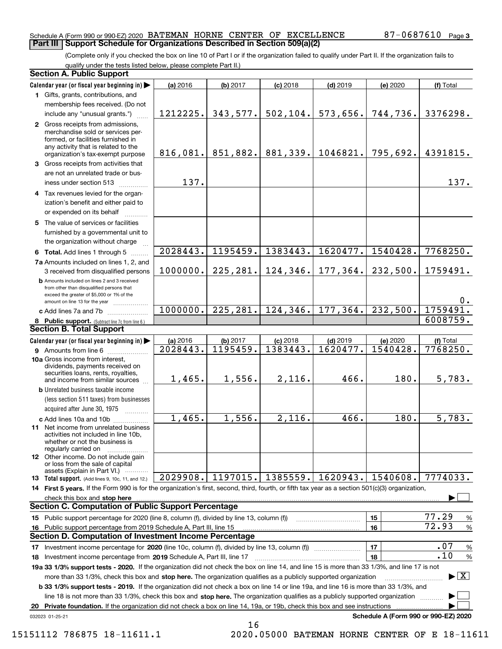#### Schedule A (Form 990 or 990-EZ) 2020 Page BATEMAN HORNE CENTER OF EXCELLENCE 87-0687610 **Part III Support Schedule for Organizations Described in Section 509(a)(2)**

(Complete only if you checked the box on line 10 of Part I or if the organization failed to qualify under Part II. If the organization fails to qualify under the tests listed below, please complete Part II.)

| <b>Section A. Public Support</b>                                                                                                                                                                                                                               |          |           |            |            |                                      |                                 |
|----------------------------------------------------------------------------------------------------------------------------------------------------------------------------------------------------------------------------------------------------------------|----------|-----------|------------|------------|--------------------------------------|---------------------------------|
| Calendar year (or fiscal year beginning in)                                                                                                                                                                                                                    | (a) 2016 | (b) 2017  | $(c)$ 2018 | $(d)$ 2019 | (e) 2020                             | (f) Total                       |
| 1 Gifts, grants, contributions, and                                                                                                                                                                                                                            |          |           |            |            |                                      |                                 |
| membership fees received. (Do not                                                                                                                                                                                                                              |          |           |            |            |                                      |                                 |
| include any "unusual grants.")                                                                                                                                                                                                                                 | 1212225. | 343,577.  | 502, 104.  | 573,656.   | 744,736.                             | 3376298.                        |
| 2 Gross receipts from admissions,<br>merchandise sold or services per-<br>formed, or facilities furnished in<br>any activity that is related to the<br>organization's tax-exempt purpose                                                                       | 816,081. | 851,882.  | 881,339.   | 1046821.   | 795,692.                             | 4391815.                        |
| 3 Gross receipts from activities that                                                                                                                                                                                                                          |          |           |            |            |                                      |                                 |
| are not an unrelated trade or bus-                                                                                                                                                                                                                             |          |           |            |            |                                      |                                 |
| iness under section 513                                                                                                                                                                                                                                        | 137.     |           |            |            |                                      | 137.                            |
| 4 Tax revenues levied for the organ-                                                                                                                                                                                                                           |          |           |            |            |                                      |                                 |
| ization's benefit and either paid to                                                                                                                                                                                                                           |          |           |            |            |                                      |                                 |
| or expended on its behalf                                                                                                                                                                                                                                      |          |           |            |            |                                      |                                 |
| 5 The value of services or facilities                                                                                                                                                                                                                          |          |           |            |            |                                      |                                 |
| furnished by a governmental unit to                                                                                                                                                                                                                            |          |           |            |            |                                      |                                 |
| the organization without charge                                                                                                                                                                                                                                |          |           |            |            |                                      |                                 |
| 6 Total. Add lines 1 through 5                                                                                                                                                                                                                                 | 2028443. | 1195459.  | 1383443.   | 1620477.   | 1540428.                             | 7768250.                        |
| 7a Amounts included on lines 1, 2, and                                                                                                                                                                                                                         |          |           |            |            |                                      |                                 |
| 3 received from disqualified persons                                                                                                                                                                                                                           | 1000000. | 225, 281. | 124,346.   | 177,364.   | 232,500.                             | 1759491.                        |
| <b>b</b> Amounts included on lines 2 and 3 received<br>from other than disqualified persons that<br>exceed the greater of \$5,000 or 1% of the<br>amount on line 13 for the year                                                                               |          |           |            |            |                                      | 0.                              |
| c Add lines 7a and 7b                                                                                                                                                                                                                                          | 1000000. | 225, 281. | 124, 346.  | 177, 364.  | 232,500.                             | 1759491.                        |
| 8 Public support. (Subtract line 7c from line 6.)                                                                                                                                                                                                              |          |           |            |            |                                      | 6008759.                        |
| <b>Section B. Total Support</b>                                                                                                                                                                                                                                |          |           |            |            |                                      |                                 |
| Calendar year (or fiscal year beginning in)                                                                                                                                                                                                                    | (a) 2016 | (b) 2017  | $(c)$ 2018 | $(d)$ 2019 | (e) 2020                             | (f) Total                       |
| <b>9</b> Amounts from line 6                                                                                                                                                                                                                                   | 2028443. | 1195459.  | 1383443.   | 1620477.   | 1540428.                             | 7768250.                        |
| 10a Gross income from interest,<br>dividends, payments received on<br>securities loans, rents, royalties,<br>and income from similar sources                                                                                                                   | 1,465.   | 1,556.    | 2,116.     | 466.       | 180.                                 | 5,783.                          |
| <b>b</b> Unrelated business taxable income                                                                                                                                                                                                                     |          |           |            |            |                                      |                                 |
| (less section 511 taxes) from businesses                                                                                                                                                                                                                       |          |           |            |            |                                      |                                 |
| acquired after June 30, 1975                                                                                                                                                                                                                                   |          |           |            |            |                                      |                                 |
| c Add lines 10a and 10b                                                                                                                                                                                                                                        | 1,465.   | 1,556.    | 2,116.     | 466.       | 180.                                 | 5,783.                          |
| 11 Net income from unrelated business<br>activities not included in line 10b,<br>whether or not the business is<br>regularly carried on                                                                                                                        |          |           |            |            |                                      |                                 |
| <b>12</b> Other income. Do not include gain<br>or loss from the sale of capital<br>assets (Explain in Part VI.)                                                                                                                                                |          |           |            |            |                                      |                                 |
| 13 Total support. (Add lines 9, 10c, 11, and 12.)                                                                                                                                                                                                              | 2029908. | 1197015.  | 1385559.   | 1620943.   | $\mid$ 1540608.                      | 7774033.                        |
| 14 First 5 years. If the Form 990 is for the organization's first, second, third, fourth, or fifth tax year as a section 501(c)(3) organization,                                                                                                               |          |           |            |            |                                      |                                 |
| check this box and stop here www.array.com/www.array.com/www.array.com/www.array.com/www.array.com/www.array.c                                                                                                                                                 |          |           |            |            |                                      |                                 |
| <b>Section C. Computation of Public Support Percentage</b>                                                                                                                                                                                                     |          |           |            |            |                                      |                                 |
| 15 Public support percentage for 2020 (line 8, column (f), divided by line 13, column (f))                                                                                                                                                                     |          |           |            |            | 15                                   | 77.29<br>$\%$                   |
| 16 Public support percentage from 2019 Schedule A, Part III, line 15                                                                                                                                                                                           |          |           |            |            | 16                                   | 72.93<br>$\%$                   |
| <b>Section D. Computation of Investment Income Percentage</b>                                                                                                                                                                                                  |          |           |            |            |                                      |                                 |
| 17 Investment income percentage for 2020 (line 10c, column (f), divided by line 13, column (f))                                                                                                                                                                |          |           |            |            | 17                                   | .07<br>$\%$                     |
| 18 Investment income percentage from 2019 Schedule A, Part III, line 17                                                                                                                                                                                        |          |           |            |            | 18                                   | .10<br>$\%$                     |
| 19a 33 1/3% support tests - 2020. If the organization did not check the box on line 14, and line 15 is more than 33 1/3%, and line 17 is not                                                                                                                   |          |           |            |            |                                      |                                 |
| more than 33 1/3%, check this box and stop here. The organization qualifies as a publicly supported organization                                                                                                                                               |          |           |            |            |                                      | $\blacktriangleright$ $\vert$ X |
| <b>b 33 1/3% support tests - 2019.</b> If the organization did not check a box on line 14 or line 19a, and line 16 is more than 33 1/3%, and                                                                                                                   |          |           |            |            |                                      |                                 |
| line 18 is not more than 33 1/3%, check this box and stop here. The organization qualifies as a publicly supported organization<br>20 Private foundation. If the organization did not check a box on line 14, 19a, or 19b, check this box and see instructions |          |           |            |            |                                      |                                 |
| 032023 01-25-21                                                                                                                                                                                                                                                |          |           |            |            | Schedule A (Form 990 or 990-EZ) 2020 |                                 |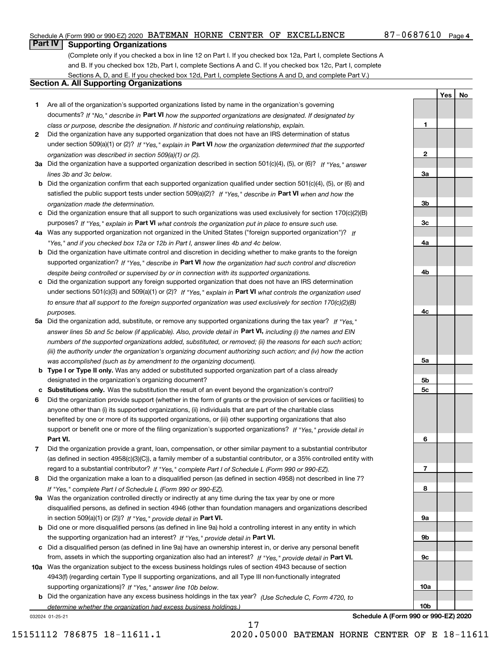#### Schedule A (Form 990 or 990-EZ) 2020 Page BATEMAN HORNE CENTER OF EXCELLENCE 87-0687610

#### 87-0687610 Page 4

**1**

**2**

**3a**

**3b**

**3c**

**4a**

**4b**

**4c**

**5a**

**5b5c**

**6**

**7**

**8**

**9a**

**9b**

**9c**

**10a**

**10b**

**YesNo**

### **Part IV Supporting Organizations**

(Complete only if you checked a box in line 12 on Part I. If you checked box 12a, Part I, complete Sections A and B. If you checked box 12b, Part I, complete Sections A and C. If you checked box 12c, Part I, complete Sections A, D, and E. If you checked box 12d, Part I, complete Sections A and D, and complete Part V.)

#### **Section A. All Supporting Organizations**

- **1** Are all of the organization's supported organizations listed by name in the organization's governing documents? If "No," describe in **Part VI** how the supported organizations are designated. If designated by *class or purpose, describe the designation. If historic and continuing relationship, explain.*
- **2** Did the organization have any supported organization that does not have an IRS determination of status under section 509(a)(1) or (2)? If "Yes," explain in Part VI how the organization determined that the supported *organization was described in section 509(a)(1) or (2).*
- **3a** Did the organization have a supported organization described in section 501(c)(4), (5), or (6)? If "Yes," answer *lines 3b and 3c below.*
- **b** Did the organization confirm that each supported organization qualified under section 501(c)(4), (5), or (6) and satisfied the public support tests under section 509(a)(2)? If "Yes," describe in **Part VI** when and how the *organization made the determination.*
- **c**Did the organization ensure that all support to such organizations was used exclusively for section 170(c)(2)(B) purposes? If "Yes," explain in **Part VI** what controls the organization put in place to ensure such use.
- **4a***If* Was any supported organization not organized in the United States ("foreign supported organization")? *"Yes," and if you checked box 12a or 12b in Part I, answer lines 4b and 4c below.*
- **b** Did the organization have ultimate control and discretion in deciding whether to make grants to the foreign supported organization? If "Yes," describe in **Part VI** how the organization had such control and discretion *despite being controlled or supervised by or in connection with its supported organizations.*
- **c** Did the organization support any foreign supported organization that does not have an IRS determination under sections 501(c)(3) and 509(a)(1) or (2)? If "Yes," explain in **Part VI** what controls the organization used *to ensure that all support to the foreign supported organization was used exclusively for section 170(c)(2)(B) purposes.*
- **5a** Did the organization add, substitute, or remove any supported organizations during the tax year? If "Yes," answer lines 5b and 5c below (if applicable). Also, provide detail in **Part VI,** including (i) the names and EIN *numbers of the supported organizations added, substituted, or removed; (ii) the reasons for each such action; (iii) the authority under the organization's organizing document authorizing such action; and (iv) how the action was accomplished (such as by amendment to the organizing document).*
- **b** Type I or Type II only. Was any added or substituted supported organization part of a class already designated in the organization's organizing document?
- **cSubstitutions only.**  Was the substitution the result of an event beyond the organization's control?
- **6** Did the organization provide support (whether in the form of grants or the provision of services or facilities) to **Part VI.** *If "Yes," provide detail in* support or benefit one or more of the filing organization's supported organizations? anyone other than (i) its supported organizations, (ii) individuals that are part of the charitable class benefited by one or more of its supported organizations, or (iii) other supporting organizations that also
- **7**Did the organization provide a grant, loan, compensation, or other similar payment to a substantial contributor *If "Yes," complete Part I of Schedule L (Form 990 or 990-EZ).* regard to a substantial contributor? (as defined in section 4958(c)(3)(C)), a family member of a substantial contributor, or a 35% controlled entity with
- **8** Did the organization make a loan to a disqualified person (as defined in section 4958) not described in line 7? *If "Yes," complete Part I of Schedule L (Form 990 or 990-EZ).*
- **9a** Was the organization controlled directly or indirectly at any time during the tax year by one or more in section 509(a)(1) or (2))? If "Yes," *provide detail in* <code>Part VI.</code> disqualified persons, as defined in section 4946 (other than foundation managers and organizations described
- **b** Did one or more disqualified persons (as defined in line 9a) hold a controlling interest in any entity in which the supporting organization had an interest? If "Yes," provide detail in P**art VI**.
- **c**Did a disqualified person (as defined in line 9a) have an ownership interest in, or derive any personal benefit from, assets in which the supporting organization also had an interest? If "Yes," provide detail in P**art VI.**
- **10a** Was the organization subject to the excess business holdings rules of section 4943 because of section supporting organizations)? If "Yes," answer line 10b below. 4943(f) (regarding certain Type II supporting organizations, and all Type III non-functionally integrated
- **b** Did the organization have any excess business holdings in the tax year? (Use Schedule C, Form 4720, to *determine whether the organization had excess business holdings.)*

17

032024 01-25-21

**Schedule A (Form 990 or 990-EZ) 2020**

15151112 786875 18-11611.1 2020.05000 BATEMAN HORNE CENTER OF E 18-11611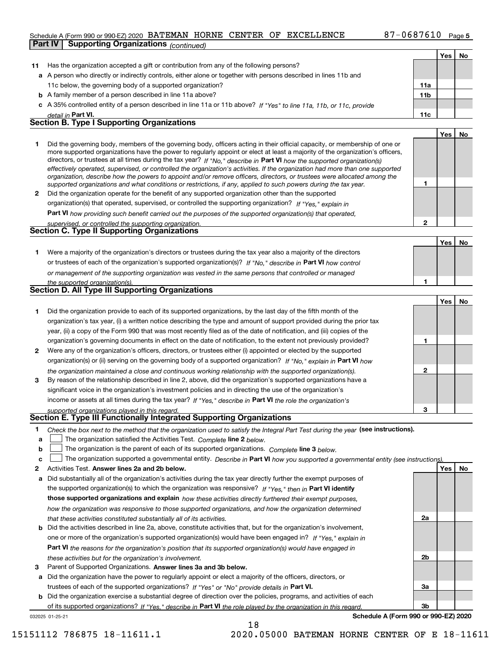#### Schedule A (Form 990 or 990-EZ) 2020 Page BATEMAN HORNE CENTER OF EXCELLENCE 87-0687610 **Part IV Supporting Organizations** *(continued)*

|    |                                                                                                                                   |              | Yes   No |    |
|----|-----------------------------------------------------------------------------------------------------------------------------------|--------------|----------|----|
| 11 | Has the organization accepted a gift or contribution from any of the following persons?                                           |              |          |    |
|    | a A person who directly or indirectly controls, either alone or together with persons described in lines 11b and                  |              |          |    |
|    | 11c below, the governing body of a supported organization?                                                                        | 11a          |          |    |
|    | <b>b</b> A family member of a person described in line 11a above?                                                                 | 11b          |          |    |
|    | c A 35% controlled entity of a person described in line 11a or 11b above? If "Yes" to line 11a, 11b, or 11c, provide              |              |          |    |
|    | detail in Part VI.                                                                                                                | 11c          |          |    |
|    | <b>Section B. Type I Supporting Organizations</b>                                                                                 |              |          |    |
|    |                                                                                                                                   |              | Yes      | No |
| 1. | Did the governing body, members of the governing body, officers acting in their official capacity, or membership of one or        |              |          |    |
|    | more supported organizations have the power to regularly appoint or elect at least a majority of the organization's officers,     |              |          |    |
|    | directors, or trustees at all times during the tax year? If "No," describe in Part VI how the supported organization(s)           |              |          |    |
|    | effectively operated, supervised, or controlled the organization's activities. If the organization had more than one supported    |              |          |    |
|    | organization, describe how the powers to appoint and/or remove officers, directors, or trustees were allocated among the          |              |          |    |
|    | supported organizations and what conditions or restrictions, if any, applied to such powers during the tax year.                  | 1            |          |    |
| 2  | Did the organization operate for the benefit of any supported organization other than the supported                               |              |          |    |
|    | organization(s) that operated, supervised, or controlled the supporting organization? If "Yes," explain in                        |              |          |    |
|    | Part VI how providing such benefit carried out the purposes of the supported organization(s) that operated,                       |              |          |    |
|    | supervised, or controlled the supporting organization.                                                                            | $\mathbf{2}$ |          |    |
|    | <b>Section C. Type II Supporting Organizations</b>                                                                                |              |          |    |
|    |                                                                                                                                   |              | Yes      | No |
| 1. | Were a majority of the organization's directors or trustees during the tax year also a majority of the directors                  |              |          |    |
|    | or trustees of each of the organization's supported organization(s)? If "No," describe in Part VI how control                     |              |          |    |
|    | or management of the supporting organization was vested in the same persons that controlled or managed                            |              |          |    |
|    | the supported organization(s).                                                                                                    | 1            |          |    |
|    | <b>Section D. All Type III Supporting Organizations</b>                                                                           |              |          |    |
|    |                                                                                                                                   |              | Yes      | No |
| 1  | Did the organization provide to each of its supported organizations, by the last day of the fifth month of the                    |              |          |    |
|    | organization's tax year, (i) a written notice describing the type and amount of support provided during the prior tax             |              |          |    |
|    | year, (ii) a copy of the Form 990 that was most recently filed as of the date of notification, and (iii) copies of the            |              |          |    |
|    | organization's governing documents in effect on the date of notification, to the extent not previously provided?                  | 1            |          |    |
| 2  | Were any of the organization's officers, directors, or trustees either (i) appointed or elected by the supported                  |              |          |    |
|    | organization(s) or (ii) serving on the governing body of a supported organization? If "No," explain in Part VI how                |              |          |    |
|    | the organization maintained a close and continuous working relationship with the supported organization(s).                       | $\mathbf{2}$ |          |    |
| 3  | By reason of the relationship described in line 2, above, did the organization's supported organizations have a                   |              |          |    |
|    | significant voice in the organization's investment policies and in directing the use of the organization's                        |              |          |    |
|    | income or assets at all times during the tax year? If "Yes," describe in Part VI the role the organization's                      |              |          |    |
|    | supported organizations played in this regard.                                                                                    | 3            |          |    |
|    | <b>Section E. Type III Functionally Integrated Supporting Organizations</b>                                                       |              |          |    |
| 1  | Check the box next to the method that the organization used to satisfy the Integral Part Test during the year (see instructions). |              |          |    |
| a  | The organization satisfied the Activities Test. Complete line 2 below.                                                            |              |          |    |
| b  | The organization is the parent of each of its supported organizations. Complete line 3 below.                                     |              |          |    |
| c  | The organization supported a governmental entity. Describe in Part VI how you supported a governmental entity (see instructions). |              |          |    |
| 2  | Activities Test. Answer lines 2a and 2b below.                                                                                    |              | Yes      | No |
| a  | Did substantially all of the organization's activities during the tax year directly further the exempt purposes of                |              |          |    |
|    |                                                                                                                                   |              |          |    |
|    | the supported organization(s) to which the organization was responsive? If "Yes," then in Part VI identify                        |              |          |    |
|    | those supported organizations and explain how these activities directly furthered their exempt purposes,                          |              |          |    |
|    | how the organization was responsive to those supported organizations, and how the organization determined                         |              |          |    |
|    | that these activities constituted substantially all of its activities.                                                            | 2a           |          |    |
|    | <b>b</b> Did the activities described in line 2a, above, constitute activities that, but for the organization's involvement,      |              |          |    |
|    | one or more of the organization's supported organization(s) would have been engaged in? If "Yes," explain in                      |              |          |    |
|    | <b>Part VI</b> the reasons for the organization's position that its supported organization(s) would have engaged in               |              |          |    |
|    | these activities but for the organization's involvement.                                                                          | 2b           |          |    |
| 3  | Parent of Supported Organizations. Answer lines 3a and 3b below.                                                                  |              |          |    |
|    | a Did the organization have the power to regularly appoint or elect a majority of the officers, directors, or                     |              |          |    |
|    | trustees of each of the supported organizations? If "Yes" or "No" provide details in Part VI.                                     | За           |          |    |
|    | <b>b</b> Did the organization exercise a substantial degree of direction over the policies, programs, and activities of each      |              |          |    |

032025 01-25-21 of its supported organizations? If "Yes," describe in Part VI the role played by the organization in this regard.

18

**Schedule A (Form 990 or 990-EZ) 2020**

**3b**

<u>i l</u>

15151112 786875 18-11611.1 2020.05000 BATEMAN HORNE CENTER OF E 18-11611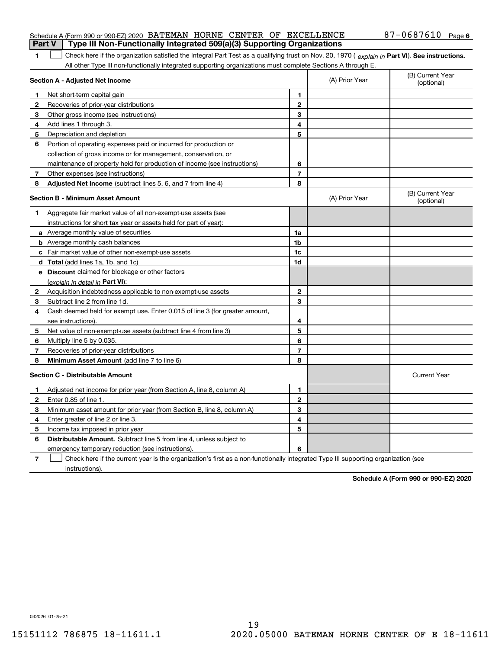#### Schedule A (Form 990 or 990-EZ) 2020 Page BATEMAN HORNE CENTER OF EXCELLENCE 87-0687610 **Part V Type III Non-Functionally Integrated 509(a)(3) Supporting Organizations**

**1**1 Check here if the organization satisfied the Integral Part Test as a qualifying trust on Nov. 20, 1970 (explain in Part VI). See instructions. All other Type III non-functionally integrated supporting organizations must complete Sections A through E.

| Section A - Adjusted Net Income |                                                                                                                                   |                | (A) Prior Year | (B) Current Year<br>(optional) |  |
|---------------------------------|-----------------------------------------------------------------------------------------------------------------------------------|----------------|----------------|--------------------------------|--|
| 1                               | Net short-term capital gain                                                                                                       | 1              |                |                                |  |
| 2                               | Recoveries of prior-year distributions                                                                                            | $\mathbf{2}$   |                |                                |  |
| 3                               | Other gross income (see instructions)                                                                                             | 3              |                |                                |  |
| 4                               | Add lines 1 through 3.                                                                                                            | 4              |                |                                |  |
| 5                               | Depreciation and depletion                                                                                                        | 5              |                |                                |  |
| 6                               | Portion of operating expenses paid or incurred for production or                                                                  |                |                |                                |  |
|                                 | collection of gross income or for management, conservation, or                                                                    |                |                |                                |  |
|                                 | maintenance of property held for production of income (see instructions)                                                          | 6              |                |                                |  |
| 7                               | Other expenses (see instructions)                                                                                                 | $\overline{7}$ |                |                                |  |
| 8                               | Adjusted Net Income (subtract lines 5, 6, and 7 from line 4)                                                                      | 8              |                |                                |  |
|                                 | <b>Section B - Minimum Asset Amount</b>                                                                                           |                | (A) Prior Year | (B) Current Year<br>(optional) |  |
| 1.                              | Aggregate fair market value of all non-exempt-use assets (see                                                                     |                |                |                                |  |
|                                 | instructions for short tax year or assets held for part of year):                                                                 |                |                |                                |  |
|                                 | a Average monthly value of securities                                                                                             | 1a             |                |                                |  |
|                                 | <b>b</b> Average monthly cash balances                                                                                            | 1 <sub>b</sub> |                |                                |  |
|                                 | c Fair market value of other non-exempt-use assets                                                                                | 1c             |                |                                |  |
|                                 | d Total (add lines 1a, 1b, and 1c)                                                                                                | 1d             |                |                                |  |
|                                 | e Discount claimed for blockage or other factors                                                                                  |                |                |                                |  |
|                                 | (explain in detail in Part VI):                                                                                                   |                |                |                                |  |
| $\mathbf{2}$                    | Acquisition indebtedness applicable to non-exempt-use assets                                                                      | $\mathbf{2}$   |                |                                |  |
| 3                               | Subtract line 2 from line 1d.                                                                                                     | 3              |                |                                |  |
| 4                               | Cash deemed held for exempt use. Enter 0.015 of line 3 (for greater amount,                                                       |                |                |                                |  |
|                                 | see instructions).                                                                                                                | 4              |                |                                |  |
| 5                               | Net value of non-exempt-use assets (subtract line 4 from line 3)                                                                  | 5              |                |                                |  |
| 6                               | Multiply line 5 by 0.035.                                                                                                         | 6              |                |                                |  |
| 7                               | Recoveries of prior-year distributions                                                                                            | $\overline{7}$ |                |                                |  |
| 8                               | Minimum Asset Amount (add line 7 to line 6)                                                                                       | 8              |                |                                |  |
|                                 | <b>Section C - Distributable Amount</b>                                                                                           |                |                | <b>Current Year</b>            |  |
| 1                               | Adjusted net income for prior year (from Section A, line 8, column A)                                                             | 1              |                |                                |  |
| 2                               | Enter 0.85 of line 1.                                                                                                             | $\mathbf{2}$   |                |                                |  |
| 3                               | Minimum asset amount for prior year (from Section B, line 8, column A)                                                            | 3              |                |                                |  |
| 4                               | Enter greater of line 2 or line 3.                                                                                                | 4              |                |                                |  |
| 5                               | Income tax imposed in prior year                                                                                                  | 5              |                |                                |  |
| 6                               | <b>Distributable Amount.</b> Subtract line 5 from line 4, unless subject to                                                       |                |                |                                |  |
|                                 | emergency temporary reduction (see instructions).                                                                                 | 6              |                |                                |  |
| 7                               | Check here if the current year is the organization's first as a non-functionally integrated Type III supporting organization (see |                |                |                                |  |

instructions).

**Schedule A (Form 990 or 990-EZ) 2020**

032026 01-25-21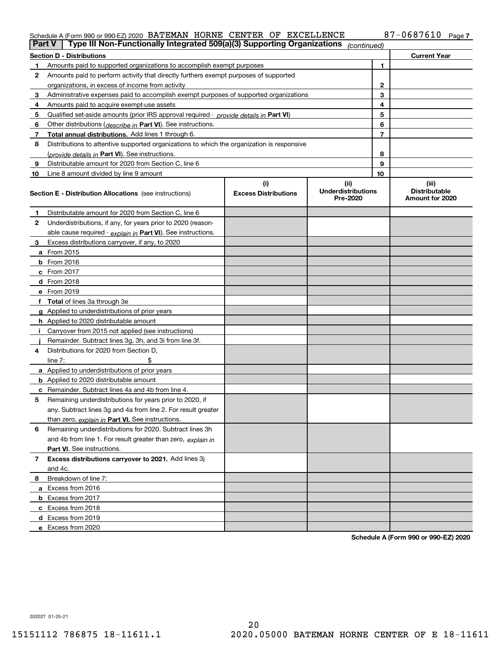#### Schedule A (Form 990 or 990-EZ) 2020 BATEMAN HORNE CENTER OF EXCELLENCE 8/−068/610 Page BATEMAN HORNE CENTER OF EXCELLENCE 87-0687610

| <b>Part V</b> | Type III Non-Functionally Integrated 509(a)(3) Supporting Organizations                    |                             | (continued)                           |              |                                         |  |  |  |
|---------------|--------------------------------------------------------------------------------------------|-----------------------------|---------------------------------------|--------------|-----------------------------------------|--|--|--|
|               | <b>Section D - Distributions</b><br><b>Current Year</b>                                    |                             |                                       |              |                                         |  |  |  |
| 1             | Amounts paid to supported organizations to accomplish exempt purposes                      |                             |                                       | 1            |                                         |  |  |  |
| 2             | Amounts paid to perform activity that directly furthers exempt purposes of supported       |                             |                                       |              |                                         |  |  |  |
|               | organizations, in excess of income from activity                                           |                             |                                       | $\mathbf{2}$ |                                         |  |  |  |
| 3             | Administrative expenses paid to accomplish exempt purposes of supported organizations      |                             |                                       | 3            |                                         |  |  |  |
| 4             | Amounts paid to acquire exempt-use assets                                                  |                             |                                       | 4            |                                         |  |  |  |
| 5             | Qualified set-aside amounts (prior IRS approval required - provide details in Part VI)     |                             |                                       | 5            |                                         |  |  |  |
| 6             | Other distributions ( <i>describe in</i> Part VI). See instructions.                       |                             |                                       | 6            |                                         |  |  |  |
| 7             | Total annual distributions. Add lines 1 through 6.                                         |                             |                                       | 7            |                                         |  |  |  |
| 8             | Distributions to attentive supported organizations to which the organization is responsive |                             |                                       |              |                                         |  |  |  |
|               | (provide details in Part VI). See instructions.                                            |                             |                                       | 8            |                                         |  |  |  |
| 9             | Distributable amount for 2020 from Section C, line 6                                       |                             |                                       | 9            |                                         |  |  |  |
| 10            | Line 8 amount divided by line 9 amount                                                     |                             |                                       | 10           |                                         |  |  |  |
|               |                                                                                            | (i)                         | (ii)                                  |              | (iii)                                   |  |  |  |
|               | Section E - Distribution Allocations (see instructions)                                    | <b>Excess Distributions</b> | <b>Underdistributions</b><br>Pre-2020 |              | <b>Distributable</b><br>Amount for 2020 |  |  |  |
| 1             | Distributable amount for 2020 from Section C, line 6                                       |                             |                                       |              |                                         |  |  |  |
| 2             | Underdistributions, if any, for years prior to 2020 (reason-                               |                             |                                       |              |                                         |  |  |  |
|               | able cause required - explain in Part VI). See instructions.                               |                             |                                       |              |                                         |  |  |  |
| 3             | Excess distributions carryover, if any, to 2020                                            |                             |                                       |              |                                         |  |  |  |
|               | <b>a</b> From 2015                                                                         |                             |                                       |              |                                         |  |  |  |
|               | <b>b</b> From 2016                                                                         |                             |                                       |              |                                         |  |  |  |
|               | c From 2017                                                                                |                             |                                       |              |                                         |  |  |  |
|               | <b>d</b> From 2018                                                                         |                             |                                       |              |                                         |  |  |  |
|               | e From 2019                                                                                |                             |                                       |              |                                         |  |  |  |
|               | f Total of lines 3a through 3e                                                             |                             |                                       |              |                                         |  |  |  |
|               | g Applied to underdistributions of prior years                                             |                             |                                       |              |                                         |  |  |  |
|               | <b>h</b> Applied to 2020 distributable amount                                              |                             |                                       |              |                                         |  |  |  |
|               | Carryover from 2015 not applied (see instructions)                                         |                             |                                       |              |                                         |  |  |  |
|               | Remainder. Subtract lines 3g, 3h, and 3i from line 3f.                                     |                             |                                       |              |                                         |  |  |  |
| 4             | Distributions for 2020 from Section D,                                                     |                             |                                       |              |                                         |  |  |  |
|               | line $7:$                                                                                  |                             |                                       |              |                                         |  |  |  |
|               | a Applied to underdistributions of prior years                                             |                             |                                       |              |                                         |  |  |  |
|               | <b>b</b> Applied to 2020 distributable amount                                              |                             |                                       |              |                                         |  |  |  |
|               | c Remainder. Subtract lines 4a and 4b from line 4.                                         |                             |                                       |              |                                         |  |  |  |
| 5             | Remaining underdistributions for years prior to 2020, if                                   |                             |                                       |              |                                         |  |  |  |
|               | any. Subtract lines 3g and 4a from line 2. For result greater                              |                             |                                       |              |                                         |  |  |  |
|               | than zero, explain in Part VI. See instructions.                                           |                             |                                       |              |                                         |  |  |  |
| 6             | Remaining underdistributions for 2020. Subtract lines 3h                                   |                             |                                       |              |                                         |  |  |  |
|               | and 4b from line 1. For result greater than zero, explain in                               |                             |                                       |              |                                         |  |  |  |
|               | Part VI. See instructions.                                                                 |                             |                                       |              |                                         |  |  |  |
| 7             | Excess distributions carryover to 2021. Add lines 3j                                       |                             |                                       |              |                                         |  |  |  |
|               | and 4c.                                                                                    |                             |                                       |              |                                         |  |  |  |
| 8             | Breakdown of line 7:                                                                       |                             |                                       |              |                                         |  |  |  |
|               | a Excess from 2016                                                                         |                             |                                       |              |                                         |  |  |  |
|               | <b>b</b> Excess from 2017                                                                  |                             |                                       |              |                                         |  |  |  |
|               | c Excess from 2018                                                                         |                             |                                       |              |                                         |  |  |  |
|               | d Excess from 2019                                                                         |                             |                                       |              |                                         |  |  |  |
|               | e Excess from 2020                                                                         |                             |                                       |              |                                         |  |  |  |

**Schedule A (Form 990 or 990-EZ) 2020**

032027 01-25-21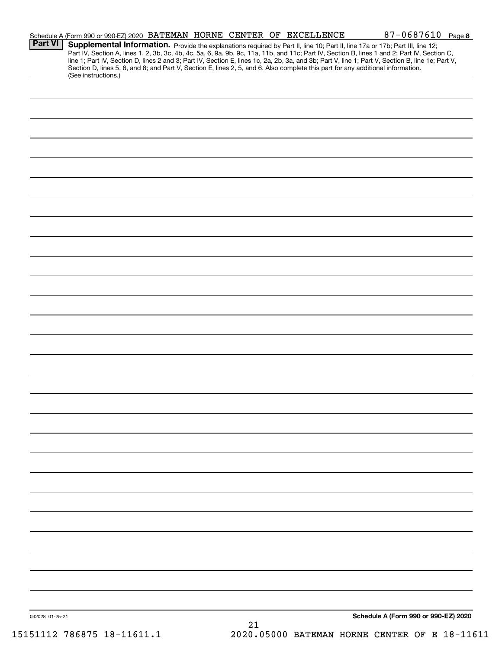|                 | Schedule A (Form 990 or 990-EZ) 2020 BATEMAN HORNE CENTER OF EXCELLENCE                                                                                                                                                                                                                                                                                                                                                           |  |    |  | $87 - 0687610$ Page 8                       |  |
|-----------------|-----------------------------------------------------------------------------------------------------------------------------------------------------------------------------------------------------------------------------------------------------------------------------------------------------------------------------------------------------------------------------------------------------------------------------------|--|----|--|---------------------------------------------|--|
| <b>Part VI</b>  | Supplemental Information. Provide the explanations required by Part II, line 10; Part II, line 17a or 17b; Part III, line 12;<br>Part IV, Section A, lines 1, 2, 3b, 3c, 4b, 4c, 5a, 6, 9a, 9b, 9c, 11a, 11b, and 11c; Part IV, Section B, lines 1 and 2; Part IV, Section C,<br>line 1; Part IV, Section D, lines 2 and 3; Part IV, Section E, lines 1c, 2a, 2b, 3a, and 3b; Part V, line 1; Part V, Section B, line 1e; Part V, |  |    |  |                                             |  |
|                 | Section D, lines 5, 6, and 8; and Part V, Section E, lines 2, 5, and 6. Also complete this part for any additional information.<br>(See instructions.)                                                                                                                                                                                                                                                                            |  |    |  |                                             |  |
|                 |                                                                                                                                                                                                                                                                                                                                                                                                                                   |  |    |  |                                             |  |
|                 |                                                                                                                                                                                                                                                                                                                                                                                                                                   |  |    |  |                                             |  |
|                 |                                                                                                                                                                                                                                                                                                                                                                                                                                   |  |    |  |                                             |  |
|                 |                                                                                                                                                                                                                                                                                                                                                                                                                                   |  |    |  |                                             |  |
|                 |                                                                                                                                                                                                                                                                                                                                                                                                                                   |  |    |  |                                             |  |
|                 |                                                                                                                                                                                                                                                                                                                                                                                                                                   |  |    |  |                                             |  |
|                 |                                                                                                                                                                                                                                                                                                                                                                                                                                   |  |    |  |                                             |  |
|                 |                                                                                                                                                                                                                                                                                                                                                                                                                                   |  |    |  |                                             |  |
|                 |                                                                                                                                                                                                                                                                                                                                                                                                                                   |  |    |  |                                             |  |
|                 |                                                                                                                                                                                                                                                                                                                                                                                                                                   |  |    |  |                                             |  |
|                 |                                                                                                                                                                                                                                                                                                                                                                                                                                   |  |    |  |                                             |  |
|                 |                                                                                                                                                                                                                                                                                                                                                                                                                                   |  |    |  |                                             |  |
|                 |                                                                                                                                                                                                                                                                                                                                                                                                                                   |  |    |  |                                             |  |
|                 |                                                                                                                                                                                                                                                                                                                                                                                                                                   |  |    |  |                                             |  |
|                 |                                                                                                                                                                                                                                                                                                                                                                                                                                   |  |    |  |                                             |  |
|                 |                                                                                                                                                                                                                                                                                                                                                                                                                                   |  |    |  |                                             |  |
|                 |                                                                                                                                                                                                                                                                                                                                                                                                                                   |  |    |  |                                             |  |
|                 |                                                                                                                                                                                                                                                                                                                                                                                                                                   |  |    |  |                                             |  |
|                 |                                                                                                                                                                                                                                                                                                                                                                                                                                   |  |    |  |                                             |  |
|                 |                                                                                                                                                                                                                                                                                                                                                                                                                                   |  |    |  |                                             |  |
|                 |                                                                                                                                                                                                                                                                                                                                                                                                                                   |  |    |  |                                             |  |
|                 |                                                                                                                                                                                                                                                                                                                                                                                                                                   |  |    |  |                                             |  |
|                 |                                                                                                                                                                                                                                                                                                                                                                                                                                   |  |    |  |                                             |  |
|                 |                                                                                                                                                                                                                                                                                                                                                                                                                                   |  |    |  |                                             |  |
|                 |                                                                                                                                                                                                                                                                                                                                                                                                                                   |  |    |  |                                             |  |
|                 |                                                                                                                                                                                                                                                                                                                                                                                                                                   |  |    |  |                                             |  |
|                 |                                                                                                                                                                                                                                                                                                                                                                                                                                   |  |    |  |                                             |  |
|                 |                                                                                                                                                                                                                                                                                                                                                                                                                                   |  |    |  |                                             |  |
|                 |                                                                                                                                                                                                                                                                                                                                                                                                                                   |  |    |  |                                             |  |
|                 |                                                                                                                                                                                                                                                                                                                                                                                                                                   |  |    |  |                                             |  |
|                 |                                                                                                                                                                                                                                                                                                                                                                                                                                   |  |    |  |                                             |  |
| 032028 01-25-21 |                                                                                                                                                                                                                                                                                                                                                                                                                                   |  |    |  | Schedule A (Form 990 or 990-EZ) 2020        |  |
|                 | $F1110 79697F 19 - 11611 1$                                                                                                                                                                                                                                                                                                                                                                                                       |  | 21 |  | 2020 05000 RATEMAN HORNE CENTER OF F 18-116 |  |

15151112 786875 18-11611.1 2020.05000 BATEMAN HORNE CENTER OF E 18-11611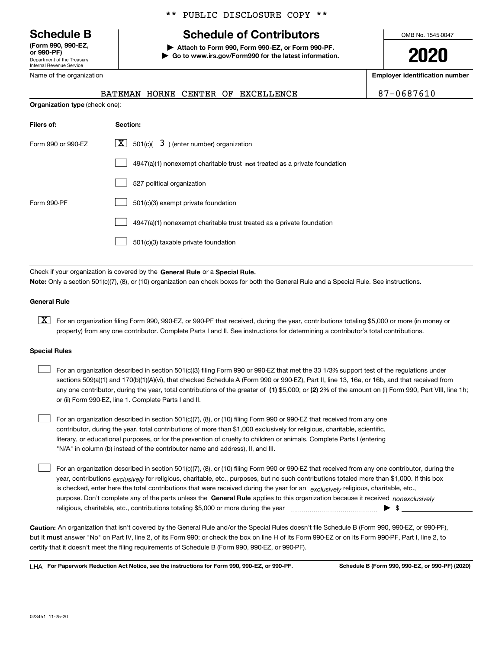Department of the Treasury Internal Revenue Service **(Form 990, 990-EZ, or 990-PF)**

## **Schedule B Schedule of Contributors**

\*\* PUBLIC DISCLOSURE COPY \*\*

**| Attach to Form 990, Form 990-EZ, or Form 990-PF. | Go to www.irs.gov/Form990 for the latest information.** OMB No. 1545-0047

**2020**

**Employer identification number**

| Name of the organization              |  |  |                                  |
|---------------------------------------|--|--|----------------------------------|
|                                       |  |  | BATEMAN HORNE CENTER OF EXCELLEN |
| <b>Organization type (check one):</b> |  |  |                                  |

RCE ROBIN 187-0687610

| Filers of:         | Section:                                                                    |
|--------------------|-----------------------------------------------------------------------------|
| Form 990 or 990-FZ | $\lfloor x \rfloor$ 501(c)( 3) (enter number) organization                  |
|                    | $4947(a)(1)$ nonexempt charitable trust not treated as a private foundation |
|                    | 527 political organization                                                  |
| Form 990-PF        | 501(c)(3) exempt private foundation                                         |
|                    | 4947(a)(1) nonexempt charitable trust treated as a private foundation       |
|                    | 501(c)(3) taxable private foundation                                        |

Check if your organization is covered by the **General Rule** or a **Special Rule. Note:**  Only a section 501(c)(7), (8), or (10) organization can check boxes for both the General Rule and a Special Rule. See instructions.

#### **General Rule**

 $\boxed{\textbf{X}}$  For an organization filing Form 990, 990-EZ, or 990-PF that received, during the year, contributions totaling \$5,000 or more (in money or property) from any one contributor. Complete Parts I and II. See instructions for determining a contributor's total contributions.

#### **Special Rules**

| For an organization described in section 501(c)(3) filing Form 990 or 990-EZ that met the 33 1/3% support test of the regulations under               |
|-------------------------------------------------------------------------------------------------------------------------------------------------------|
| sections 509(a)(1) and 170(b)(1)(A)(vi), that checked Schedule A (Form 990 or 990-EZ), Part II, line 13, 16a, or 16b, and that received from          |
| any one contributor, during the year, total contributions of the greater of (1) \$5,000; or (2) 2% of the amount on (i) Form 990, Part VIII, line 1h; |
| or (ii) Form 990-EZ, line 1. Complete Parts I and II.                                                                                                 |

For an organization described in section 501(c)(7), (8), or (10) filing Form 990 or 990-EZ that received from any one contributor, during the year, total contributions of more than \$1,000 exclusively for religious, charitable, scientific, literary, or educational purposes, or for the prevention of cruelty to children or animals. Complete Parts I (entering "N/A" in column (b) instead of the contributor name and address), II, and III.  $\mathcal{L}^{\text{max}}$ 

purpose. Don't complete any of the parts unless the **General Rule** applies to this organization because it received *nonexclusively* year, contributions <sub>exclusively</sub> for religious, charitable, etc., purposes, but no such contributions totaled more than \$1,000. If this box is checked, enter here the total contributions that were received during the year for an  $\;$ exclusively religious, charitable, etc., For an organization described in section 501(c)(7), (8), or (10) filing Form 990 or 990-EZ that received from any one contributor, during the religious, charitable, etc., contributions totaling \$5,000 or more during the year  $\Box$ — $\Box$   $\Box$  $\mathcal{L}^{\text{max}}$ 

**Caution:**  An organization that isn't covered by the General Rule and/or the Special Rules doesn't file Schedule B (Form 990, 990-EZ, or 990-PF),  **must** but it answer "No" on Part IV, line 2, of its Form 990; or check the box on line H of its Form 990-EZ or on its Form 990-PF, Part I, line 2, to certify that it doesn't meet the filing requirements of Schedule B (Form 990, 990-EZ, or 990-PF).

**For Paperwork Reduction Act Notice, see the instructions for Form 990, 990-EZ, or 990-PF. Schedule B (Form 990, 990-EZ, or 990-PF) (2020)** LHA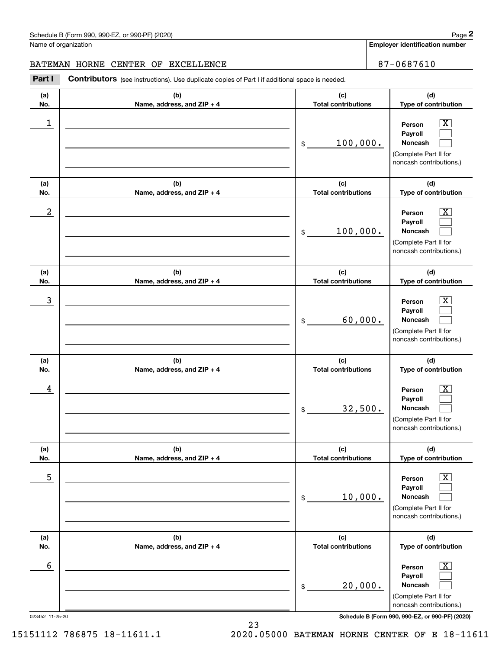#### BATEMAN HORNE CENTER OF EXCELLENCE 87-0687610

Contributors (see instructions). Use duplicate copies of Part I if additional space is needed. Chedule B (Form 990, 990-EZ, or 990-PF) (2020)<br>Iame of organization<br>**2Part I 2Part I Contributors** (see instructions). Use duplicate copies of Part I if additional space is needed.

| (a)<br>No. | (b)<br>Name, address, and ZIP + 4 | (c)<br><b>Total contributions</b>                    | (d)<br>Type of contribution                                                                                 |
|------------|-----------------------------------|------------------------------------------------------|-------------------------------------------------------------------------------------------------------------|
| 1          |                                   | 100,000.<br>\$                                       | $\overline{\texttt{X}}$<br>Person<br>Payroll<br>Noncash<br>(Complete Part II for<br>noncash contributions.) |
| (a)<br>No. | (b)<br>Name, address, and ZIP + 4 | (c)<br><b>Total contributions</b>                    | (d)<br>Type of contribution                                                                                 |
| 2          |                                   | 100,000.<br>\$                                       | $\overline{\texttt{X}}$<br>Person<br>Payroll<br>Noncash<br>(Complete Part II for<br>noncash contributions.) |
| (a)<br>No. | (b)<br>Name, address, and ZIP + 4 | (c)<br><b>Total contributions</b>                    | (d)<br>Type of contribution                                                                                 |
| 3          |                                   | 60,000.<br>\$                                        | $\overline{\texttt{X}}$<br>Person<br>Payroll<br>Noncash<br>(Complete Part II for<br>noncash contributions.) |
| (a)<br>No. | (b)<br>Name, address, and ZIP + 4 | (c)<br><b>Total contributions</b>                    | (d)<br>Type of contribution                                                                                 |
| 4          |                                   | 32,500.<br>\$                                        | $\overline{\text{X}}$<br>Person<br>Payroll<br>Noncash<br>(Complete Part II for<br>noncash contributions.)   |
| (a)<br>No. | (b)<br>Name, address, and ZIP + 4 | (c)<br><b>Total contributions</b>                    | (d)<br>Type of contribution                                                                                 |
| 5          |                                   | 10,000.<br>\$                                        | $\boxed{\mathrm{X}}$<br>Person<br>Payroll<br>Noncash<br>(Complete Part II for<br>noncash contributions.)    |
| (a)<br>No. | (b)<br>Name, address, and ZIP + 4 | (c)<br><b>Total contributions</b>                    | (d)<br>Type of contribution                                                                                 |
| 6          |                                   | 20,000.<br>$\, \, \raisebox{12pt}{$\scriptstyle \$}$ | $\boxed{\text{X}}$<br>Person<br>Payroll<br>Noncash<br>(Complete Part II for<br>noncash contributions.)      |

023452 11-25-20 **Schedule B (Form 990, 990-EZ, or 990-PF) (2020)**

15151112 786875 18-11611.1 2020.05000 BATEMAN HORNE CENTER OF E 18-11611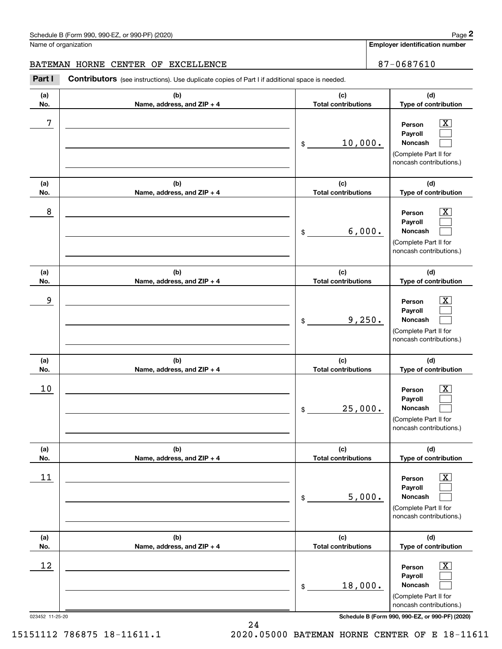#### BATEMAN HORNE CENTER OF EXCELLENCE 87-0687610

Contributors (see instructions). Use duplicate copies of Part I if additional space is needed. Chedule B (Form 990, 990-EZ, or 990-PF) (2020)<br>Iame of organization<br>**2Part I 2Part I Contributors** (see instructions). Use duplicate copies of Part I if additional space is needed.

| (a)<br>No. | (b)<br>Name, address, and ZIP + 4 | (c)<br><b>Total contributions</b> | (d)<br>Type of contribution                                                                                      |
|------------|-----------------------------------|-----------------------------------|------------------------------------------------------------------------------------------------------------------|
| 7          |                                   | 10,000.<br>\$                     | $\overline{\text{X}}$<br>Person<br>Payroll<br>Noncash<br>(Complete Part II for<br>noncash contributions.)        |
| (a)<br>No. | (b)<br>Name, address, and ZIP + 4 | (c)<br><b>Total contributions</b> | (d)<br>Type of contribution                                                                                      |
| 8          |                                   | 6,000.<br>\$                      | $\overline{\text{X}}$<br>Person<br>Payroll<br>Noncash<br>(Complete Part II for<br>noncash contributions.)        |
| (a)<br>No. | (b)<br>Name, address, and ZIP + 4 | (c)<br><b>Total contributions</b> | (d)<br>Type of contribution                                                                                      |
| 9          |                                   | 9,250.<br>\$                      | $\overline{\text{X}}$<br>Person<br>Payroll<br><b>Noncash</b><br>(Complete Part II for<br>noncash contributions.) |
| (a)<br>No. | (b)<br>Name, address, and ZIP + 4 | (c)<br><b>Total contributions</b> | (d)<br>Type of contribution                                                                                      |
| 10         |                                   | 25,000.<br>\$                     | $\overline{\texttt{X}}$<br>Person<br>Payroll<br>Noncash<br>(Complete Part II for<br>noncash contributions.)      |
| (a)<br>No. | (b)<br>Name, address, and ZIP + 4 | (c)<br><b>Total contributions</b> | (d)<br>Type of contribution                                                                                      |
| 11         |                                   | 5,000.<br>\$                      | $\overline{\mathbf{X}}$<br>Person<br>Payroll<br>Noncash<br>(Complete Part II for<br>noncash contributions.)      |
| (a)<br>No. | (b)<br>Name, address, and ZIP + 4 | (c)<br><b>Total contributions</b> | (d)<br>Type of contribution                                                                                      |
| 12         |                                   | 18,000.<br>\$                     | $\overline{\text{X}}$<br>Person<br>Payroll<br>Noncash<br>(Complete Part II for<br>noncash contributions.)        |

023452 11-25-20 **Schedule B (Form 990, 990-EZ, or 990-PF) (2020)**

15151112 786875 18-11611.1 2020.05000 BATEMAN HORNE CENTER OF E 18-11611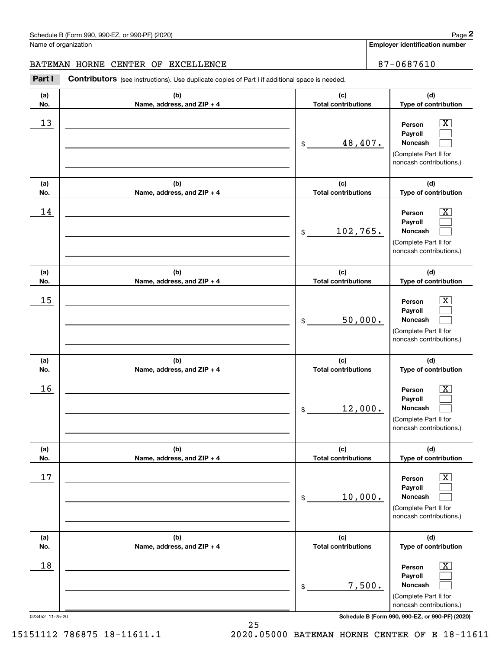#### BATEMAN HORNE CENTER OF EXCELLENCE 87-0687610

Contributors (see instructions). Use duplicate copies of Part I if additional space is needed. Chedule B (Form 990, 990-EZ, or 990-PF) (2020)<br>Iame of organization<br>**2Part I 2Part I Contributors** (see instructions). Use duplicate copies of Part I if additional space is needed.

| (a)    | (b)                        | (c)                        | (d)                                                                                                         |
|--------|----------------------------|----------------------------|-------------------------------------------------------------------------------------------------------------|
| No.    | Name, address, and ZIP + 4 | <b>Total contributions</b> | Type of contribution                                                                                        |
| 13     |                            | 48,407.<br>$\frac{1}{2}$   | $\overline{\text{X}}$<br>Person<br>Payroll<br>Noncash<br>(Complete Part II for<br>noncash contributions.)   |
| (a)    | (b)                        | (c)                        | (d)                                                                                                         |
| No.    | Name, address, and ZIP + 4 | <b>Total contributions</b> | Type of contribution                                                                                        |
| 14     |                            | 102,765.<br>\$             | $\overline{\text{X}}$<br>Person<br>Payroll<br>Noncash<br>(Complete Part II for<br>noncash contributions.)   |
| (a)    | (b)                        | (c)                        | (d)                                                                                                         |
| No.    | Name, address, and ZIP + 4 | <b>Total contributions</b> | Type of contribution                                                                                        |
| 15     |                            | 50,000.<br>$\mathfrak{S}$  | $\overline{\text{X}}$<br>Person<br>Payroll<br>Noncash<br>(Complete Part II for<br>noncash contributions.)   |
| (a)    | (b)                        | (c)                        | (d)                                                                                                         |
| No.    | Name, address, and ZIP + 4 | <b>Total contributions</b> | Type of contribution                                                                                        |
| 16     |                            | 12,000.<br>$\mathfrak{S}$  | $\overline{\text{X}}$<br>Person<br>Payroll<br>Noncash<br>(Complete Part II for<br>noncash contributions.)   |
| (a)    | (b)                        | (c)                        | (d)                                                                                                         |
| No.    | Name, address, and ZIP + 4 | <b>Total contributions</b> | Type of contribution                                                                                        |
| 17     |                            | 10,000.<br>\$              | $\overline{\texttt{X}}$<br>Person<br>Payroll<br>Noncash<br>(Complete Part II for<br>noncash contributions.) |
| (a)    | (b)                        | (c)                        | (d)                                                                                                         |
| No.    | Name, address, and ZIP + 4 | <b>Total contributions</b> | Type of contribution                                                                                        |
| $18\,$ |                            | 7,500.<br>\$               | $\overline{\text{X}}$<br>Person<br>Payroll<br>Noncash<br>(Complete Part II for<br>noncash contributions.)   |

023452 11-25-20 **Schedule B (Form 990, 990-EZ, or 990-PF) (2020)**

15151112 786875 18-11611.1 2020.05000 BATEMAN HORNE CENTER OF E 18-11611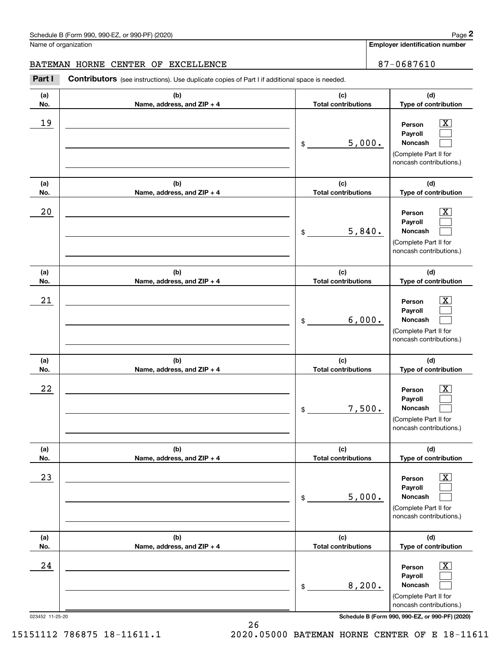#### BATEMAN HORNE CENTER OF EXCELLENCE 87-0687610

Contributors (see instructions). Use duplicate copies of Part I if additional space is needed. Chedule B (Form 990, 990-EZ, or 990-PF) (2020)<br>Iame of organization<br>**2Part I 2Part I Contributors** (see instructions). Use duplicate copies of Part I if additional space is needed.

| (a)<br>No.                | (b)<br>Name, address, and ZIP + 4 | (c)<br><b>Total contributions</b> | (d)<br>Type of contribution                                                                                 |
|---------------------------|-----------------------------------|-----------------------------------|-------------------------------------------------------------------------------------------------------------|
| 19                        |                                   | 5,000.<br>\$                      | $\overline{\mathbf{X}}$<br>Person<br>Payroll<br>Noncash<br>(Complete Part II for<br>noncash contributions.) |
| (a)<br>No.                | (b)<br>Name, address, and ZIP + 4 | (c)<br><b>Total contributions</b> | (d)<br>Type of contribution                                                                                 |
| 20                        |                                   | 5,840.<br>\$                      | $\overline{\mathbf{X}}$<br>Person<br>Payroll<br>Noncash<br>(Complete Part II for<br>noncash contributions.) |
| (a)<br>No.                | (b)<br>Name, address, and ZIP + 4 | (c)<br><b>Total contributions</b> | (d)<br>Type of contribution                                                                                 |
| 21                        |                                   | 6,000.<br>$\frac{1}{2}$           | $\overline{\texttt{X}}$<br>Person<br>Payroll<br>Noncash<br>(Complete Part II for<br>noncash contributions.) |
| (a)<br>No.                | (b)<br>Name, address, and ZIP + 4 | (c)<br><b>Total contributions</b> | (d)<br>Type of contribution                                                                                 |
| 22                        |                                   | 7,500.<br>\$                      | $\overline{\mathbf{X}}$<br>Person<br>Payroll<br>Noncash<br>(Complete Part II for<br>noncash contributions.) |
| (a)<br>No.                | (b)<br>Name, address, and ZIP + 4 | (c)<br><b>Total contributions</b> | (d)<br>Type of contribution                                                                                 |
| 23                        |                                   | 5,000.<br>\$                      | $\overline{\text{X}}$<br>Person<br>Payroll<br>Noncash<br>(Complete Part II for<br>noncash contributions.)   |
| (a)<br>No.                | (b)<br>Name, address, and ZIP + 4 | (c)<br><b>Total contributions</b> | (d)<br>Type of contribution                                                                                 |
| $2\,4$<br>023452 11-25-20 |                                   | 8,200.<br>\$                      | $\overline{\text{X}}$<br>Person<br>Payroll<br>Noncash<br>(Complete Part II for<br>noncash contributions.)   |
|                           |                                   |                                   | Schedule B (Form 990, 990-EZ, or 990-PF) (2020)                                                             |

15151112 786875 18-11611.1 2020.05000 BATEMAN HORNE CENTER OF E 18-11611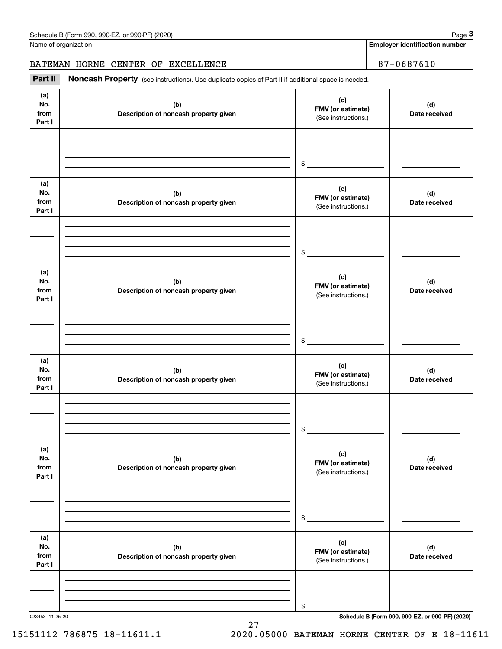BATEMAN HORNE CENTER OF EXCELLENCE **87-0687610** 

Chedule B (Form 990, 990-EZ, or 990-PF) (2020)<br> **3Part II is additional space is needed.**<br> **3Part II is Noncash Property** (see instructions). Use duplicate copies of Part II if additional space is needed.

| (a)<br>No.<br>from<br>Part I | (b)<br>Description of noncash property given | (c)<br>FMV (or estimate)<br>(See instructions.) | (d)<br>Date received                            |
|------------------------------|----------------------------------------------|-------------------------------------------------|-------------------------------------------------|
|                              |                                              | $\frac{1}{2}$                                   |                                                 |
| (a)<br>No.<br>from<br>Part I | (b)<br>Description of noncash property given | (c)<br>FMV (or estimate)<br>(See instructions.) | (d)<br>Date received                            |
|                              |                                              | $\sim$                                          |                                                 |
| (a)<br>No.<br>from<br>Part I | (b)<br>Description of noncash property given | (c)<br>FMV (or estimate)<br>(See instructions.) | (d)<br>Date received                            |
|                              |                                              | $\frac{1}{2}$                                   |                                                 |
| (a)<br>No.<br>from<br>Part I | (b)<br>Description of noncash property given | (c)<br>FMV (or estimate)<br>(See instructions.) | (d)<br>Date received                            |
|                              |                                              | $\mathfrak s$                                   |                                                 |
| (a)<br>No.<br>from<br>Part I | (b)<br>Description of noncash property given | (c)<br>FMV (or estimate)<br>(See instructions.) | (d)<br>Date received                            |
|                              |                                              | \$                                              |                                                 |
| (a)<br>No.<br>from<br>Part I | (b)<br>Description of noncash property given | (c)<br>FMV (or estimate)<br>(See instructions.) | (d)<br>Date received                            |
|                              |                                              | \$                                              | Schedule B (Form 990, 990-EZ, or 990-PF) (2020) |

27

15151112 786875 18-11611.1 2020.05000 BATEMAN HORNE CENTER OF E 18-11611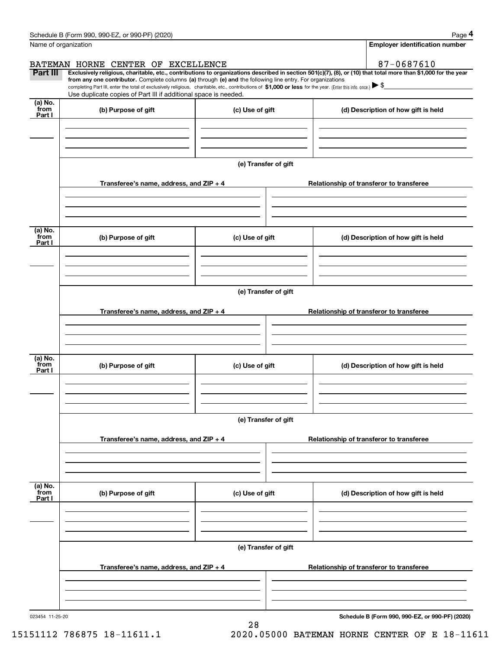|                  | Schedule B (Form 990, 990-EZ, or 990-PF) (2020)                                                                                                                                                                                                                              |                      |                                          |  | Page 4                                          |  |  |  |  |
|------------------|------------------------------------------------------------------------------------------------------------------------------------------------------------------------------------------------------------------------------------------------------------------------------|----------------------|------------------------------------------|--|-------------------------------------------------|--|--|--|--|
|                  | Name of organization                                                                                                                                                                                                                                                         |                      |                                          |  | <b>Employer identification number</b>           |  |  |  |  |
|                  | BATEMAN HORNE CENTER OF EXCELLENCE                                                                                                                                                                                                                                           |                      |                                          |  | 87-0687610                                      |  |  |  |  |
| Part III         | Exclusively religious, charitable, etc., contributions to organizations described in section 501(c)(7), (8), or (10) that total more than \$1,000 for the year<br>from any one contributor. Complete columns (a) through (e) and the following line entry. For organizations |                      |                                          |  |                                                 |  |  |  |  |
|                  | completing Part III, enter the total of exclusively religious, charitable, etc., contributions of \$1,000 or less for the year. (Enter this info. once.) $\blacktriangleright$ \$                                                                                            |                      |                                          |  |                                                 |  |  |  |  |
| (a) No.          | Use duplicate copies of Part III if additional space is needed.                                                                                                                                                                                                              |                      |                                          |  |                                                 |  |  |  |  |
| from<br>Part I   | (b) Purpose of gift                                                                                                                                                                                                                                                          | (c) Use of gift      |                                          |  | (d) Description of how gift is held             |  |  |  |  |
|                  |                                                                                                                                                                                                                                                                              |                      |                                          |  |                                                 |  |  |  |  |
|                  |                                                                                                                                                                                                                                                                              |                      |                                          |  |                                                 |  |  |  |  |
|                  |                                                                                                                                                                                                                                                                              |                      |                                          |  |                                                 |  |  |  |  |
|                  |                                                                                                                                                                                                                                                                              | (e) Transfer of gift |                                          |  |                                                 |  |  |  |  |
|                  |                                                                                                                                                                                                                                                                              |                      |                                          |  |                                                 |  |  |  |  |
|                  | Transferee's name, address, and ZIP + 4                                                                                                                                                                                                                                      |                      |                                          |  | Relationship of transferor to transferee        |  |  |  |  |
|                  |                                                                                                                                                                                                                                                                              |                      |                                          |  |                                                 |  |  |  |  |
|                  |                                                                                                                                                                                                                                                                              |                      |                                          |  |                                                 |  |  |  |  |
| (a) No.          |                                                                                                                                                                                                                                                                              |                      |                                          |  |                                                 |  |  |  |  |
| from<br>Part I   | (b) Purpose of gift                                                                                                                                                                                                                                                          | (c) Use of gift      |                                          |  | (d) Description of how gift is held             |  |  |  |  |
|                  |                                                                                                                                                                                                                                                                              |                      |                                          |  |                                                 |  |  |  |  |
|                  |                                                                                                                                                                                                                                                                              |                      |                                          |  |                                                 |  |  |  |  |
|                  |                                                                                                                                                                                                                                                                              |                      |                                          |  |                                                 |  |  |  |  |
|                  | (e) Transfer of gift                                                                                                                                                                                                                                                         |                      |                                          |  |                                                 |  |  |  |  |
|                  | Transferee's name, address, and ZIP + 4                                                                                                                                                                                                                                      |                      |                                          |  | Relationship of transferor to transferee        |  |  |  |  |
|                  |                                                                                                                                                                                                                                                                              |                      |                                          |  |                                                 |  |  |  |  |
|                  |                                                                                                                                                                                                                                                                              |                      |                                          |  |                                                 |  |  |  |  |
|                  |                                                                                                                                                                                                                                                                              |                      |                                          |  |                                                 |  |  |  |  |
| (a) No.<br>from  | (b) Purpose of gift                                                                                                                                                                                                                                                          |                      |                                          |  |                                                 |  |  |  |  |
| Part I           |                                                                                                                                                                                                                                                                              | (c) Use of gift      |                                          |  | (d) Description of how gift is held             |  |  |  |  |
|                  |                                                                                                                                                                                                                                                                              |                      |                                          |  |                                                 |  |  |  |  |
|                  |                                                                                                                                                                                                                                                                              |                      |                                          |  |                                                 |  |  |  |  |
|                  |                                                                                                                                                                                                                                                                              | (e) Transfer of gift |                                          |  |                                                 |  |  |  |  |
|                  |                                                                                                                                                                                                                                                                              |                      |                                          |  |                                                 |  |  |  |  |
|                  | Transferee's name, address, and $ZIP + 4$                                                                                                                                                                                                                                    |                      | Relationship of transferor to transferee |  |                                                 |  |  |  |  |
|                  |                                                                                                                                                                                                                                                                              |                      |                                          |  |                                                 |  |  |  |  |
|                  |                                                                                                                                                                                                                                                                              |                      |                                          |  |                                                 |  |  |  |  |
|                  |                                                                                                                                                                                                                                                                              |                      |                                          |  |                                                 |  |  |  |  |
| (a) No.<br>`from | (b) Purpose of gift                                                                                                                                                                                                                                                          | (c) Use of gift      |                                          |  | (d) Description of how gift is held             |  |  |  |  |
| Part I           |                                                                                                                                                                                                                                                                              |                      |                                          |  |                                                 |  |  |  |  |
|                  |                                                                                                                                                                                                                                                                              |                      |                                          |  |                                                 |  |  |  |  |
|                  |                                                                                                                                                                                                                                                                              |                      |                                          |  |                                                 |  |  |  |  |
|                  |                                                                                                                                                                                                                                                                              | (e) Transfer of gift |                                          |  |                                                 |  |  |  |  |
|                  |                                                                                                                                                                                                                                                                              |                      |                                          |  |                                                 |  |  |  |  |
|                  | Transferee's name, address, and $ZIP + 4$                                                                                                                                                                                                                                    |                      |                                          |  | Relationship of transferor to transferee        |  |  |  |  |
|                  |                                                                                                                                                                                                                                                                              |                      |                                          |  |                                                 |  |  |  |  |
|                  |                                                                                                                                                                                                                                                                              |                      |                                          |  |                                                 |  |  |  |  |
|                  |                                                                                                                                                                                                                                                                              |                      |                                          |  |                                                 |  |  |  |  |
| 023454 11-25-20  |                                                                                                                                                                                                                                                                              |                      |                                          |  | Schedule B (Form 990, 990-EZ, or 990-PF) (2020) |  |  |  |  |

**Schedule B (Form 990, 990-EZ, or 990-PF) (2020)**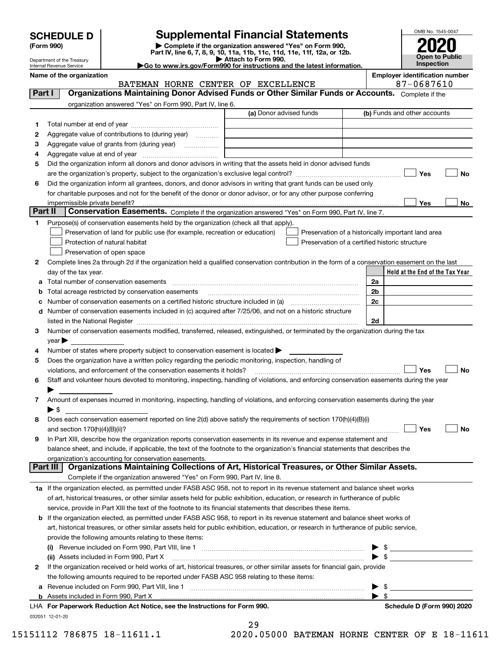| <b>SCHEDULE D</b> |  |
|-------------------|--|
|-------------------|--|

| (Form 990) |  |
|------------|--|
|------------|--|

## **Supplemental Financial Statements**

(Form 990)<br>
Pepartment of the Treasury<br>
Department of the Treasury<br>
Department of the Treasury<br>
Department of the Treasury<br> **Co to www.irs.gov/Form990 for instructions and the latest information.**<br> **Co to www.irs.gov/Form9** 



Department of the Treasury Internal Revenue Service

**Name of the organization Employer identification number**

|         | BATEMAN HORNE CENTER OF EXCELLENCE                                                                                                                                |                         | 87-0687610                                         |
|---------|-------------------------------------------------------------------------------------------------------------------------------------------------------------------|-------------------------|----------------------------------------------------|
| Part I  | Organizations Maintaining Donor Advised Funds or Other Similar Funds or Accounts. Complete if the                                                                 |                         |                                                    |
|         | organization answered "Yes" on Form 990, Part IV, line 6.                                                                                                         |                         |                                                    |
|         |                                                                                                                                                                   | (a) Donor advised funds | (b) Funds and other accounts                       |
| 1       |                                                                                                                                                                   |                         |                                                    |
| 2       | Aggregate value of contributions to (during year)                                                                                                                 |                         |                                                    |
| з       | Aggregate value of grants from (during year)                                                                                                                      |                         |                                                    |
| 4       |                                                                                                                                                                   |                         |                                                    |
| 5       | Did the organization inform all donors and donor advisors in writing that the assets held in donor advised funds                                                  |                         |                                                    |
|         |                                                                                                                                                                   |                         | Yes<br>No                                          |
|         |                                                                                                                                                                   |                         |                                                    |
| 6       | Did the organization inform all grantees, donors, and donor advisors in writing that grant funds can be used only                                                 |                         |                                                    |
|         | for charitable purposes and not for the benefit of the donor or donor advisor, or for any other purpose conferring                                                |                         |                                                    |
| Part II | impermissible private benefit?<br>Conservation Easements. Complete if the organization answered "Yes" on Form 990, Part IV, line 7.                               |                         | Yes<br>No                                          |
|         |                                                                                                                                                                   |                         |                                                    |
| 1       | Purpose(s) of conservation easements held by the organization (check all that apply).                                                                             |                         |                                                    |
|         | Preservation of land for public use (for example, recreation or education)                                                                                        |                         | Preservation of a historically important land area |
|         | Protection of natural habitat                                                                                                                                     |                         | Preservation of a certified historic structure     |
|         | Preservation of open space                                                                                                                                        |                         |                                                    |
| 2       | Complete lines 2a through 2d if the organization held a qualified conservation contribution in the form of a conservation easement on the last                    |                         |                                                    |
|         | day of the tax year.                                                                                                                                              |                         | Held at the End of the Tax Year                    |
| а       | Total number of conservation easements                                                                                                                            |                         | 2a                                                 |
| b       | Total acreage restricted by conservation easements                                                                                                                |                         | 2 <sub>b</sub>                                     |
| с       |                                                                                                                                                                   |                         | 2c                                                 |
| d       | Number of conservation easements included in (c) acquired after 7/25/06, and not on a historic structure                                                          |                         |                                                    |
|         | listed in the National Register [111] in the Mational Register [11] in the Mation Mathematical Anna Mathematic                                                    |                         | 2d                                                 |
| З.      | Number of conservation easements modified, transferred, released, extinguished, or terminated by the organization during the tax                                  |                         |                                                    |
|         | $year \blacktriangleright$                                                                                                                                        |                         |                                                    |
| 4       | Number of states where property subject to conservation easement is located >                                                                                     |                         |                                                    |
| 5       | Does the organization have a written policy regarding the periodic monitoring, inspection, handling of                                                            |                         |                                                    |
|         | violations, and enforcement of the conservation easements it holds?                                                                                               |                         | Yes<br><b>No</b>                                   |
| 6       | Staff and volunteer hours devoted to monitoring, inspecting, handling of violations, and enforcing conservation easements during the year                         |                         |                                                    |
|         |                                                                                                                                                                   |                         |                                                    |
| 7       | Amount of expenses incurred in monitoring, inspecting, handling of violations, and enforcing conservation easements during the year                               |                         |                                                    |
|         | $\blacktriangleright$ \$                                                                                                                                          |                         |                                                    |
| 8       | Does each conservation easement reported on line 2(d) above satisfy the requirements of section 170(h)(4)(B)(i)                                                   |                         |                                                    |
|         |                                                                                                                                                                   |                         | Yes<br>No                                          |
|         |                                                                                                                                                                   |                         |                                                    |
| 9       | In Part XIII, describe how the organization reports conservation easements in its revenue and expense statement and                                               |                         |                                                    |
|         | balance sheet, and include, if applicable, the text of the footnote to the organization's financial statements that describes the                                 |                         |                                                    |
|         | organization's accounting for conservation easements.<br>Organizations Maintaining Collections of Art, Historical Treasures, or Other Similar Assets.<br>Part III |                         |                                                    |
|         | Complete if the organization answered "Yes" on Form 990, Part IV, line 8.                                                                                         |                         |                                                    |
|         | 1a If the organization elected, as permitted under FASB ASC 958, not to report in its revenue statement and balance sheet works                                   |                         |                                                    |
|         | of art, historical treasures, or other similar assets held for public exhibition, education, or research in furtherance of public                                 |                         |                                                    |
|         |                                                                                                                                                                   |                         |                                                    |
|         | service, provide in Part XIII the text of the footnote to its financial statements that describes these items.                                                    |                         |                                                    |
| b       | If the organization elected, as permitted under FASB ASC 958, to report in its revenue statement and balance sheet works of                                       |                         |                                                    |
|         | art, historical treasures, or other similar assets held for public exhibition, education, or research in furtherance of public service,                           |                         |                                                    |
|         | provide the following amounts relating to these items:                                                                                                            |                         |                                                    |
|         |                                                                                                                                                                   |                         | \$                                                 |
|         | (ii) Assets included in Form 990, Part X                                                                                                                          |                         | $\blacktriangleright$ \$                           |
| 2       | If the organization received or held works of art, historical treasures, or other similar assets for financial gain, provide                                      |                         |                                                    |
|         | the following amounts required to be reported under FASB ASC 958 relating to these items:                                                                         |                         |                                                    |
| а       |                                                                                                                                                                   |                         | $\blacktriangleright$ \$                           |
|         |                                                                                                                                                                   |                         | $\blacktriangleright$ \$                           |

#### 032051 12-01-20 **For Paperwork Reduction Act Notice, see the Instructions for Form 990. Schedule D (Form 990) 2020** LHA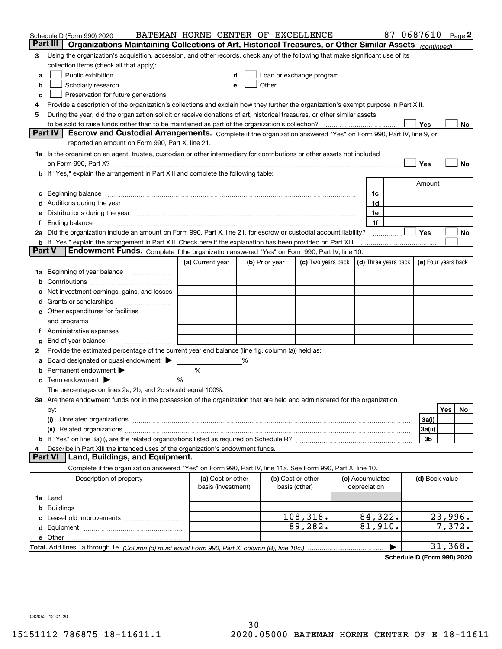|        | Schedule D (Form 990) 2020                                                                                                           | BATEMAN HORNE CENTER OF EXCELLENCE      |   |                |                                                                                                                                                                                                                               |                                 | 87-0687610 Page 2 |                     |          |    |
|--------|--------------------------------------------------------------------------------------------------------------------------------------|-----------------------------------------|---|----------------|-------------------------------------------------------------------------------------------------------------------------------------------------------------------------------------------------------------------------------|---------------------------------|-------------------|---------------------|----------|----|
|        | Part III<br>Organizations Maintaining Collections of Art, Historical Treasures, or Other Similar Assets (continued)                  |                                         |   |                |                                                                                                                                                                                                                               |                                 |                   |                     |          |    |
| 3      | Using the organization's acquisition, accession, and other records, check any of the following that make significant use of its      |                                         |   |                |                                                                                                                                                                                                                               |                                 |                   |                     |          |    |
|        | collection items (check all that apply):                                                                                             |                                         |   |                |                                                                                                                                                                                                                               |                                 |                   |                     |          |    |
| a      | Public exhibition                                                                                                                    |                                         |   |                | Loan or exchange program                                                                                                                                                                                                      |                                 |                   |                     |          |    |
| b      | Scholarly research                                                                                                                   |                                         |   |                | Other and the contract of the contract of the contract of the contract of the contract of the contract of the contract of the contract of the contract of the contract of the contract of the contract of the contract of the |                                 |                   |                     |          |    |
| с      | Preservation for future generations                                                                                                  |                                         |   |                |                                                                                                                                                                                                                               |                                 |                   |                     |          |    |
| 4      | Provide a description of the organization's collections and explain how they further the organization's exempt purpose in Part XIII. |                                         |   |                |                                                                                                                                                                                                                               |                                 |                   |                     |          |    |
| 5      | During the year, did the organization solicit or receive donations of art, historical treasures, or other similar assets             |                                         |   |                |                                                                                                                                                                                                                               |                                 |                   |                     |          |    |
|        | to be sold to raise funds rather than to be maintained as part of the organization's collection?                                     |                                         |   |                |                                                                                                                                                                                                                               |                                 |                   | Yes                 |          | No |
|        | <b>Part IV</b><br>Escrow and Custodial Arrangements. Complete if the organization answered "Yes" on Form 990, Part IV, line 9, or    |                                         |   |                |                                                                                                                                                                                                                               |                                 |                   |                     |          |    |
|        | reported an amount on Form 990, Part X, line 21.                                                                                     |                                         |   |                |                                                                                                                                                                                                                               |                                 |                   |                     |          |    |
|        | 1a Is the organization an agent, trustee, custodian or other intermediary for contributions or other assets not included             |                                         |   |                |                                                                                                                                                                                                                               |                                 |                   |                     |          |    |
|        | on Form 990, Part X? [11] matter contracts and contracts and contracts are contracted as a form 990, Part X?                         |                                         |   |                |                                                                                                                                                                                                                               |                                 |                   | Yes                 |          | No |
|        | <b>b</b> If "Yes," explain the arrangement in Part XIII and complete the following table:                                            |                                         |   |                |                                                                                                                                                                                                                               |                                 |                   |                     |          |    |
|        |                                                                                                                                      |                                         |   |                |                                                                                                                                                                                                                               |                                 |                   | Amount              |          |    |
| c      | Beginning balance <u>www.marent.com married was contracted</u> and the contracted and the contracted and the contracted              |                                         |   |                |                                                                                                                                                                                                                               | 1c                              |                   |                     |          |    |
|        |                                                                                                                                      |                                         |   |                |                                                                                                                                                                                                                               | 1d                              |                   |                     |          |    |
|        | e Distributions during the year manufactured and an according to the year manufactured and the year manufactur                       |                                         |   |                |                                                                                                                                                                                                                               | 1e                              |                   |                     |          |    |
|        | 2a Did the organization include an amount on Form 990, Part X, line 21, for escrow or custodial account liability?                   |                                         |   |                |                                                                                                                                                                                                                               | 1f                              |                   | Yes                 |          | No |
|        | <b>b</b> If "Yes," explain the arrangement in Part XIII. Check here if the explanation has been provided on Part XIII                |                                         |   |                |                                                                                                                                                                                                                               |                                 | .                 |                     |          |    |
| Part V | Endowment Funds. Complete if the organization answered "Yes" on Form 990, Part IV, line 10.                                          |                                         |   |                |                                                                                                                                                                                                                               |                                 |                   |                     |          |    |
|        |                                                                                                                                      | (a) Current year                        |   | (b) Prior year | (c) Two years back $\vert$ (d) Three years back $\vert$                                                                                                                                                                       |                                 |                   | (e) Four years back |          |    |
|        | 1a Beginning of year balance                                                                                                         |                                         |   |                |                                                                                                                                                                                                                               |                                 |                   |                     |          |    |
| b      |                                                                                                                                      |                                         |   |                |                                                                                                                                                                                                                               |                                 |                   |                     |          |    |
|        | Net investment earnings, gains, and losses                                                                                           |                                         |   |                |                                                                                                                                                                                                                               |                                 |                   |                     |          |    |
|        |                                                                                                                                      |                                         |   |                |                                                                                                                                                                                                                               |                                 |                   |                     |          |    |
|        | e Other expenditures for facilities                                                                                                  |                                         |   |                |                                                                                                                                                                                                                               |                                 |                   |                     |          |    |
|        |                                                                                                                                      |                                         |   |                |                                                                                                                                                                                                                               |                                 |                   |                     |          |    |
|        | f Administrative expenses                                                                                                            |                                         |   |                |                                                                                                                                                                                                                               |                                 |                   |                     |          |    |
| g      | End of year balance <i>manually contained</i>                                                                                        |                                         |   |                |                                                                                                                                                                                                                               |                                 |                   |                     |          |    |
| 2      | Provide the estimated percentage of the current year end balance (line 1g, column (a)) held as:                                      |                                         |   |                |                                                                                                                                                                                                                               |                                 |                   |                     |          |    |
| а      | Board designated or quasi-endowment >                                                                                                |                                         | % |                |                                                                                                                                                                                                                               |                                 |                   |                     |          |    |
| b      | Permanent endowment >                                                                                                                | %                                       |   |                |                                                                                                                                                                                                                               |                                 |                   |                     |          |    |
|        | <b>c</b> Term endowment $\blacktriangleright$                                                                                        | %                                       |   |                |                                                                                                                                                                                                                               |                                 |                   |                     |          |    |
|        | The percentages on lines 2a, 2b, and 2c should equal 100%.                                                                           |                                         |   |                |                                                                                                                                                                                                                               |                                 |                   |                     |          |    |
|        | 3a Are there endowment funds not in the possession of the organization that are held and administered for the organization           |                                         |   |                |                                                                                                                                                                                                                               |                                 |                   |                     |          |    |
|        | by:                                                                                                                                  |                                         |   |                |                                                                                                                                                                                                                               |                                 |                   |                     | Yes      | No |
|        | (i)                                                                                                                                  |                                         |   |                |                                                                                                                                                                                                                               |                                 |                   | 3a(i)               |          |    |
|        |                                                                                                                                      |                                         |   |                |                                                                                                                                                                                                                               |                                 |                   | 3a(ii)              |          |    |
|        |                                                                                                                                      |                                         |   |                |                                                                                                                                                                                                                               |                                 |                   | 3b                  |          |    |
|        | Describe in Part XIII the intended uses of the organization's endowment funds.                                                       |                                         |   |                |                                                                                                                                                                                                                               |                                 |                   |                     |          |    |
|        | Land, Buildings, and Equipment.<br>Part VI                                                                                           |                                         |   |                |                                                                                                                                                                                                                               |                                 |                   |                     |          |    |
|        | Complete if the organization answered "Yes" on Form 990, Part IV, line 11a. See Form 990, Part X, line 10.                           |                                         |   |                |                                                                                                                                                                                                                               |                                 |                   |                     |          |    |
|        | Description of property                                                                                                              | (a) Cost or other<br>basis (investment) |   |                | (b) Cost or other<br>basis (other)                                                                                                                                                                                            | (c) Accumulated<br>depreciation |                   | (d) Book value      |          |    |
|        |                                                                                                                                      |                                         |   |                |                                                                                                                                                                                                                               |                                 |                   |                     |          |    |
| b      |                                                                                                                                      |                                         |   |                |                                                                                                                                                                                                                               |                                 |                   |                     |          |    |
|        |                                                                                                                                      |                                         |   |                | 108, 318.                                                                                                                                                                                                                     | 84,322.                         |                   |                     | 23,996.  |    |
|        |                                                                                                                                      |                                         |   |                | 89,282.                                                                                                                                                                                                                       | 81,910.                         |                   |                     | 7,372.   |    |
|        |                                                                                                                                      |                                         |   |                |                                                                                                                                                                                                                               |                                 |                   |                     |          |    |
|        |                                                                                                                                      |                                         |   |                |                                                                                                                                                                                                                               |                                 |                   |                     | 31, 368. |    |

**Schedule D (Form 990) 2020**

032052 12-01-20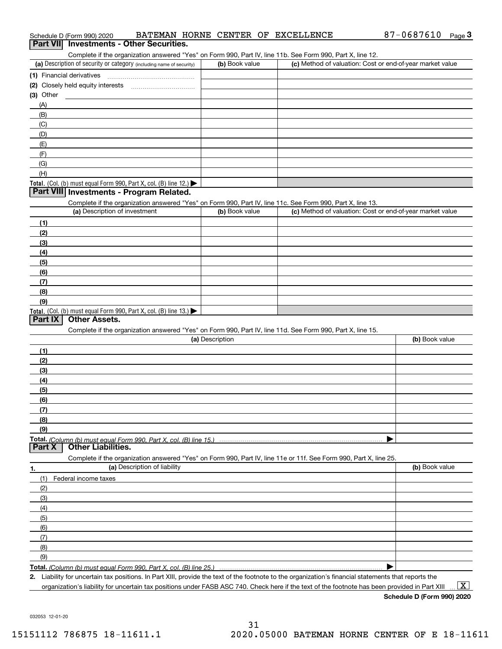|                                                                                                                   |                 | Complete if the organization answered "Yes" on Form 990, Part IV, line 11b. See Form 990, Part X, line 12. |                |
|-------------------------------------------------------------------------------------------------------------------|-----------------|------------------------------------------------------------------------------------------------------------|----------------|
| (a) Description of security or category (including name of security)                                              | (b) Book value  | (c) Method of valuation: Cost or end-of-year market value                                                  |                |
| (1) Financial derivatives                                                                                         |                 |                                                                                                            |                |
| (2) Closely held equity interests [111] [2] Closely held equity interests                                         |                 |                                                                                                            |                |
| (3) Other                                                                                                         |                 |                                                                                                            |                |
| (A)                                                                                                               |                 |                                                                                                            |                |
| (B)                                                                                                               |                 |                                                                                                            |                |
| (C)                                                                                                               |                 |                                                                                                            |                |
| (D)                                                                                                               |                 |                                                                                                            |                |
| (E)                                                                                                               |                 |                                                                                                            |                |
| (F)                                                                                                               |                 |                                                                                                            |                |
| (G)                                                                                                               |                 |                                                                                                            |                |
| (H)                                                                                                               |                 |                                                                                                            |                |
| Total. (Col. (b) must equal Form 990, Part X, col. (B) line 12.) $\blacktriangleright$                            |                 |                                                                                                            |                |
| Part VIII Investments - Program Related.                                                                          |                 |                                                                                                            |                |
| Complete if the organization answered "Yes" on Form 990, Part IV, line 11c. See Form 990, Part X, line 13.        |                 |                                                                                                            |                |
| (a) Description of investment                                                                                     | (b) Book value  | (c) Method of valuation: Cost or end-of-year market value                                                  |                |
| (1)                                                                                                               |                 |                                                                                                            |                |
| (2)                                                                                                               |                 |                                                                                                            |                |
| (3)                                                                                                               |                 |                                                                                                            |                |
| (4)                                                                                                               |                 |                                                                                                            |                |
| (5)                                                                                                               |                 |                                                                                                            |                |
| (6)                                                                                                               |                 |                                                                                                            |                |
| (7)                                                                                                               |                 |                                                                                                            |                |
| (8)                                                                                                               |                 |                                                                                                            |                |
| (9)                                                                                                               |                 |                                                                                                            |                |
| Total. (Col. (b) must equal Form 990, Part X, col. (B) line 13.)                                                  |                 |                                                                                                            |                |
| Part IX<br><b>Other Assets.</b>                                                                                   |                 |                                                                                                            |                |
| Complete if the organization answered "Yes" on Form 990, Part IV, line 11d. See Form 990, Part X, line 15.        |                 |                                                                                                            |                |
|                                                                                                                   | (a) Description |                                                                                                            | (b) Book value |
| (1)                                                                                                               |                 |                                                                                                            |                |
| (2)                                                                                                               |                 |                                                                                                            |                |
| (3)                                                                                                               |                 |                                                                                                            |                |
| (4)                                                                                                               |                 |                                                                                                            |                |
| (5)                                                                                                               |                 |                                                                                                            |                |
|                                                                                                                   |                 |                                                                                                            |                |
| (6)                                                                                                               |                 |                                                                                                            |                |
| (7)                                                                                                               |                 |                                                                                                            |                |
| (8)                                                                                                               |                 |                                                                                                            |                |
| (9)                                                                                                               |                 |                                                                                                            |                |
|                                                                                                                   |                 |                                                                                                            |                |
| <b>Other Liabilities.</b>                                                                                         |                 |                                                                                                            |                |
| Complete if the organization answered "Yes" on Form 990, Part IV, line 11e or 11f. See Form 990, Part X, line 25. |                 |                                                                                                            |                |
| (a) Description of liability                                                                                      |                 |                                                                                                            | (b) Book value |
| (1)<br>Federal income taxes                                                                                       |                 |                                                                                                            |                |
| (2)                                                                                                               |                 |                                                                                                            |                |
| (3)                                                                                                               |                 |                                                                                                            |                |
| (4)                                                                                                               |                 |                                                                                                            |                |
|                                                                                                                   |                 |                                                                                                            |                |
| (5)                                                                                                               |                 |                                                                                                            |                |
| (6)                                                                                                               |                 |                                                                                                            |                |
| (7)                                                                                                               |                 |                                                                                                            |                |
| Total. (Column (b) must equal Form 990. Part X, col. (B) line 15.)<br>Part X<br>1.<br>(8)<br>(9)                  |                 |                                                                                                            |                |

organization's liability for uncertain tax positions under FASB ASC 740. Check here if the text of the footnote has been provided in Part XIII.

 $\boxed{\text{X}}$ 

032053 12-01-20

# Schedule D (Form 990) 2020 BATEMAN HORNE CENTER OF EXCELLENCE 87-0 6 87 6 10 <sub>Page</sub> 3<br>| **Part VII** | Investments - Other Securities.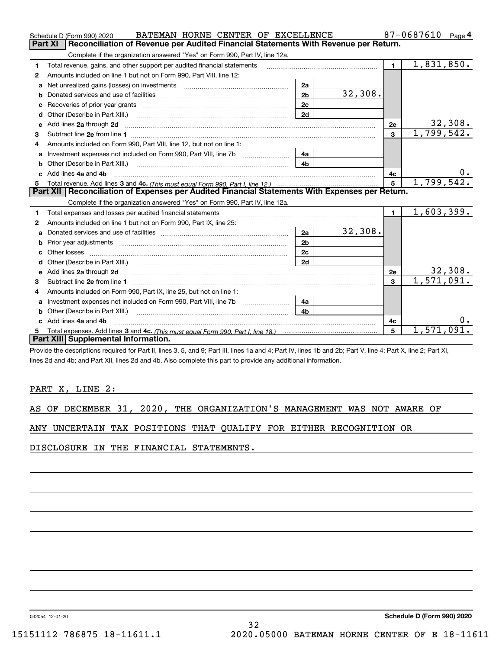|    | BATEMAN HORNE CENTER OF EXCELLENCE<br>Schedule D (Form 990) 2020                                                                                                                                                                                                                           |                |         |                         | 87-0687610<br>Page 4       |
|----|--------------------------------------------------------------------------------------------------------------------------------------------------------------------------------------------------------------------------------------------------------------------------------------------|----------------|---------|-------------------------|----------------------------|
|    | Part XI<br>Reconciliation of Revenue per Audited Financial Statements With Revenue per Return.                                                                                                                                                                                             |                |         |                         |                            |
|    | Complete if the organization answered "Yes" on Form 990, Part IV, line 12a.                                                                                                                                                                                                                |                |         |                         |                            |
| 1  | Total revenue, gains, and other support per audited financial statements                                                                                                                                                                                                                   |                |         | $\blacksquare$          | $\overline{1,831,850}$ .   |
| 2  | Amounts included on line 1 but not on Form 990, Part VIII, line 12:                                                                                                                                                                                                                        |                |         |                         |                            |
| a  | Net unrealized gains (losses) on investments [11] matter contracts and the unrealized gains (losses) on investments                                                                                                                                                                        | 2a             |         |                         |                            |
| b  |                                                                                                                                                                                                                                                                                            | 2 <sub>b</sub> | 32,308. |                         |                            |
|    |                                                                                                                                                                                                                                                                                            | 2c             |         |                         |                            |
| d  | Other (Describe in Part XIII.) <b>Construction Contract Construction</b> Chern Construction Construction Construction                                                                                                                                                                      | 2d             |         |                         |                            |
| е  | Add lines 2a through 2d                                                                                                                                                                                                                                                                    |                |         | 2e                      | 32,308.                    |
| 3  |                                                                                                                                                                                                                                                                                            |                |         | $\overline{\mathbf{3}}$ | 1,799,542.                 |
| 4  | Amounts included on Form 990, Part VIII, line 12, but not on line 1:                                                                                                                                                                                                                       |                |         |                         |                            |
| a  |                                                                                                                                                                                                                                                                                            | 4a             |         |                         |                            |
|    |                                                                                                                                                                                                                                                                                            | 4 <sub>b</sub> |         |                         |                            |
| c. | Add lines 4a and 4b                                                                                                                                                                                                                                                                        | 4c             | 0.      |                         |                            |
| 5  |                                                                                                                                                                                                                                                                                            |                | 5       | 1,799,542.              |                            |
|    | Part XII   Reconciliation of Expenses per Audited Financial Statements With Expenses per Return.                                                                                                                                                                                           |                |         |                         |                            |
|    | Complete if the organization answered "Yes" on Form 990, Part IV, line 12a.                                                                                                                                                                                                                |                |         |                         |                            |
|    |                                                                                                                                                                                                                                                                                            |                |         |                         |                            |
| 1  | Total expenses and losses per audited financial statements [11] [12] contain an intervention and contain a statements [13] [13] and the statements [13] [13] and the statements [13] and the statements and the statements and                                                             |                |         | $\blacksquare$          | 1,603,399.                 |
| 2  | Amounts included on line 1 but not on Form 990, Part IX, line 25:                                                                                                                                                                                                                          |                |         |                         |                            |
| a  |                                                                                                                                                                                                                                                                                            | 2a             | 32,308. |                         |                            |
| b  |                                                                                                                                                                                                                                                                                            | 2 <sub>b</sub> |         |                         |                            |
|    |                                                                                                                                                                                                                                                                                            | 2c             |         |                         |                            |
| d  | Other (Describe in Part XIII.) (Contract and Contract and Chern Contract) (Chern Chern Chern Chern Chern Chern                                                                                                                                                                             | 2d             |         |                         |                            |
| e  |                                                                                                                                                                                                                                                                                            |                |         | 2e                      |                            |
| з  |                                                                                                                                                                                                                                                                                            |                |         | 3                       | $\frac{32,308}{1,571,091}$ |
|    | Amounts included on Form 990, Part IX, line 25, but not on line 1:                                                                                                                                                                                                                         |                |         |                         |                            |
| a  | Investment expenses not included on Form 990, Part VIII, line 7b [1000000000000000000000000000000000                                                                                                                                                                                       | 4a             |         |                         |                            |
| b  | Other (Describe in Part XIII.)                                                                                                                                                                                                                                                             | 4 <sub>b</sub> |         |                         |                            |
|    | Add lines 4a and 4b                                                                                                                                                                                                                                                                        |                |         | 4c                      | $0$ .                      |
| 5  |                                                                                                                                                                                                                                                                                            |                |         | 5                       | 1,571,091                  |
|    | Part XIII Supplemental Information.<br>$\mathbf{u} = \mathbf{u} + \mathbf{v}$ , $\mathbf{u} = \mathbf{u} + \mathbf{v}$ , $\mathbf{u} = \mathbf{u} + \mathbf{v}$ , $\mathbf{u} = \mathbf{u} + \mathbf{v}$ , $\mathbf{u} = \mathbf{u} + \mathbf{v}$ , $\mathbf{u} = \mathbf{u} + \mathbf{v}$ |                |         |                         |                            |

Provide the descriptions required for Part II, lines 3, 5, and 9; Part III, lines 1a and 4; Part IV, lines 1b and 2b; Part V, line 4; Part X, line 2; Part XI, lines 2d and 4b; and Part XII, lines 2d and 4b. Also complete this part to provide any additional information.

#### PART X, LINE 2:

|  |  |  |  |  |  | AS OF DECEMBER 31, 2020, THE ORGANIZATION'S MANAGEMENT WAS NOT AWARE OF |  |  |  |  |  |
|--|--|--|--|--|--|-------------------------------------------------------------------------|--|--|--|--|--|
|--|--|--|--|--|--|-------------------------------------------------------------------------|--|--|--|--|--|

#### ANY UNCERTAIN TAX POSITIONS THAT QUALIFY FOR EITHER RECOGNITION OR

DISCLOSURE IN THE FINANCIAL STATEMENTS.

032054 12-01-20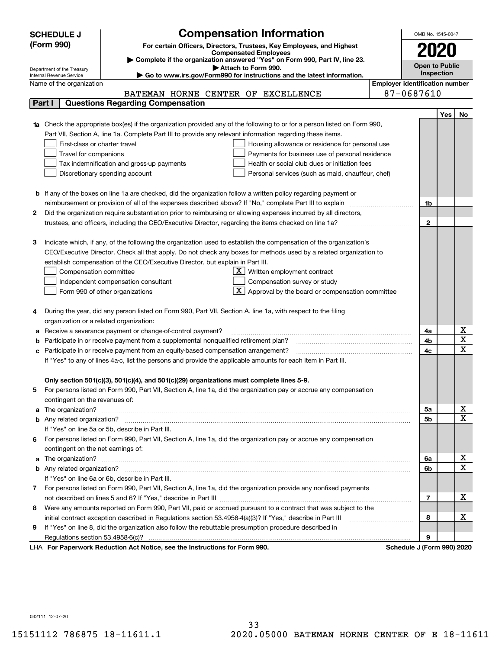|    | <b>Compensation Information</b><br><b>SCHEDULE J</b>                                                                                                    |                                       | OMB No. 1545-0047     |            |                              |
|----|---------------------------------------------------------------------------------------------------------------------------------------------------------|---------------------------------------|-----------------------|------------|------------------------------|
|    | (Form 990)<br>For certain Officers, Directors, Trustees, Key Employees, and Highest                                                                     |                                       |                       |            |                              |
|    | <b>Compensated Employees</b>                                                                                                                            |                                       | 2020                  |            |                              |
|    | Complete if the organization answered "Yes" on Form 990, Part IV, line 23.                                                                              |                                       | <b>Open to Public</b> |            |                              |
|    | Attach to Form 990.<br>Department of the Treasury<br>Go to www.irs.gov/Form990 for instructions and the latest information.<br>Internal Revenue Service |                                       | Inspection            |            |                              |
|    | Name of the organization                                                                                                                                | <b>Employer identification number</b> |                       |            |                              |
|    | BATEMAN HORNE CENTER OF EXCELLENCE                                                                                                                      | 87-0687610                            |                       |            |                              |
|    | <b>Questions Regarding Compensation</b><br>Part I                                                                                                       |                                       |                       |            |                              |
|    |                                                                                                                                                         |                                       |                       | <b>Yes</b> | No                           |
|    | <b>1a</b> Check the appropriate box(es) if the organization provided any of the following to or for a person listed on Form 990,                        |                                       |                       |            |                              |
|    | Part VII, Section A, line 1a. Complete Part III to provide any relevant information regarding these items.                                              |                                       |                       |            |                              |
|    | First-class or charter travel<br>Housing allowance or residence for personal use                                                                        |                                       |                       |            |                              |
|    | Travel for companions<br>Payments for business use of personal residence                                                                                |                                       |                       |            |                              |
|    | Tax indemnification and gross-up payments<br>Health or social club dues or initiation fees                                                              |                                       |                       |            |                              |
|    | Discretionary spending account<br>Personal services (such as maid, chauffeur, chef)                                                                     |                                       |                       |            |                              |
|    |                                                                                                                                                         |                                       |                       |            |                              |
|    | <b>b</b> If any of the boxes on line 1a are checked, did the organization follow a written policy regarding payment or                                  |                                       |                       |            |                              |
|    | reimbursement or provision of all of the expenses described above? If "No," complete Part III to explain                                                |                                       | 1b                    |            |                              |
| 2  | Did the organization require substantiation prior to reimbursing or allowing expenses incurred by all directors,                                        |                                       |                       |            |                              |
|    |                                                                                                                                                         |                                       | $\mathbf{2}$          |            |                              |
|    |                                                                                                                                                         |                                       |                       |            |                              |
| з  | Indicate which, if any, of the following the organization used to establish the compensation of the organization's                                      |                                       |                       |            |                              |
|    | CEO/Executive Director. Check all that apply. Do not check any boxes for methods used by a related organization to                                      |                                       |                       |            |                              |
|    | establish compensation of the CEO/Executive Director, but explain in Part III.                                                                          |                                       |                       |            |                              |
|    | $X$ Written employment contract<br>Compensation committee                                                                                               |                                       |                       |            |                              |
|    | Compensation survey or study<br>Independent compensation consultant                                                                                     |                                       |                       |            |                              |
|    | $\boxed{\textbf{X}}$ Approval by the board or compensation committee<br>Form 990 of other organizations                                                 |                                       |                       |            |                              |
|    |                                                                                                                                                         |                                       |                       |            |                              |
|    | During the year, did any person listed on Form 990, Part VII, Section A, line 1a, with respect to the filing                                            |                                       |                       |            |                              |
|    | organization or a related organization:                                                                                                                 |                                       |                       |            |                              |
| а  | Receive a severance payment or change-of-control payment?                                                                                               |                                       | 4a                    |            | х                            |
| b  | Participate in or receive payment from a supplemental nonqualified retirement plan?                                                                     |                                       | 4b                    |            | $\overline{\mathbf{x}}$      |
| с  | Participate in or receive payment from an equity-based compensation arrangement?                                                                        |                                       | 4c                    |            | $\overline{\mathbf{x}}$      |
|    | If "Yes" to any of lines 4a-c, list the persons and provide the applicable amounts for each item in Part III.                                           |                                       |                       |            |                              |
|    |                                                                                                                                                         |                                       |                       |            |                              |
|    | Only section 501(c)(3), 501(c)(4), and 501(c)(29) organizations must complete lines 5-9.                                                                |                                       |                       |            |                              |
|    | For persons listed on Form 990, Part VII, Section A, line 1a, did the organization pay or accrue any compensation                                       |                                       |                       |            |                              |
|    | contingent on the revenues of:                                                                                                                          |                                       |                       |            |                              |
| a  |                                                                                                                                                         |                                       | 5a                    |            | x                            |
|    |                                                                                                                                                         |                                       | 5b                    |            | $\overline{\mathbf{x}}$      |
|    | If "Yes" on line 5a or 5b, describe in Part III.                                                                                                        |                                       |                       |            |                              |
| 6. | For persons listed on Form 990, Part VII, Section A, line 1a, did the organization pay or accrue any compensation                                       |                                       |                       |            |                              |
|    | contingent on the net earnings of:                                                                                                                      |                                       |                       |            |                              |
| a  |                                                                                                                                                         |                                       | 6a                    |            | х<br>$\overline{\mathbf{x}}$ |
|    |                                                                                                                                                         |                                       | 6b                    |            |                              |
|    | If "Yes" on line 6a or 6b, describe in Part III.                                                                                                        |                                       |                       |            |                              |
|    | 7 For persons listed on Form 990, Part VII, Section A, line 1a, did the organization provide any nonfixed payments                                      |                                       |                       |            |                              |
|    |                                                                                                                                                         |                                       | 7                     |            | х                            |
| 8  | Were any amounts reported on Form 990, Part VII, paid or accrued pursuant to a contract that was subject to the                                         |                                       |                       |            |                              |
|    | initial contract exception described in Regulations section 53.4958-4(a)(3)? If "Yes," describe in Part III                                             |                                       | 8                     |            | х                            |
| 9  | If "Yes" on line 8, did the organization also follow the rebuttable presumption procedure described in                                                  |                                       |                       |            |                              |
|    | Regulations section 53.4958-6(c)?<br>Reperserved Reduction Act Notice, and the Instructions for Ferm 000                                                | Schodule I (Form 000) 2020            | 9                     |            |                              |

LHA For Paperwork Reduction Act Notice, see the Instructions for Form 990. Schedule J (Form 990) 2020

032111 12-07-20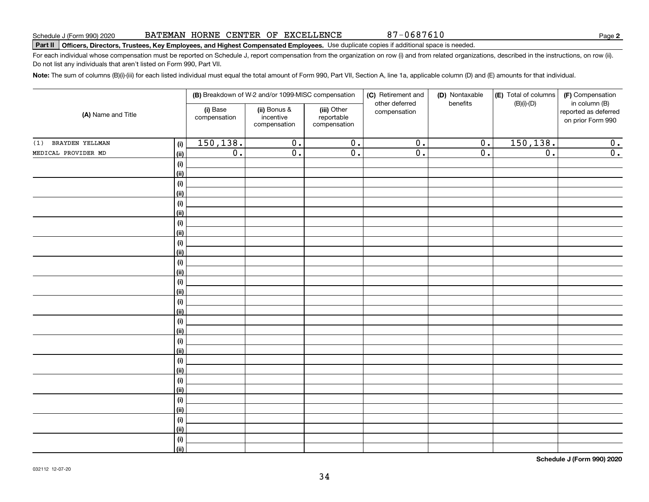| (A) Name and Title     |            | (i) Base<br>compensation | ii) Bonus &<br>incentive<br>compensation | (III) Other<br>reportable<br>compensation | compensation              |                  |                             | reported as deferred<br>on prior Form 990 |
|------------------------|------------|--------------------------|------------------------------------------|-------------------------------------------|---------------------------|------------------|-----------------------------|-------------------------------------------|
| BRAYDEN YELLMAN<br>(1) | (i)        | 150, 138.                | $\overline{0}$ .                         | $\overline{\mathbf{0}}$ .                 | $\overline{0}$ .          | $\overline{0}$ . | 150, 138.                   | $\overline{\mathbf{0}}$ .                 |
| MEDICAL PROVIDER MD    | (ii)       | $\overline{0}$ .         | $\overline{\mathfrak{o}}$ .              | $\overline{0}$ .                          | $\overline{\mathbf{0}}$ . | $\overline{0}$ . | $\overline{\mathfrak{o}}$ . | $\overline{0}$ .                          |
|                        | (i)        |                          |                                          |                                           |                           |                  |                             |                                           |
|                        | (ii)       |                          |                                          |                                           |                           |                  |                             |                                           |
|                        | $(\sf{i})$ |                          |                                          |                                           |                           |                  |                             |                                           |
|                        | (ii)       |                          |                                          |                                           |                           |                  |                             |                                           |
|                        | $(\sf{i})$ |                          |                                          |                                           |                           |                  |                             |                                           |
|                        | (ii)       |                          |                                          |                                           |                           |                  |                             |                                           |
|                        | (i)        |                          |                                          |                                           |                           |                  |                             |                                           |
|                        | (ii)       |                          |                                          |                                           |                           |                  |                             |                                           |
|                        | (i)        |                          |                                          |                                           |                           |                  |                             |                                           |
|                        | (ii)       |                          |                                          |                                           |                           |                  |                             |                                           |
|                        | $(\sf{i})$ |                          |                                          |                                           |                           |                  |                             |                                           |
|                        | (ii)       |                          |                                          |                                           |                           |                  |                             |                                           |
|                        | $(\sf{i})$ |                          |                                          |                                           |                           |                  |                             |                                           |
|                        | (ii)       |                          |                                          |                                           |                           |                  |                             |                                           |
|                        | $(\sf{i})$ |                          |                                          |                                           |                           |                  |                             |                                           |
|                        | (ii)       |                          |                                          |                                           |                           |                  |                             |                                           |
|                        | $(\sf{i})$ |                          |                                          |                                           |                           |                  |                             |                                           |
|                        | (ii)       |                          |                                          |                                           |                           |                  |                             |                                           |
|                        | (i)        |                          |                                          |                                           |                           |                  |                             |                                           |
|                        | (ii)       |                          |                                          |                                           |                           |                  |                             |                                           |
|                        | (i)        |                          |                                          |                                           |                           |                  |                             |                                           |
|                        | (ii)       |                          |                                          |                                           |                           |                  |                             |                                           |
|                        | (i)        |                          |                                          |                                           |                           |                  |                             |                                           |
|                        | (ii)       |                          |                                          |                                           |                           |                  |                             |                                           |
|                        | (i)        |                          |                                          |                                           |                           |                  |                             |                                           |
|                        | (ii)       |                          |                                          |                                           |                           |                  |                             |                                           |
|                        | (i)        |                          |                                          |                                           |                           |                  |                             |                                           |
|                        | (ii)       |                          |                                          |                                           |                           |                  |                             |                                           |
|                        | $(\sf{i})$ |                          |                                          |                                           |                           |                  |                             |                                           |
|                        | (ii)       |                          |                                          |                                           |                           |                  |                             |                                           |

BATEMAN HORNE CENTER OF EXCELLENCE

(i) Base

**Part II Officers, Directors, Trustees, Key Employees, and Highest Compensated Employees.**  Schedule J (Form 990) 2020 Page Use duplicate copies if additional space is needed.

**(i)** Base **| (ii)** Bonus & **| (iii)** 

For each individual whose compensation must be reported on Schedule J, report compensation from the organization on row (i) and from related organizations, described in the instructions, on row (ii). Do not list any individuals that aren't listed on Form 990, Part VII.

(iii) Other

**Note:**  The sum of columns (B)(i)-(iii) for each listed individual must equal the total amount of Form 990, Part VII, Section A, line 1a, applicable column (D) and (E) amounts for that individual.

**Schedule J (Form 990) 2020**

**2**

(F) Compensation in column (B)

87-0687610

(D) Nontaxable benefits

**(E)** Total of columns (B)(i)-(D)

**(B)** Breakdown of W-2 and/or 1099-MISC compensation | **(C)** Retirement and | **(D)** Nontaxable |**(E)** Total of columns | **(F)** 

other deferred compensation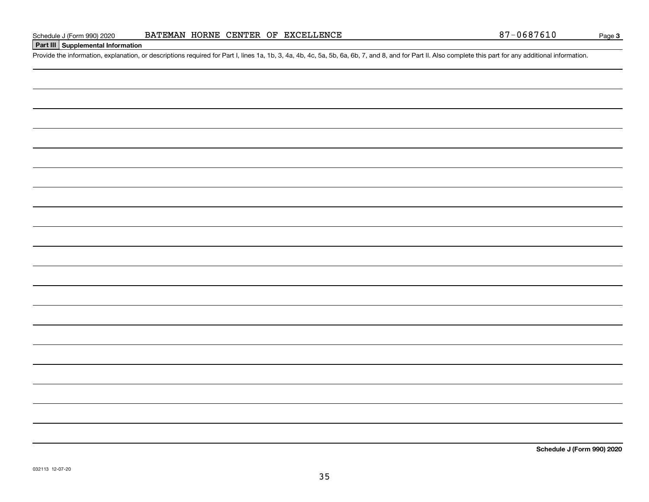**Part III Supplemental Information**

**Schedule J (Form 990) 2020**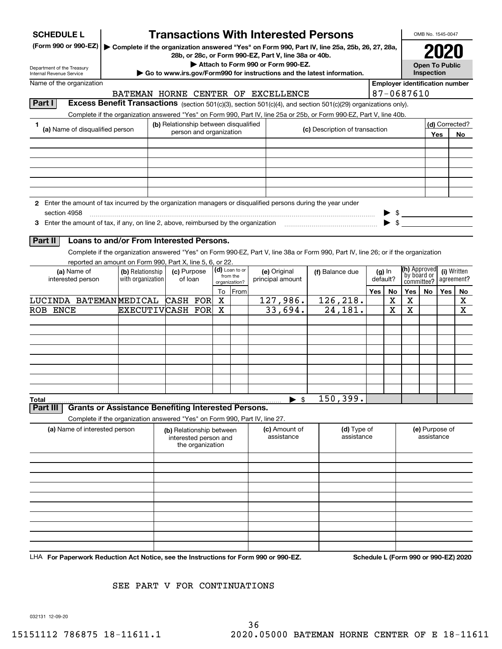| ▶ Complete if the organization answered "Yes" on Form 990, Part IV, line 25a, 25b, 26, 27, 28a,<br>28b, or 28c, or Form 990-EZ, Part V, line 38a or 40b.<br>Attach to Form 990 or Form 990-EZ.<br><b>Open To Public</b><br>Inspection<br>$\triangleright$ Go to www.irs.gov/Form990 for instructions and the latest information.<br>Internal Revenue Service<br>Name of the organization<br><b>Employer identification number</b><br>87-0687610<br>BATEMAN HORNE CENTER OF EXCELLENCE<br>Part I<br>Excess Benefit Transactions (section 501(c)(3), section 501(c)(4), and section 501(c)(29) organizations only).<br>Complete if the organization answered "Yes" on Form 990, Part IV, line 25a or 25b, or Form 990-EZ, Part V, line 40b.<br>(b) Relationship between disqualified<br>(d) Corrected?<br>1<br>(a) Name of disqualified person<br>(c) Description of transaction<br>person and organization<br>Yes<br>No<br>2 Enter the amount of tax incurred by the organization managers or disqualified persons during the year under<br>section 4958<br>$\triangleright$ \$<br>$\blacktriangleright$ \$<br>3 Enter the amount of tax, if any, on line 2, above, reimbursed by the organization<br>Loans to and/or From Interested Persons.<br>Part II<br>Complete if the organization answered "Yes" on Form 990-EZ, Part V, line 38a or Form 990, Part IV, line 26; or if the organization<br>reported an amount on Form 990, Part X, line 5, 6, or 22.<br>(h) Approved<br>(d) Loan to or<br>(c) Purpose<br>(i) Written<br>(a) Name of<br>(b) Relationship<br>(e) Original<br>$(g)$ In<br>(f) Balance due<br>by board or<br>from the<br>default?<br>interested person<br>with organization<br>of loan<br>principal amount<br>agreement?<br>committee?<br>organization?<br>Yes<br>Yes<br>To From<br>No<br>Yes<br>No<br>No<br>127,986.<br>126,218.<br>LUCINDA BATEMANMEDICAL CASH FOR<br>X<br>х<br>X<br>X<br>$\overline{2}$ 4,181.<br>33,694.<br>X<br>X<br>X<br><b>ROB ENCE</b><br>EXECUTIVCASH FOR<br>x<br>150, 399.<br>$\blacktriangleright$ \$<br>Total<br><b>Grants or Assistance Benefiting Interested Persons.</b><br>Part III<br>Complete if the organization answered "Yes" on Form 990, Part IV, line 27.<br>(a) Name of interested person<br>(e) Purpose of<br>(c) Amount of<br>(d) Type of<br>(b) Relationship between<br>assistance<br>assistance<br>assistance<br>interested person and<br>the organization | <b>SCHEDULE L</b>          |  |  | <b>Transactions With Interested Persons</b> |  |  |  |  |  |  |  |  |  |  |  |  | OMB No. 1545-0047 |  |  |
|----------------------------------------------------------------------------------------------------------------------------------------------------------------------------------------------------------------------------------------------------------------------------------------------------------------------------------------------------------------------------------------------------------------------------------------------------------------------------------------------------------------------------------------------------------------------------------------------------------------------------------------------------------------------------------------------------------------------------------------------------------------------------------------------------------------------------------------------------------------------------------------------------------------------------------------------------------------------------------------------------------------------------------------------------------------------------------------------------------------------------------------------------------------------------------------------------------------------------------------------------------------------------------------------------------------------------------------------------------------------------------------------------------------------------------------------------------------------------------------------------------------------------------------------------------------------------------------------------------------------------------------------------------------------------------------------------------------------------------------------------------------------------------------------------------------------------------------------------------------------------------------------------------------------------------------------------------------------------------------------------------------------------------------------------------------------------------------------------------------------------------------------------------------------------------------------------------------------------------------------------------------------------------------------------------------------------------------------------------------------------------------------------------------------------|----------------------------|--|--|---------------------------------------------|--|--|--|--|--|--|--|--|--|--|--|--|-------------------|--|--|
|                                                                                                                                                                                                                                                                                                                                                                                                                                                                                                                                                                                                                                                                                                                                                                                                                                                                                                                                                                                                                                                                                                                                                                                                                                                                                                                                                                                                                                                                                                                                                                                                                                                                                                                                                                                                                                                                                                                                                                                                                                                                                                                                                                                                                                                                                                                                                                                                                            | (Form 990 or 990-EZ)       |  |  |                                             |  |  |  |  |  |  |  |  |  |  |  |  |                   |  |  |
|                                                                                                                                                                                                                                                                                                                                                                                                                                                                                                                                                                                                                                                                                                                                                                                                                                                                                                                                                                                                                                                                                                                                                                                                                                                                                                                                                                                                                                                                                                                                                                                                                                                                                                                                                                                                                                                                                                                                                                                                                                                                                                                                                                                                                                                                                                                                                                                                                            | Department of the Treasury |  |  |                                             |  |  |  |  |  |  |  |  |  |  |  |  |                   |  |  |
|                                                                                                                                                                                                                                                                                                                                                                                                                                                                                                                                                                                                                                                                                                                                                                                                                                                                                                                                                                                                                                                                                                                                                                                                                                                                                                                                                                                                                                                                                                                                                                                                                                                                                                                                                                                                                                                                                                                                                                                                                                                                                                                                                                                                                                                                                                                                                                                                                            |                            |  |  |                                             |  |  |  |  |  |  |  |  |  |  |  |  |                   |  |  |
|                                                                                                                                                                                                                                                                                                                                                                                                                                                                                                                                                                                                                                                                                                                                                                                                                                                                                                                                                                                                                                                                                                                                                                                                                                                                                                                                                                                                                                                                                                                                                                                                                                                                                                                                                                                                                                                                                                                                                                                                                                                                                                                                                                                                                                                                                                                                                                                                                            |                            |  |  |                                             |  |  |  |  |  |  |  |  |  |  |  |  |                   |  |  |
|                                                                                                                                                                                                                                                                                                                                                                                                                                                                                                                                                                                                                                                                                                                                                                                                                                                                                                                                                                                                                                                                                                                                                                                                                                                                                                                                                                                                                                                                                                                                                                                                                                                                                                                                                                                                                                                                                                                                                                                                                                                                                                                                                                                                                                                                                                                                                                                                                            |                            |  |  |                                             |  |  |  |  |  |  |  |  |  |  |  |  |                   |  |  |
|                                                                                                                                                                                                                                                                                                                                                                                                                                                                                                                                                                                                                                                                                                                                                                                                                                                                                                                                                                                                                                                                                                                                                                                                                                                                                                                                                                                                                                                                                                                                                                                                                                                                                                                                                                                                                                                                                                                                                                                                                                                                                                                                                                                                                                                                                                                                                                                                                            |                            |  |  |                                             |  |  |  |  |  |  |  |  |  |  |  |  |                   |  |  |
|                                                                                                                                                                                                                                                                                                                                                                                                                                                                                                                                                                                                                                                                                                                                                                                                                                                                                                                                                                                                                                                                                                                                                                                                                                                                                                                                                                                                                                                                                                                                                                                                                                                                                                                                                                                                                                                                                                                                                                                                                                                                                                                                                                                                                                                                                                                                                                                                                            |                            |  |  |                                             |  |  |  |  |  |  |  |  |  |  |  |  |                   |  |  |
|                                                                                                                                                                                                                                                                                                                                                                                                                                                                                                                                                                                                                                                                                                                                                                                                                                                                                                                                                                                                                                                                                                                                                                                                                                                                                                                                                                                                                                                                                                                                                                                                                                                                                                                                                                                                                                                                                                                                                                                                                                                                                                                                                                                                                                                                                                                                                                                                                            |                            |  |  |                                             |  |  |  |  |  |  |  |  |  |  |  |  |                   |  |  |
|                                                                                                                                                                                                                                                                                                                                                                                                                                                                                                                                                                                                                                                                                                                                                                                                                                                                                                                                                                                                                                                                                                                                                                                                                                                                                                                                                                                                                                                                                                                                                                                                                                                                                                                                                                                                                                                                                                                                                                                                                                                                                                                                                                                                                                                                                                                                                                                                                            |                            |  |  |                                             |  |  |  |  |  |  |  |  |  |  |  |  |                   |  |  |
|                                                                                                                                                                                                                                                                                                                                                                                                                                                                                                                                                                                                                                                                                                                                                                                                                                                                                                                                                                                                                                                                                                                                                                                                                                                                                                                                                                                                                                                                                                                                                                                                                                                                                                                                                                                                                                                                                                                                                                                                                                                                                                                                                                                                                                                                                                                                                                                                                            |                            |  |  |                                             |  |  |  |  |  |  |  |  |  |  |  |  |                   |  |  |
|                                                                                                                                                                                                                                                                                                                                                                                                                                                                                                                                                                                                                                                                                                                                                                                                                                                                                                                                                                                                                                                                                                                                                                                                                                                                                                                                                                                                                                                                                                                                                                                                                                                                                                                                                                                                                                                                                                                                                                                                                                                                                                                                                                                                                                                                                                                                                                                                                            |                            |  |  |                                             |  |  |  |  |  |  |  |  |  |  |  |  |                   |  |  |
|                                                                                                                                                                                                                                                                                                                                                                                                                                                                                                                                                                                                                                                                                                                                                                                                                                                                                                                                                                                                                                                                                                                                                                                                                                                                                                                                                                                                                                                                                                                                                                                                                                                                                                                                                                                                                                                                                                                                                                                                                                                                                                                                                                                                                                                                                                                                                                                                                            |                            |  |  |                                             |  |  |  |  |  |  |  |  |  |  |  |  |                   |  |  |
|                                                                                                                                                                                                                                                                                                                                                                                                                                                                                                                                                                                                                                                                                                                                                                                                                                                                                                                                                                                                                                                                                                                                                                                                                                                                                                                                                                                                                                                                                                                                                                                                                                                                                                                                                                                                                                                                                                                                                                                                                                                                                                                                                                                                                                                                                                                                                                                                                            |                            |  |  |                                             |  |  |  |  |  |  |  |  |  |  |  |  |                   |  |  |
|                                                                                                                                                                                                                                                                                                                                                                                                                                                                                                                                                                                                                                                                                                                                                                                                                                                                                                                                                                                                                                                                                                                                                                                                                                                                                                                                                                                                                                                                                                                                                                                                                                                                                                                                                                                                                                                                                                                                                                                                                                                                                                                                                                                                                                                                                                                                                                                                                            |                            |  |  |                                             |  |  |  |  |  |  |  |  |  |  |  |  |                   |  |  |
|                                                                                                                                                                                                                                                                                                                                                                                                                                                                                                                                                                                                                                                                                                                                                                                                                                                                                                                                                                                                                                                                                                                                                                                                                                                                                                                                                                                                                                                                                                                                                                                                                                                                                                                                                                                                                                                                                                                                                                                                                                                                                                                                                                                                                                                                                                                                                                                                                            |                            |  |  |                                             |  |  |  |  |  |  |  |  |  |  |  |  |                   |  |  |
|                                                                                                                                                                                                                                                                                                                                                                                                                                                                                                                                                                                                                                                                                                                                                                                                                                                                                                                                                                                                                                                                                                                                                                                                                                                                                                                                                                                                                                                                                                                                                                                                                                                                                                                                                                                                                                                                                                                                                                                                                                                                                                                                                                                                                                                                                                                                                                                                                            |                            |  |  |                                             |  |  |  |  |  |  |  |  |  |  |  |  |                   |  |  |
|                                                                                                                                                                                                                                                                                                                                                                                                                                                                                                                                                                                                                                                                                                                                                                                                                                                                                                                                                                                                                                                                                                                                                                                                                                                                                                                                                                                                                                                                                                                                                                                                                                                                                                                                                                                                                                                                                                                                                                                                                                                                                                                                                                                                                                                                                                                                                                                                                            |                            |  |  |                                             |  |  |  |  |  |  |  |  |  |  |  |  |                   |  |  |
|                                                                                                                                                                                                                                                                                                                                                                                                                                                                                                                                                                                                                                                                                                                                                                                                                                                                                                                                                                                                                                                                                                                                                                                                                                                                                                                                                                                                                                                                                                                                                                                                                                                                                                                                                                                                                                                                                                                                                                                                                                                                                                                                                                                                                                                                                                                                                                                                                            |                            |  |  |                                             |  |  |  |  |  |  |  |  |  |  |  |  |                   |  |  |
|                                                                                                                                                                                                                                                                                                                                                                                                                                                                                                                                                                                                                                                                                                                                                                                                                                                                                                                                                                                                                                                                                                                                                                                                                                                                                                                                                                                                                                                                                                                                                                                                                                                                                                                                                                                                                                                                                                                                                                                                                                                                                                                                                                                                                                                                                                                                                                                                                            |                            |  |  |                                             |  |  |  |  |  |  |  |  |  |  |  |  |                   |  |  |
|                                                                                                                                                                                                                                                                                                                                                                                                                                                                                                                                                                                                                                                                                                                                                                                                                                                                                                                                                                                                                                                                                                                                                                                                                                                                                                                                                                                                                                                                                                                                                                                                                                                                                                                                                                                                                                                                                                                                                                                                                                                                                                                                                                                                                                                                                                                                                                                                                            |                            |  |  |                                             |  |  |  |  |  |  |  |  |  |  |  |  |                   |  |  |
|                                                                                                                                                                                                                                                                                                                                                                                                                                                                                                                                                                                                                                                                                                                                                                                                                                                                                                                                                                                                                                                                                                                                                                                                                                                                                                                                                                                                                                                                                                                                                                                                                                                                                                                                                                                                                                                                                                                                                                                                                                                                                                                                                                                                                                                                                                                                                                                                                            |                            |  |  |                                             |  |  |  |  |  |  |  |  |  |  |  |  |                   |  |  |
|                                                                                                                                                                                                                                                                                                                                                                                                                                                                                                                                                                                                                                                                                                                                                                                                                                                                                                                                                                                                                                                                                                                                                                                                                                                                                                                                                                                                                                                                                                                                                                                                                                                                                                                                                                                                                                                                                                                                                                                                                                                                                                                                                                                                                                                                                                                                                                                                                            |                            |  |  |                                             |  |  |  |  |  |  |  |  |  |  |  |  |                   |  |  |
|                                                                                                                                                                                                                                                                                                                                                                                                                                                                                                                                                                                                                                                                                                                                                                                                                                                                                                                                                                                                                                                                                                                                                                                                                                                                                                                                                                                                                                                                                                                                                                                                                                                                                                                                                                                                                                                                                                                                                                                                                                                                                                                                                                                                                                                                                                                                                                                                                            |                            |  |  |                                             |  |  |  |  |  |  |  |  |  |  |  |  |                   |  |  |
|                                                                                                                                                                                                                                                                                                                                                                                                                                                                                                                                                                                                                                                                                                                                                                                                                                                                                                                                                                                                                                                                                                                                                                                                                                                                                                                                                                                                                                                                                                                                                                                                                                                                                                                                                                                                                                                                                                                                                                                                                                                                                                                                                                                                                                                                                                                                                                                                                            |                            |  |  |                                             |  |  |  |  |  |  |  |  |  |  |  |  |                   |  |  |
|                                                                                                                                                                                                                                                                                                                                                                                                                                                                                                                                                                                                                                                                                                                                                                                                                                                                                                                                                                                                                                                                                                                                                                                                                                                                                                                                                                                                                                                                                                                                                                                                                                                                                                                                                                                                                                                                                                                                                                                                                                                                                                                                                                                                                                                                                                                                                                                                                            |                            |  |  |                                             |  |  |  |  |  |  |  |  |  |  |  |  |                   |  |  |
|                                                                                                                                                                                                                                                                                                                                                                                                                                                                                                                                                                                                                                                                                                                                                                                                                                                                                                                                                                                                                                                                                                                                                                                                                                                                                                                                                                                                                                                                                                                                                                                                                                                                                                                                                                                                                                                                                                                                                                                                                                                                                                                                                                                                                                                                                                                                                                                                                            |                            |  |  |                                             |  |  |  |  |  |  |  |  |  |  |  |  |                   |  |  |
|                                                                                                                                                                                                                                                                                                                                                                                                                                                                                                                                                                                                                                                                                                                                                                                                                                                                                                                                                                                                                                                                                                                                                                                                                                                                                                                                                                                                                                                                                                                                                                                                                                                                                                                                                                                                                                                                                                                                                                                                                                                                                                                                                                                                                                                                                                                                                                                                                            |                            |  |  |                                             |  |  |  |  |  |  |  |  |  |  |  |  |                   |  |  |
|                                                                                                                                                                                                                                                                                                                                                                                                                                                                                                                                                                                                                                                                                                                                                                                                                                                                                                                                                                                                                                                                                                                                                                                                                                                                                                                                                                                                                                                                                                                                                                                                                                                                                                                                                                                                                                                                                                                                                                                                                                                                                                                                                                                                                                                                                                                                                                                                                            |                            |  |  |                                             |  |  |  |  |  |  |  |  |  |  |  |  |                   |  |  |
|                                                                                                                                                                                                                                                                                                                                                                                                                                                                                                                                                                                                                                                                                                                                                                                                                                                                                                                                                                                                                                                                                                                                                                                                                                                                                                                                                                                                                                                                                                                                                                                                                                                                                                                                                                                                                                                                                                                                                                                                                                                                                                                                                                                                                                                                                                                                                                                                                            |                            |  |  |                                             |  |  |  |  |  |  |  |  |  |  |  |  |                   |  |  |
|                                                                                                                                                                                                                                                                                                                                                                                                                                                                                                                                                                                                                                                                                                                                                                                                                                                                                                                                                                                                                                                                                                                                                                                                                                                                                                                                                                                                                                                                                                                                                                                                                                                                                                                                                                                                                                                                                                                                                                                                                                                                                                                                                                                                                                                                                                                                                                                                                            |                            |  |  |                                             |  |  |  |  |  |  |  |  |  |  |  |  |                   |  |  |
|                                                                                                                                                                                                                                                                                                                                                                                                                                                                                                                                                                                                                                                                                                                                                                                                                                                                                                                                                                                                                                                                                                                                                                                                                                                                                                                                                                                                                                                                                                                                                                                                                                                                                                                                                                                                                                                                                                                                                                                                                                                                                                                                                                                                                                                                                                                                                                                                                            |                            |  |  |                                             |  |  |  |  |  |  |  |  |  |  |  |  |                   |  |  |
|                                                                                                                                                                                                                                                                                                                                                                                                                                                                                                                                                                                                                                                                                                                                                                                                                                                                                                                                                                                                                                                                                                                                                                                                                                                                                                                                                                                                                                                                                                                                                                                                                                                                                                                                                                                                                                                                                                                                                                                                                                                                                                                                                                                                                                                                                                                                                                                                                            |                            |  |  |                                             |  |  |  |  |  |  |  |  |  |  |  |  |                   |  |  |
|                                                                                                                                                                                                                                                                                                                                                                                                                                                                                                                                                                                                                                                                                                                                                                                                                                                                                                                                                                                                                                                                                                                                                                                                                                                                                                                                                                                                                                                                                                                                                                                                                                                                                                                                                                                                                                                                                                                                                                                                                                                                                                                                                                                                                                                                                                                                                                                                                            |                            |  |  |                                             |  |  |  |  |  |  |  |  |  |  |  |  |                   |  |  |
|                                                                                                                                                                                                                                                                                                                                                                                                                                                                                                                                                                                                                                                                                                                                                                                                                                                                                                                                                                                                                                                                                                                                                                                                                                                                                                                                                                                                                                                                                                                                                                                                                                                                                                                                                                                                                                                                                                                                                                                                                                                                                                                                                                                                                                                                                                                                                                                                                            |                            |  |  |                                             |  |  |  |  |  |  |  |  |  |  |  |  |                   |  |  |
|                                                                                                                                                                                                                                                                                                                                                                                                                                                                                                                                                                                                                                                                                                                                                                                                                                                                                                                                                                                                                                                                                                                                                                                                                                                                                                                                                                                                                                                                                                                                                                                                                                                                                                                                                                                                                                                                                                                                                                                                                                                                                                                                                                                                                                                                                                                                                                                                                            |                            |  |  |                                             |  |  |  |  |  |  |  |  |  |  |  |  |                   |  |  |
|                                                                                                                                                                                                                                                                                                                                                                                                                                                                                                                                                                                                                                                                                                                                                                                                                                                                                                                                                                                                                                                                                                                                                                                                                                                                                                                                                                                                                                                                                                                                                                                                                                                                                                                                                                                                                                                                                                                                                                                                                                                                                                                                                                                                                                                                                                                                                                                                                            |                            |  |  |                                             |  |  |  |  |  |  |  |  |  |  |  |  |                   |  |  |
|                                                                                                                                                                                                                                                                                                                                                                                                                                                                                                                                                                                                                                                                                                                                                                                                                                                                                                                                                                                                                                                                                                                                                                                                                                                                                                                                                                                                                                                                                                                                                                                                                                                                                                                                                                                                                                                                                                                                                                                                                                                                                                                                                                                                                                                                                                                                                                                                                            |                            |  |  |                                             |  |  |  |  |  |  |  |  |  |  |  |  |                   |  |  |
|                                                                                                                                                                                                                                                                                                                                                                                                                                                                                                                                                                                                                                                                                                                                                                                                                                                                                                                                                                                                                                                                                                                                                                                                                                                                                                                                                                                                                                                                                                                                                                                                                                                                                                                                                                                                                                                                                                                                                                                                                                                                                                                                                                                                                                                                                                                                                                                                                            |                            |  |  |                                             |  |  |  |  |  |  |  |  |  |  |  |  |                   |  |  |
|                                                                                                                                                                                                                                                                                                                                                                                                                                                                                                                                                                                                                                                                                                                                                                                                                                                                                                                                                                                                                                                                                                                                                                                                                                                                                                                                                                                                                                                                                                                                                                                                                                                                                                                                                                                                                                                                                                                                                                                                                                                                                                                                                                                                                                                                                                                                                                                                                            |                            |  |  |                                             |  |  |  |  |  |  |  |  |  |  |  |  |                   |  |  |
|                                                                                                                                                                                                                                                                                                                                                                                                                                                                                                                                                                                                                                                                                                                                                                                                                                                                                                                                                                                                                                                                                                                                                                                                                                                                                                                                                                                                                                                                                                                                                                                                                                                                                                                                                                                                                                                                                                                                                                                                                                                                                                                                                                                                                                                                                                                                                                                                                            |                            |  |  |                                             |  |  |  |  |  |  |  |  |  |  |  |  |                   |  |  |
|                                                                                                                                                                                                                                                                                                                                                                                                                                                                                                                                                                                                                                                                                                                                                                                                                                                                                                                                                                                                                                                                                                                                                                                                                                                                                                                                                                                                                                                                                                                                                                                                                                                                                                                                                                                                                                                                                                                                                                                                                                                                                                                                                                                                                                                                                                                                                                                                                            |                            |  |  |                                             |  |  |  |  |  |  |  |  |  |  |  |  |                   |  |  |
|                                                                                                                                                                                                                                                                                                                                                                                                                                                                                                                                                                                                                                                                                                                                                                                                                                                                                                                                                                                                                                                                                                                                                                                                                                                                                                                                                                                                                                                                                                                                                                                                                                                                                                                                                                                                                                                                                                                                                                                                                                                                                                                                                                                                                                                                                                                                                                                                                            |                            |  |  |                                             |  |  |  |  |  |  |  |  |  |  |  |  |                   |  |  |
|                                                                                                                                                                                                                                                                                                                                                                                                                                                                                                                                                                                                                                                                                                                                                                                                                                                                                                                                                                                                                                                                                                                                                                                                                                                                                                                                                                                                                                                                                                                                                                                                                                                                                                                                                                                                                                                                                                                                                                                                                                                                                                                                                                                                                                                                                                                                                                                                                            |                            |  |  |                                             |  |  |  |  |  |  |  |  |  |  |  |  |                   |  |  |
|                                                                                                                                                                                                                                                                                                                                                                                                                                                                                                                                                                                                                                                                                                                                                                                                                                                                                                                                                                                                                                                                                                                                                                                                                                                                                                                                                                                                                                                                                                                                                                                                                                                                                                                                                                                                                                                                                                                                                                                                                                                                                                                                                                                                                                                                                                                                                                                                                            |                            |  |  |                                             |  |  |  |  |  |  |  |  |  |  |  |  |                   |  |  |
| LHA For Paperwork Reduction Act Notice, see the Instructions for Form 990 or 990-EZ.<br>Schedule L (Form 990 or 990-EZ) 2020                                                                                                                                                                                                                                                                                                                                                                                                                                                                                                                                                                                                                                                                                                                                                                                                                                                                                                                                                                                                                                                                                                                                                                                                                                                                                                                                                                                                                                                                                                                                                                                                                                                                                                                                                                                                                                                                                                                                                                                                                                                                                                                                                                                                                                                                                               |                            |  |  |                                             |  |  |  |  |  |  |  |  |  |  |  |  |                   |  |  |

#### SEE PART V FOR CONTINUATIONS

032131 12-09-20

36 15151112 786875 18-11611.1 2020.05000 BATEMAN HORNE CENTER OF E 18-11611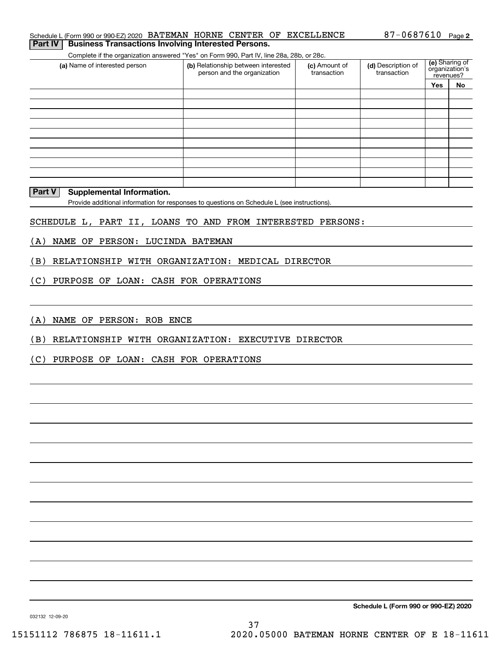Complete if the organization answered "Yes" on Form 990, Part IV, line 28a, 28b, or 28c.

| (a) Name of interested person | (b) Relationship between interested<br>person and the organization | (c) Amount of<br>transaction | (d) Description of<br>transaction | (e) Sharing of<br>organization's<br>revenues? |    |  |
|-------------------------------|--------------------------------------------------------------------|------------------------------|-----------------------------------|-----------------------------------------------|----|--|
|                               |                                                                    |                              |                                   | <b>Yes</b>                                    | No |  |
|                               |                                                                    |                              |                                   |                                               |    |  |
|                               |                                                                    |                              |                                   |                                               |    |  |
|                               |                                                                    |                              |                                   |                                               |    |  |
|                               |                                                                    |                              |                                   |                                               |    |  |
|                               |                                                                    |                              |                                   |                                               |    |  |
|                               |                                                                    |                              |                                   |                                               |    |  |
|                               |                                                                    |                              |                                   |                                               |    |  |
|                               |                                                                    |                              |                                   |                                               |    |  |
|                               |                                                                    |                              |                                   |                                               |    |  |
|                               |                                                                    |                              |                                   |                                               |    |  |

#### **Part V Supplemental Information.**

Provide additional information for responses to questions on Schedule L (see instructions).

#### SCHEDULE L, PART II, LOANS TO AND FROM INTERESTED PERSONS:

(A) NAME OF PERSON: LUCINDA BATEMAN

(B) RELATIONSHIP WITH ORGANIZATION: MEDICAL DIRECTOR

(C) PURPOSE OF LOAN: CASH FOR OPERATIONS

(A) NAME OF PERSON: ROB ENCE

(B) RELATIONSHIP WITH ORGANIZATION: EXECUTIVE DIRECTOR

(C) PURPOSE OF LOAN: CASH FOR OPERATIONS

**Schedule L (Form 990 or 990-EZ) 2020**

032132 12-09-20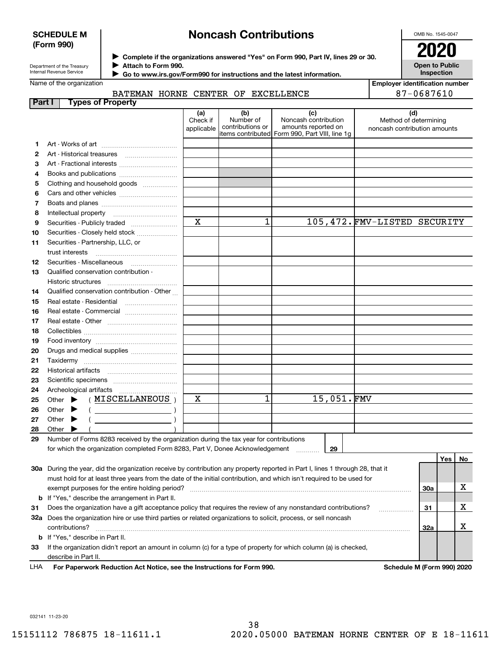#### **SCHEDULE M (Form 990)**

## **Noncash Contributions**

OMB No. 1545-0047

| Department of the Treasury |
|----------------------------|
| Internal Revenue Service   |

**Part I Types** 

**1213**

**Complete if the organizations answered "Yes" on Form 990, Part IV, lines 29 or 30.** <sup>J</sup>**2020 Attach to Form 990.** J

 **Go to www.irs.gov/Form990 for instructions and the latest information.** J

| 2020                  |
|-----------------------|
| <b>Open to Public</b> |
| <b>Inspection</b>     |

Name of the organization

| e of the organization                       |                               |                                      |                                                                                                       | <b>Employer identification number</b>                        |
|---------------------------------------------|-------------------------------|--------------------------------------|-------------------------------------------------------------------------------------------------------|--------------------------------------------------------------|
| BATEMAN HORNE CENTER OF EXCELLENCE          |                               |                                      |                                                                                                       | 87-0687610                                                   |
| <b>Types of Property</b><br>t I             |                               |                                      |                                                                                                       |                                                              |
|                                             | (a)<br>Check if<br>applicable | (b)<br>Number of<br>contributions or | (c)<br>Noncash contribution<br>amounts reported on<br>litems contributed Form 990, Part VIII, line 1g | (d)<br>Method of determining<br>noncash contribution amounts |
|                                             |                               |                                      |                                                                                                       |                                                              |
|                                             |                               |                                      |                                                                                                       |                                                              |
| Art - Fractional interests                  |                               |                                      |                                                                                                       |                                                              |
| Books and publications                      |                               |                                      |                                                                                                       |                                                              |
| Clothing and household goods                |                               |                                      |                                                                                                       |                                                              |
|                                             |                               |                                      |                                                                                                       |                                                              |
|                                             |                               |                                      |                                                                                                       |                                                              |
|                                             |                               |                                      |                                                                                                       |                                                              |
|                                             | $\overline{\mathbf{x}}$       | 1                                    |                                                                                                       | 105,472. FMV-LISTED SECURITY                                 |
| Securities - Closely held stock             |                               |                                      |                                                                                                       |                                                              |
| Securities - Partnership, LLC, or           |                               |                                      |                                                                                                       |                                                              |
| trust interests                             |                               |                                      |                                                                                                       |                                                              |
| Securities - Miscellaneous                  |                               |                                      |                                                                                                       |                                                              |
| Qualified conservation contribution -       |                               |                                      |                                                                                                       |                                                              |
| Historic structures                         |                               |                                      |                                                                                                       |                                                              |
| Qualified conservation contribution - Other |                               |                                      |                                                                                                       |                                                              |
| Real estate - Residential                   |                               |                                      |                                                                                                       |                                                              |
|                                             |                               |                                      |                                                                                                       |                                                              |
|                                             |                               |                                      |                                                                                                       |                                                              |
|                                             |                               |                                      |                                                                                                       |                                                              |
|                                             |                               |                                      |                                                                                                       |                                                              |
| Drugs and medical supplies                  |                               |                                      |                                                                                                       |                                                              |
|                                             |                               |                                      |                                                                                                       |                                                              |
|                                             |                               |                                      |                                                                                                       |                                                              |
|                                             |                               |                                      |                                                                                                       |                                                              |
|                                             |                               |                                      |                                                                                                       |                                                              |
| Other $\blacktriangleright$ (MISCELLANEOUS) | $\overline{\mathbf{x}}$       | 1                                    | 15,051.FMV                                                                                            |                                                              |

| 26 | Other |                                                                                         |  |   |    |  |    |
|----|-------|-----------------------------------------------------------------------------------------|--|---|----|--|----|
| 27 | Other |                                                                                         |  |   |    |  |    |
| 28 | Other |                                                                                         |  |   |    |  |    |
| 29 |       | Number of Forms 8283 received by the organization during the tax year for contributions |  |   |    |  |    |
|    |       | for which the organization completed Form 8283, Part V, Donee Acknowledgement           |  | . | 29 |  |    |
|    |       |                                                                                         |  |   |    |  | No |

| 30a | During the year, did the organization receive by contribution any property reported in Part I, lines 1 through 28, that it |     |  |
|-----|----------------------------------------------------------------------------------------------------------------------------|-----|--|
|     | must hold for at least three years from the date of the initial contribution, and which isn't required to be used for      |     |  |
|     | exempt purposes for the entire holding period?                                                                             | 30a |  |
|     | <b>b</b> If "Yes," describe the arrangement in Part II.                                                                    |     |  |
| 31  | Does the organization have a gift acceptance policy that requires the review of any nonstandard contributions?             | 31  |  |
| 32a | Does the organization hire or use third parties or related organizations to solicit, process, or sell noncash              |     |  |
|     | contributions?                                                                                                             | 32a |  |
|     | <b>b</b> If "Yes," describe in Part II.                                                                                    |     |  |
| 33  | If the organization didn't report an amount in column (c) for a type of property for which column (a) is checked,          |     |  |
|     | describe in Part II.                                                                                                       |     |  |

| LHA For Paperwork Reduction Act Notice, see the Instructions for Form 990. | Schedule M (Form 990) 2020 |
|----------------------------------------------------------------------------|----------------------------|
|                                                                            |                            |

032141 11-23-20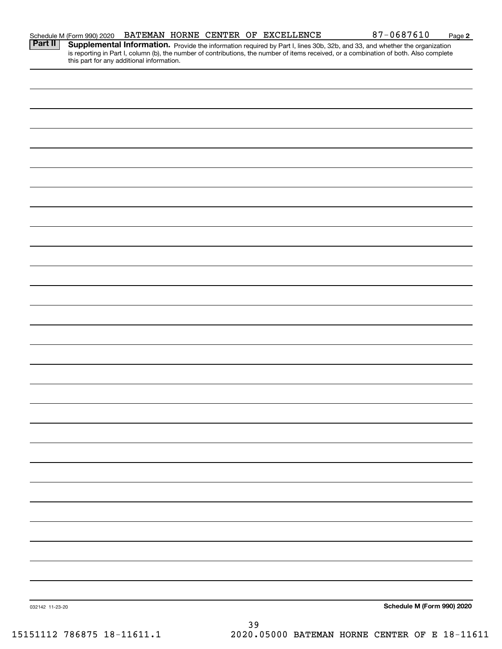|                 | Schedule M (Form 990) 2020<br><b>Part II   Supplementa</b> | BATEMAN HORNE CENTER OF EXCELLENCE<br>$81 - 0681610$<br>Page 2<br><b>Supplemental Information.</b> Provide the information required by Part I, lines 30b, 32b, and 33, and whether the organization is reporting in Part I, column (b), the number of contributions, the number of items received, or |
|-----------------|------------------------------------------------------------|-------------------------------------------------------------------------------------------------------------------------------------------------------------------------------------------------------------------------------------------------------------------------------------------------------|
|                 | this part for any additional information.                  |                                                                                                                                                                                                                                                                                                       |
|                 |                                                            |                                                                                                                                                                                                                                                                                                       |
|                 |                                                            |                                                                                                                                                                                                                                                                                                       |
|                 |                                                            |                                                                                                                                                                                                                                                                                                       |
|                 |                                                            |                                                                                                                                                                                                                                                                                                       |
|                 |                                                            |                                                                                                                                                                                                                                                                                                       |
|                 |                                                            |                                                                                                                                                                                                                                                                                                       |
|                 |                                                            |                                                                                                                                                                                                                                                                                                       |
|                 |                                                            |                                                                                                                                                                                                                                                                                                       |
|                 |                                                            |                                                                                                                                                                                                                                                                                                       |
|                 |                                                            |                                                                                                                                                                                                                                                                                                       |
|                 |                                                            |                                                                                                                                                                                                                                                                                                       |
|                 |                                                            |                                                                                                                                                                                                                                                                                                       |
|                 |                                                            |                                                                                                                                                                                                                                                                                                       |
|                 |                                                            |                                                                                                                                                                                                                                                                                                       |
|                 |                                                            |                                                                                                                                                                                                                                                                                                       |
|                 |                                                            |                                                                                                                                                                                                                                                                                                       |
|                 |                                                            |                                                                                                                                                                                                                                                                                                       |
|                 |                                                            |                                                                                                                                                                                                                                                                                                       |
|                 |                                                            |                                                                                                                                                                                                                                                                                                       |
|                 |                                                            |                                                                                                                                                                                                                                                                                                       |
|                 |                                                            |                                                                                                                                                                                                                                                                                                       |
|                 |                                                            |                                                                                                                                                                                                                                                                                                       |
|                 |                                                            |                                                                                                                                                                                                                                                                                                       |
|                 |                                                            |                                                                                                                                                                                                                                                                                                       |
|                 |                                                            |                                                                                                                                                                                                                                                                                                       |
|                 |                                                            |                                                                                                                                                                                                                                                                                                       |
|                 |                                                            |                                                                                                                                                                                                                                                                                                       |
|                 |                                                            |                                                                                                                                                                                                                                                                                                       |
|                 |                                                            |                                                                                                                                                                                                                                                                                                       |
|                 |                                                            |                                                                                                                                                                                                                                                                                                       |
| 032142 11-23-20 |                                                            | Schedule M (Form 990) 2020                                                                                                                                                                                                                                                                            |
|                 |                                                            | 39                                                                                                                                                                                                                                                                                                    |

BATEMAN HORNE CENTER OF EXCELLENCE 87-0687610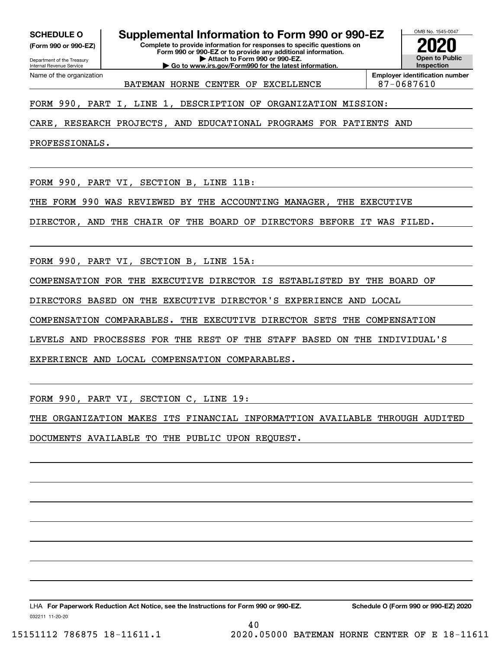**(Form 990 or 990-EZ)**

Department of the Treasury Internal Revenue Service Name of the organization

**SCHEDULE O Supplemental Information to Form 990 or 990-EZ**

**Complete to provide information for responses to specific questions on Form 990 or 990-EZ or to provide any additional information. | Attach to Form 990 or 990-EZ. | Go to www.irs.gov/Form990 for the latest information.**



BATEMAN HORNE CENTER OF EXCELLENCE | 87-0687610

FORM 990, PART I, LINE 1, DESCRIPTION OF ORGANIZATION MISSION:

CARE, RESEARCH PROJECTS, AND EDUCATIONAL PROGRAMS FOR PATIENTS AND

PROFESSIONALS.

FORM 990, PART VI, SECTION B, LINE 11B:

THE FORM 990 WAS REVIEWED BY THE ACCOUNTING MANAGER, THE EXECUTIVE

DIRECTOR, AND THE CHAIR OF THE BOARD OF DIRECTORS BEFORE IT WAS FILED.

FORM 990, PART VI, SECTION B, LINE 15A:

COMPENSATION FOR THE EXECUTIVE DIRECTOR IS ESTABLISTED BY THE BOARD OF

DIRECTORS BASED ON THE EXECUTIVE DIRECTOR'S EXPERIENCE AND LOCAL

COMPENSATION COMPARABLES. THE EXECUTIVE DIRECTOR SETS THE COMPENSATION

LEVELS AND PROCESSES FOR THE REST OF THE STAFF BASED ON THE INDIVIDUAL'S

EXPERIENCE AND LOCAL COMPENSATION COMPARABLES.

FORM 990, PART VI, SECTION C, LINE 19:

THE ORGANIZATION MAKES ITS FINANCIAL INFORMATTION AVAILABLE THROUGH AUDITED DOCUMENTS AVAILABLE TO THE PUBLIC UPON REQUEST.

40

LHA For Paperwork Reduction Act Notice, see the Instructions for Form 990 or 990-EZ. Schedule O (Form 990 or 990-EZ) 2020

032211 11-20-20

15151112 786875 18-11611.1 2020.05000 BATEMAN HORNE CENTER OF E 18-11611